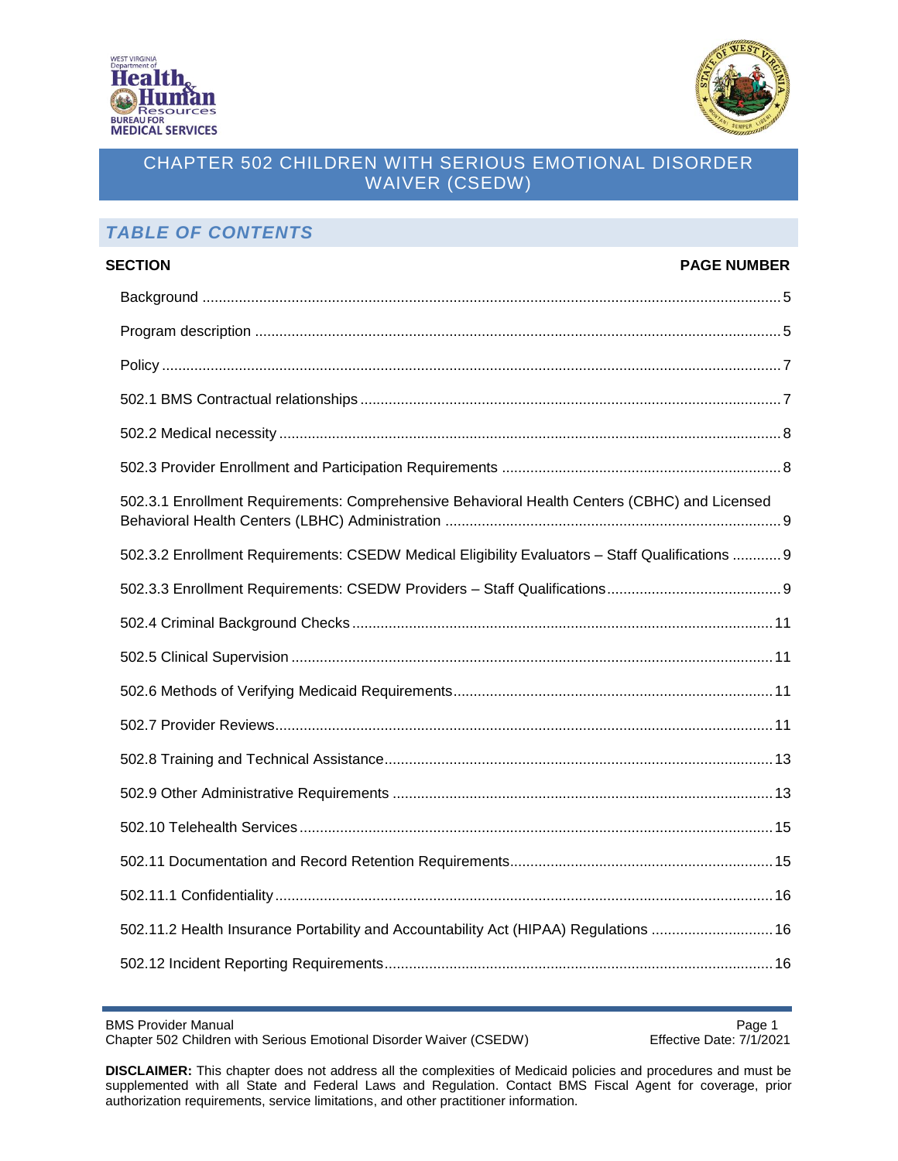



# *TABLE OF CONTENTS*

| <b>SECTION</b>                                                                                  | <b>PAGE NUMBER</b> |
|-------------------------------------------------------------------------------------------------|--------------------|
|                                                                                                 |                    |
|                                                                                                 |                    |
|                                                                                                 |                    |
|                                                                                                 |                    |
|                                                                                                 |                    |
|                                                                                                 |                    |
| 502.3.1 Enrollment Requirements: Comprehensive Behavioral Health Centers (CBHC) and Licensed    |                    |
| 502.3.2 Enrollment Requirements: CSEDW Medical Eligibility Evaluators - Staff Qualifications  9 |                    |
|                                                                                                 |                    |
|                                                                                                 |                    |
|                                                                                                 |                    |
|                                                                                                 |                    |
|                                                                                                 |                    |
|                                                                                                 |                    |
|                                                                                                 |                    |
|                                                                                                 |                    |
|                                                                                                 |                    |
|                                                                                                 |                    |
| 502.11.2 Health Insurance Portability and Accountability Act (HIPAA) Regulations  16            |                    |
|                                                                                                 |                    |

BMS Provider Manual<br>Chapter 502 Children with Serious Emotional Disorder Waiver (CSEDW) Fffective Date: 7/1/2021 Chapter 502 Children with Serious Emotional Disorder Waiver (CSEDW)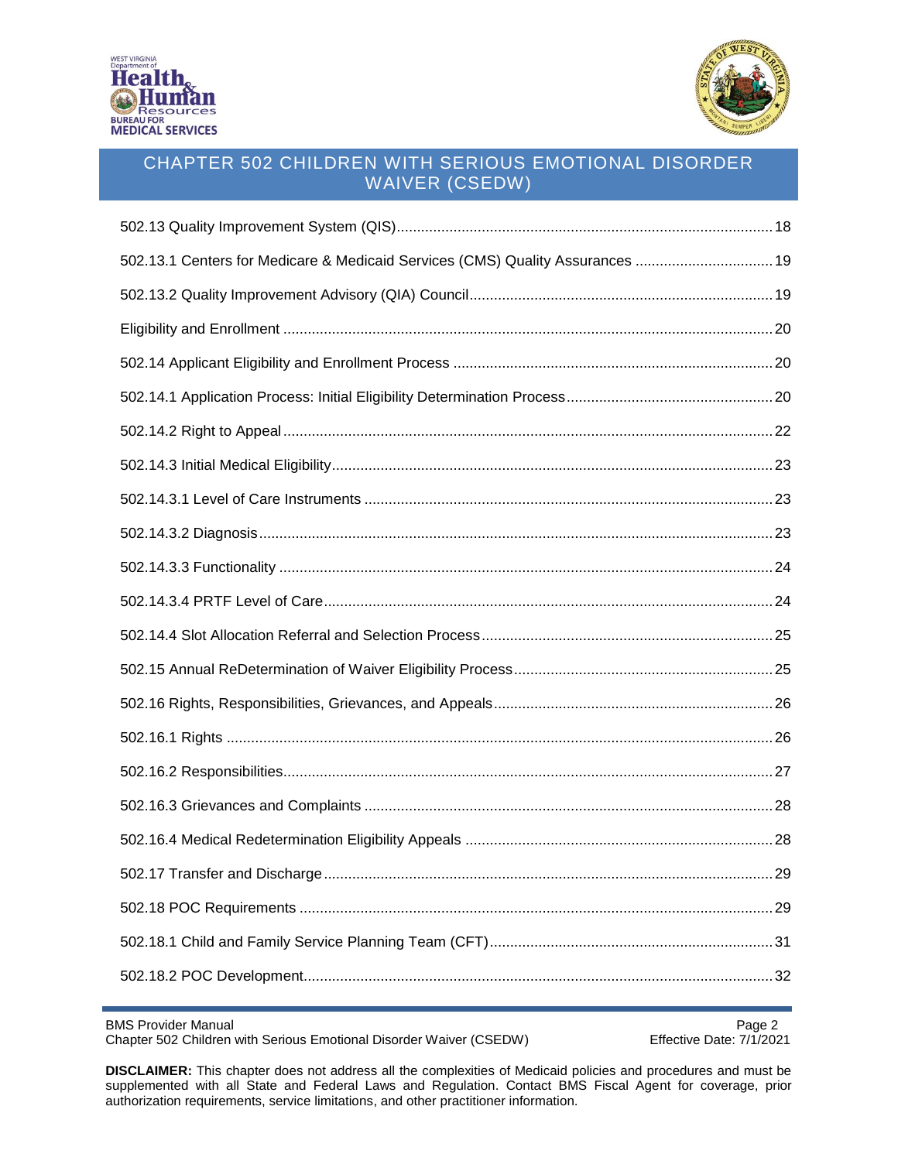



| 502.13.1 Centers for Medicare & Medicaid Services (CMS) Quality Assurances  19 |  |
|--------------------------------------------------------------------------------|--|
|                                                                                |  |
|                                                                                |  |
|                                                                                |  |
|                                                                                |  |
|                                                                                |  |
|                                                                                |  |
|                                                                                |  |
|                                                                                |  |
|                                                                                |  |
|                                                                                |  |
|                                                                                |  |
|                                                                                |  |
|                                                                                |  |
|                                                                                |  |
|                                                                                |  |
|                                                                                |  |
|                                                                                |  |
|                                                                                |  |
|                                                                                |  |
|                                                                                |  |
|                                                                                |  |

BMS Provider Manual<br>Chapter 502 Children with Serious Emotional Disorder Waiver (CSEDW) Fffective Date: 7/1/2021 Chapter 502 Children with Serious Emotional Disorder Waiver (CSEDW)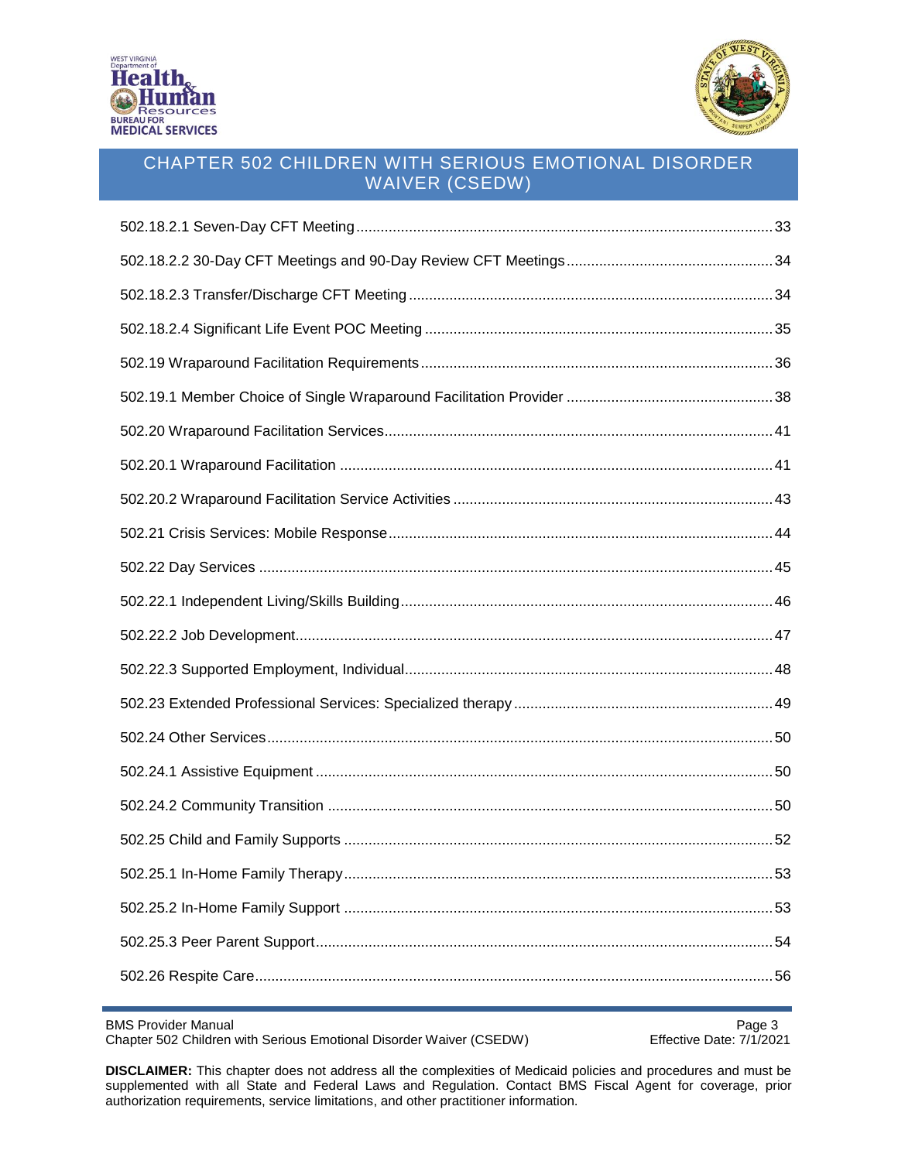



BMS Provider Manual<br>Chapter 502 Children with Serious Emotional Disorder Waiver (CSEDW) Fffective Date: 7/1/2021 Chapter 502 Children with Serious Emotional Disorder Waiver (CSEDW)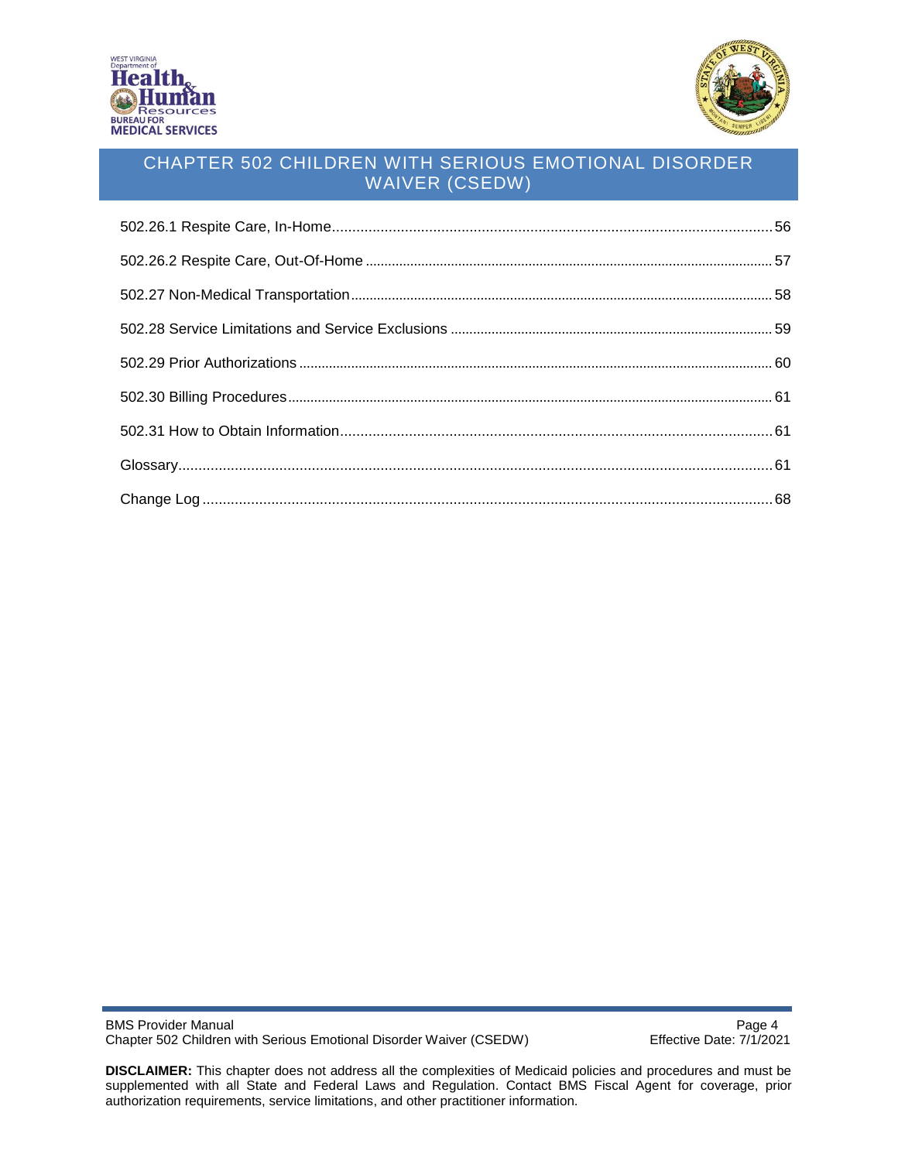



BMS Provider Manual<br>Chapter 502 Children with Serious Emotional Disorder Waiver (CSEDW) Fffective Date: 7/1/2021 Chapter 502 Children with Serious Emotional Disorder Waiver (CSEDW)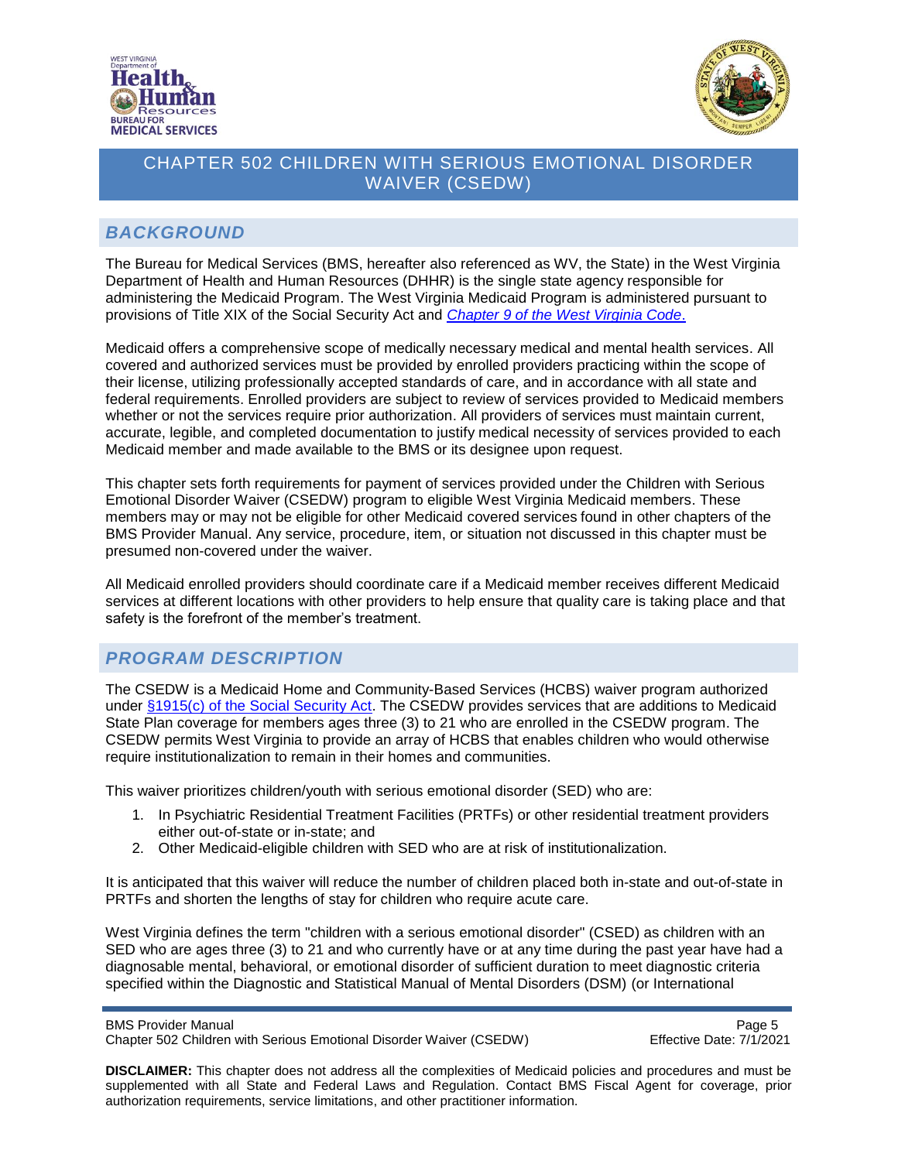



#### <span id="page-4-0"></span>*BACKGROUND*

The Bureau for Medical Services (BMS, hereafter also referenced as WV, the State) in the West Virginia Department of Health and Human Resources (DHHR) is the single state agency responsible for administering the Medicaid Program. The West Virginia Medicaid Program is administered pursuant to provisions of Title XIX of the Social Security Act and *[Chapter 9 of the West Virginia Code](http://www.legis.state.wv.us/wvcode/Code.cfm?chap=09&art=1)*.

Medicaid offers a comprehensive scope of medically necessary medical and mental health services. All covered and authorized services must be provided by enrolled providers practicing within the scope of their license, utilizing professionally accepted standards of care, and in accordance with all state and federal requirements. Enrolled providers are subject to review of services provided to Medicaid members whether or not the services require prior authorization. All providers of services must maintain current, accurate, legible, and completed documentation to justify medical necessity of services provided to each Medicaid member and made available to the BMS or its designee upon request.

This chapter sets forth requirements for payment of services provided under the Children with Serious Emotional Disorder Waiver (CSEDW) program to eligible West Virginia Medicaid members. These members may or may not be eligible for other Medicaid covered services found in other chapters of the BMS Provider Manual. Any service, procedure, item, or situation not discussed in this chapter must be presumed non-covered under the waiver.

All Medicaid enrolled providers should coordinate care if a Medicaid member receives different Medicaid services at different locations with other providers to help ensure that quality care is taking place and that safety is the forefront of the member's treatment.

### <span id="page-4-1"></span>*PROGRAM DESCRIPTION*

The CSEDW is a Medicaid Home and Community-Based Services (HCBS) waiver program authorized under [§1915\(c\) of the Social Security Act.](https://www.ssa.gov/OP_Home/ssact/title19/1915.htm) The CSEDW provides services that are additions to Medicaid State Plan coverage for members ages three (3) to 21 who are enrolled in the CSEDW program. The CSEDW permits West Virginia to provide an array of HCBS that enables children who would otherwise require institutionalization to remain in their homes and communities.

This waiver prioritizes children/youth with serious emotional disorder (SED) who are:

- 1. In Psychiatric Residential Treatment Facilities (PRTFs) or other residential treatment providers either out-of-state or in-state; and
- 2. Other Medicaid-eligible children with SED who are at risk of institutionalization.

It is anticipated that this waiver will reduce the number of children placed both in-state and out-of-state in PRTFs and shorten the lengths of stay for children who require acute care.

West Virginia defines the term "children with a serious emotional disorder" (CSED) as children with an SED who are ages three (3) to 21 and who currently have or at any time during the past year have had a diagnosable mental, behavioral, or emotional disorder of sufficient duration to meet diagnostic criteria specified within the Diagnostic and Statistical Manual of Mental Disorders (DSM) (or International

```
BMS Provider Manual Page 5 and the state of the state of the state of the state of the state of the state of the state of the state of the state of the state of the state of the state of the state of the state of the sta
```
Chapter 502 Children with Serious Emotional Disorder Waiver (CSEDW) Effective Date: 7/1/2021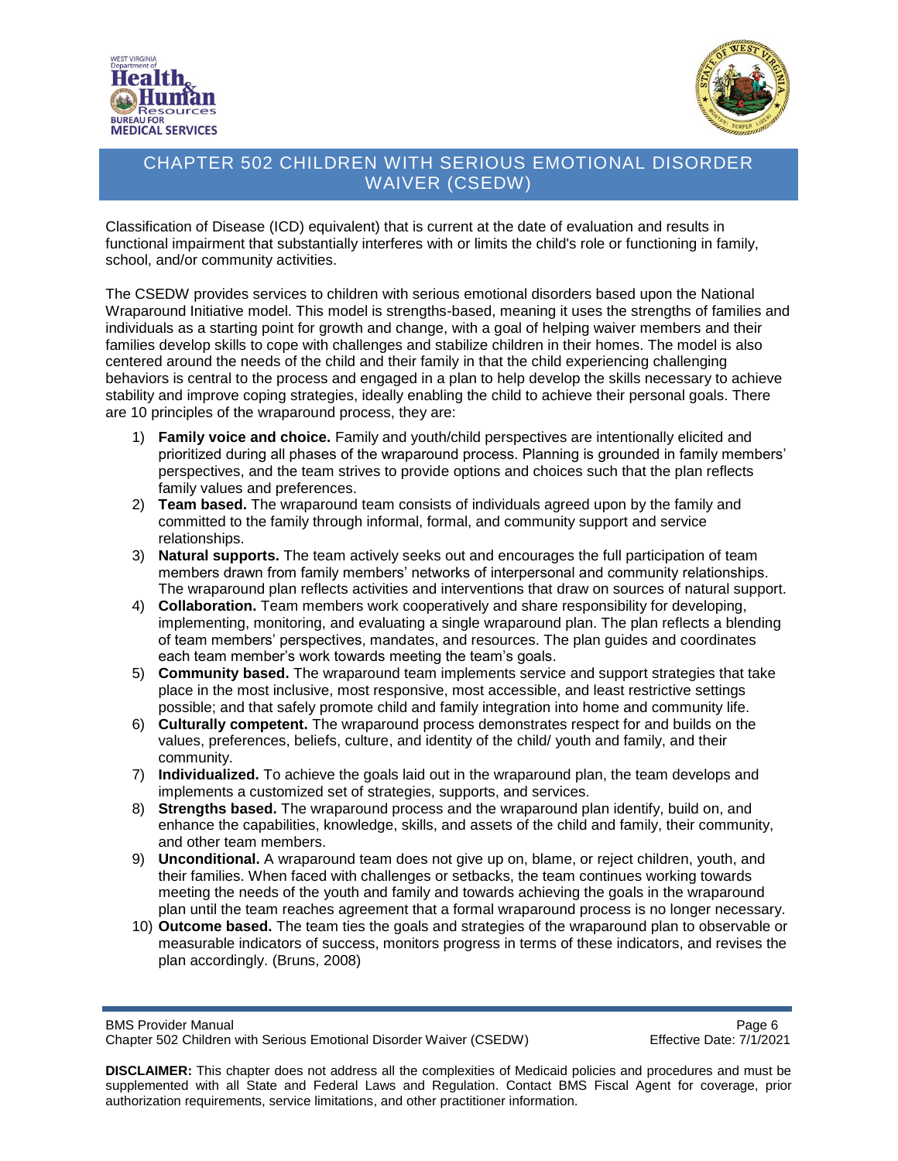



Classification of Disease (ICD) equivalent) that is current at the date of evaluation and results in functional impairment that substantially interferes with or limits the child's role or functioning in family, school, and/or community activities.

The CSEDW provides services to children with serious emotional disorders based upon the National Wraparound Initiative model. This model is strengths-based, meaning it uses the strengths of families and individuals as a starting point for growth and change, with a goal of helping waiver members and their families develop skills to cope with challenges and stabilize children in their homes. The model is also centered around the needs of the child and their family in that the child experiencing challenging behaviors is central to the process and engaged in a plan to help develop the skills necessary to achieve stability and improve coping strategies, ideally enabling the child to achieve their personal goals. There are 10 principles of the wraparound process, they are:

- 1) **Family voice and choice.** Family and youth/child perspectives are intentionally elicited and prioritized during all phases of the wraparound process. Planning is grounded in family members' perspectives, and the team strives to provide options and choices such that the plan reflects family values and preferences.
- 2) **Team based.** The wraparound team consists of individuals agreed upon by the family and committed to the family through informal, formal, and community support and service relationships.
- 3) **Natural supports.** The team actively seeks out and encourages the full participation of team members drawn from family members' networks of interpersonal and community relationships. The wraparound plan reflects activities and interventions that draw on sources of natural support.
- 4) **Collaboration.** Team members work cooperatively and share responsibility for developing, implementing, monitoring, and evaluating a single wraparound plan. The plan reflects a blending of team members' perspectives, mandates, and resources. The plan guides and coordinates each team member's work towards meeting the team's goals.
- 5) **Community based.** The wraparound team implements service and support strategies that take place in the most inclusive, most responsive, most accessible, and least restrictive settings possible; and that safely promote child and family integration into home and community life.
- 6) **Culturally competent.** The wraparound process demonstrates respect for and builds on the values, preferences, beliefs, culture, and identity of the child/ youth and family, and their community.
- 7) **Individualized.** To achieve the goals laid out in the wraparound plan, the team develops and implements a customized set of strategies, supports, and services.
- 8) **Strengths based.** The wraparound process and the wraparound plan identify, build on, and enhance the capabilities, knowledge, skills, and assets of the child and family, their community, and other team members.
- 9) **Unconditional.** A wraparound team does not give up on, blame, or reject children, youth, and their families. When faced with challenges or setbacks, the team continues working towards meeting the needs of the youth and family and towards achieving the goals in the wraparound plan until the team reaches agreement that a formal wraparound process is no longer necessary.
- 10) **Outcome based.** The team ties the goals and strategies of the wraparound plan to observable or measurable indicators of success, monitors progress in terms of these indicators, and revises the plan accordingly. (Bruns, 2008)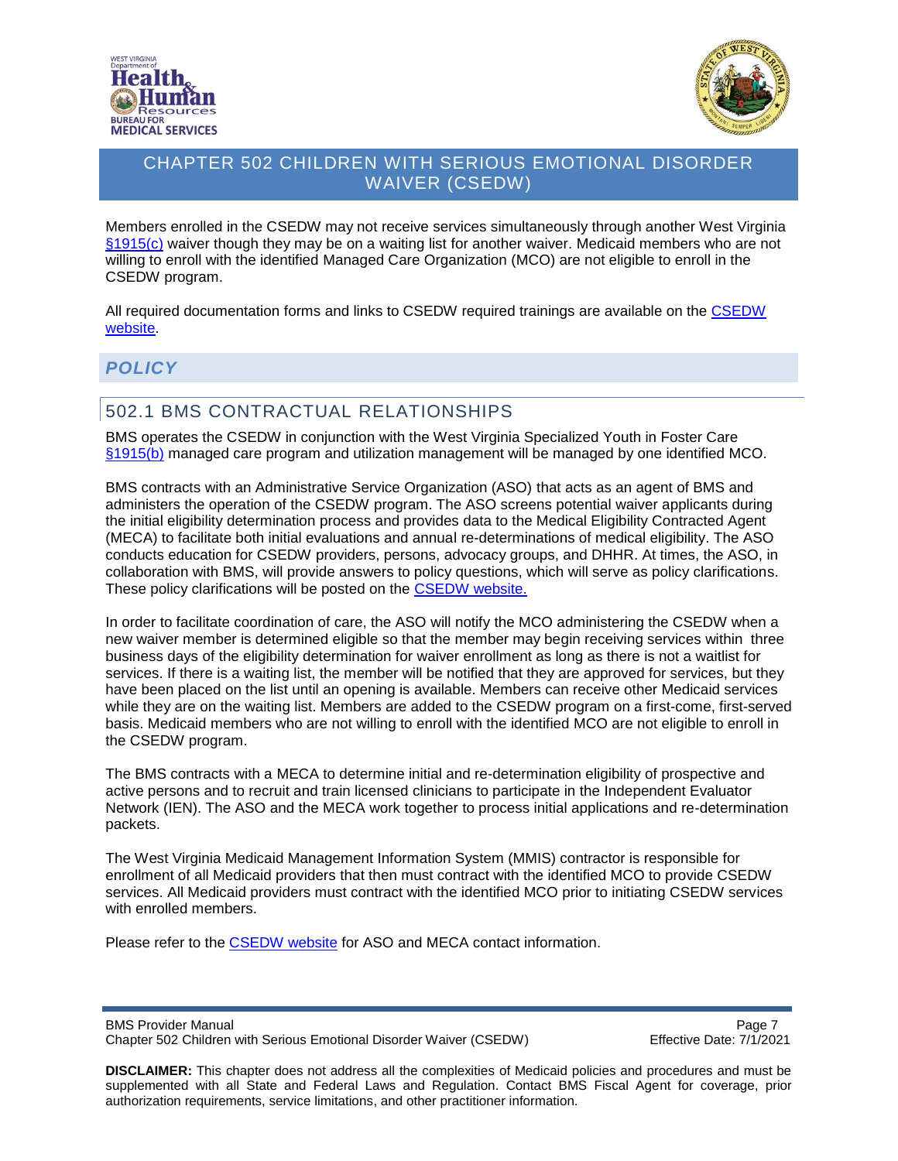



Members enrolled in the CSEDW may not receive services simultaneously through another West Virginia [§1915\(c\)](https://www.ssa.gov/OP_Home/ssact/title19/1915.htm) waiver though they may be on a waiting list for another waiver. Medicaid members who are not willing to enroll with the identified Managed Care Organization (MCO) are not eligible to enroll in the CSEDW program.

All required documentation forms and links to CSEDW required trainings are available on the [CSEDW](https://dhhr.wv.gov/bms/Programs/WaiverPrograms/CSEDW/Pages/SED.aspx) [website.](https://dhhr.wv.gov/bms/Programs/WaiverPrograms/CSEDW/Pages/SED.aspx)

#### <span id="page-6-0"></span>*POLICY*

### <span id="page-6-1"></span>502.1 BMS CONTRACTUAL RELATIONSHIPS

BMS operates the CSEDW in conjunction with the West Virginia Specialized Youth in Foster Care [§1915\(b\)](https://www.ssa.gov/OP_Home/ssact/title19/1915.htm) managed care program and utilization management will be managed by one identified MCO.

BMS contracts with an Administrative Service Organization (ASO) that acts as an agent of BMS and administers the operation of the CSEDW program. The ASO screens potential waiver applicants during the initial eligibility determination process and provides data to the Medical Eligibility Contracted Agent (MECA) to facilitate both initial evaluations and annual re-determinations of medical eligibility. The ASO conducts education for CSEDW providers, persons, advocacy groups, and DHHR. At times, the ASO, in collaboration with BMS, will provide answers to policy questions, which will serve as policy clarifications. These policy clarifications will be posted on the [CSEDW website.](https://dhhr.wv.gov/bms/Programs/WaiverPrograms/CSEDW/Pages/SED.aspx)

In order to facilitate coordination of care, the ASO will notify the MCO administering the CSEDW when a new waiver member is determined eligible so that the member may begin receiving services within three business days of the eligibility determination for waiver enrollment as long as there is not a waitlist for services. If there is a waiting list, the member will be notified that they are approved for services, but they have been placed on the list until an opening is available. Members can receive other Medicaid services while they are on the waiting list. Members are added to the CSEDW program on a first-come, first-served basis. Medicaid members who are not willing to enroll with the identified MCO are not eligible to enroll in the CSEDW program.

The BMS contracts with a MECA to determine initial and re-determination eligibility of prospective and active persons and to recruit and train licensed clinicians to participate in the Independent Evaluator Network (IEN). The ASO and the MECA work together to process initial applications and re-determination packets.

The West Virginia Medicaid Management Information System (MMIS) contractor is responsible for enrollment of all Medicaid providers that then must contract with the identified MCO to provide CSEDW services. All Medicaid providers must contract with the identified MCO prior to initiating CSEDW services with enrolled members.

Please refer to the [CSEDW](https://dhhr.wv.gov/bms/Programs/WaiverPrograms/CSEDW/Pages/SED.aspx) website for ASO and MECA contact information.

BMS Provider Manual **Page 7** and 2011 12:30 and 2012 12:30 and 2012 12:30 and 2012 12:30 and 2012 12:30 and 2012 12:30 and 2012 12:30 and 2012 12:30 and 2012 12:30 and 2012 12:30 and 2012 12:30 and 2012 12:30 and 2012 12:3 Chapter 502 Children with Serious Emotional Disorder Waiver (CSEDW) Effective Date: 7/1/2021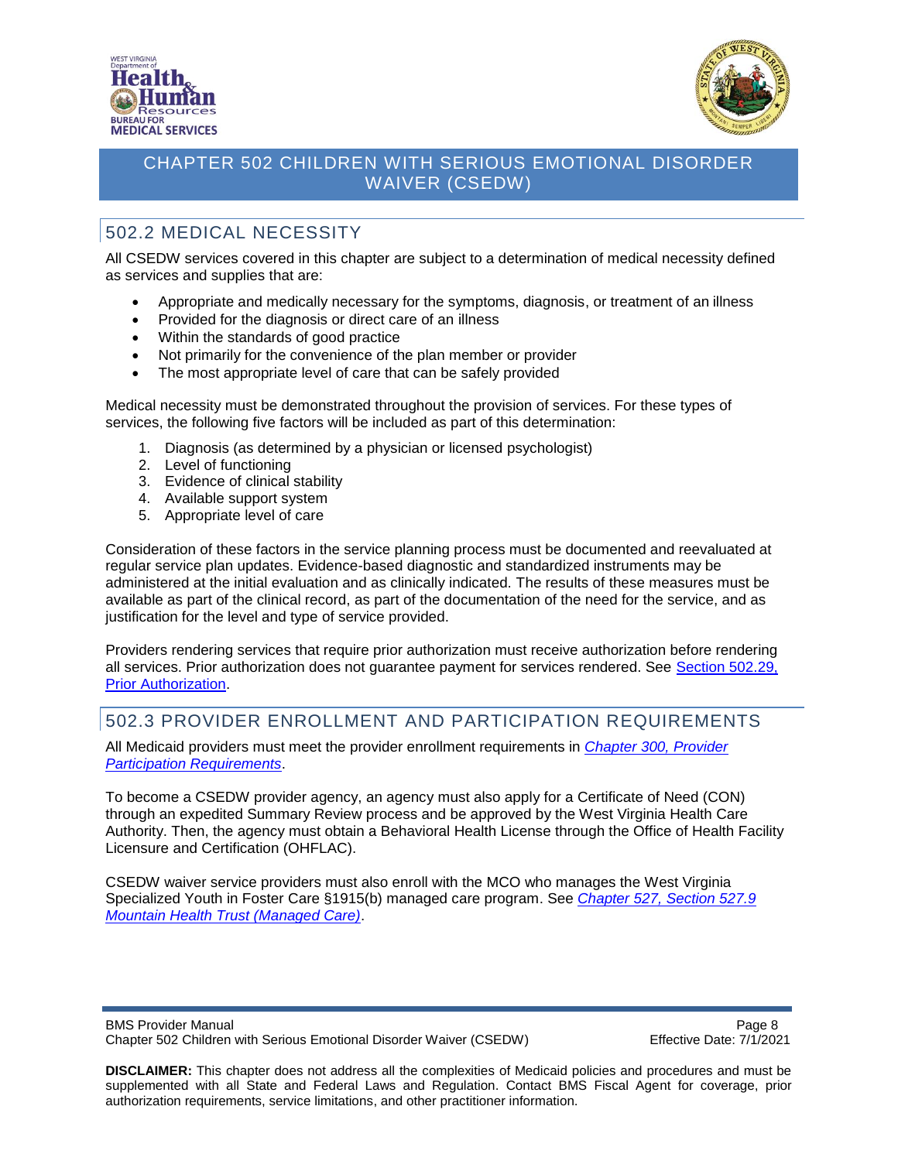



# <span id="page-7-0"></span>502.2 MEDICAL NECESSITY

All CSEDW services covered in this chapter are subject to a determination of medical necessity defined as services and supplies that are:

- Appropriate and medically necessary for the symptoms, diagnosis, or treatment of an illness
- Provided for the diagnosis or direct care of an illness
- Within the standards of good practice
- Not primarily for the convenience of the plan member or provider
- The most appropriate level of care that can be safely provided

Medical necessity must be demonstrated throughout the provision of services. For these types of services, the following five factors will be included as part of this determination:

- 1. Diagnosis (as determined by a physician or licensed psychologist)
- 2. Level of functioning
- 3. Evidence of clinical stability
- 4. Available support system
- 5. Appropriate level of care

Consideration of these factors in the service planning process must be documented and reevaluated at regular service plan updates. Evidence-based diagnostic and standardized instruments may be administered at the initial evaluation and as clinically indicated. The results of these measures must be available as part of the clinical record, as part of the documentation of the need for the service, and as justification for the level and type of service provided.

Providers rendering services that require prior authorization must receive authorization before rendering all services. Prior authorization does not guarantee payment for services rendered. See [Section 502.29,](#page-59-0)  [Prior Authorization.](#page-59-0) 

#### <span id="page-7-1"></span>502.3 PROVIDER ENROLLMENT AND PARTICIPATION REQUIREMENTS

All Medicaid providers must meet the provider enrollment requirements in *[Chapter 300, Provider](http://www.dhhr.wv.gov/bms/Pages/Manuals.aspx)  [Participation Requirements](http://www.dhhr.wv.gov/bms/Pages/Manuals.aspx)*.

To become a CSEDW provider agency, an agency must also apply for a Certificate of Need (CON) through an expedited Summary Review process and be approved by the West Virginia Health Care Authority. Then, the agency must obtain a Behavioral Health License through the Office of Health Facility Licensure and Certification (OHFLAC).

CSEDW waiver service providers must also enroll with the MCO who manages the West Virginia Specialized Youth in Foster Care §1915(b) managed care program. See *[Chapter 527, Section 527.9](https://dhhr.wv.gov/bms/pages/manuals.aspx)  [Mountain Health Trust \(Managed Care\)](https://dhhr.wv.gov/bms/pages/manuals.aspx)*.

BMS Provider Manual **Page 8** and 2011 12:30 and 2012 12:30 and 2012 12:30 and 2012 12:30 and 2012 12:30 and 2012 12:30 and 2012 12:30 and 2012 12:30 and 2012 12:30 and 2012 12:30 and 2012 12:30 and 2012 12:30 and 2012 12:3 Chapter 502 Children with Serious Emotional Disorder Waiver (CSEDW) Effective Date: 7/1/2021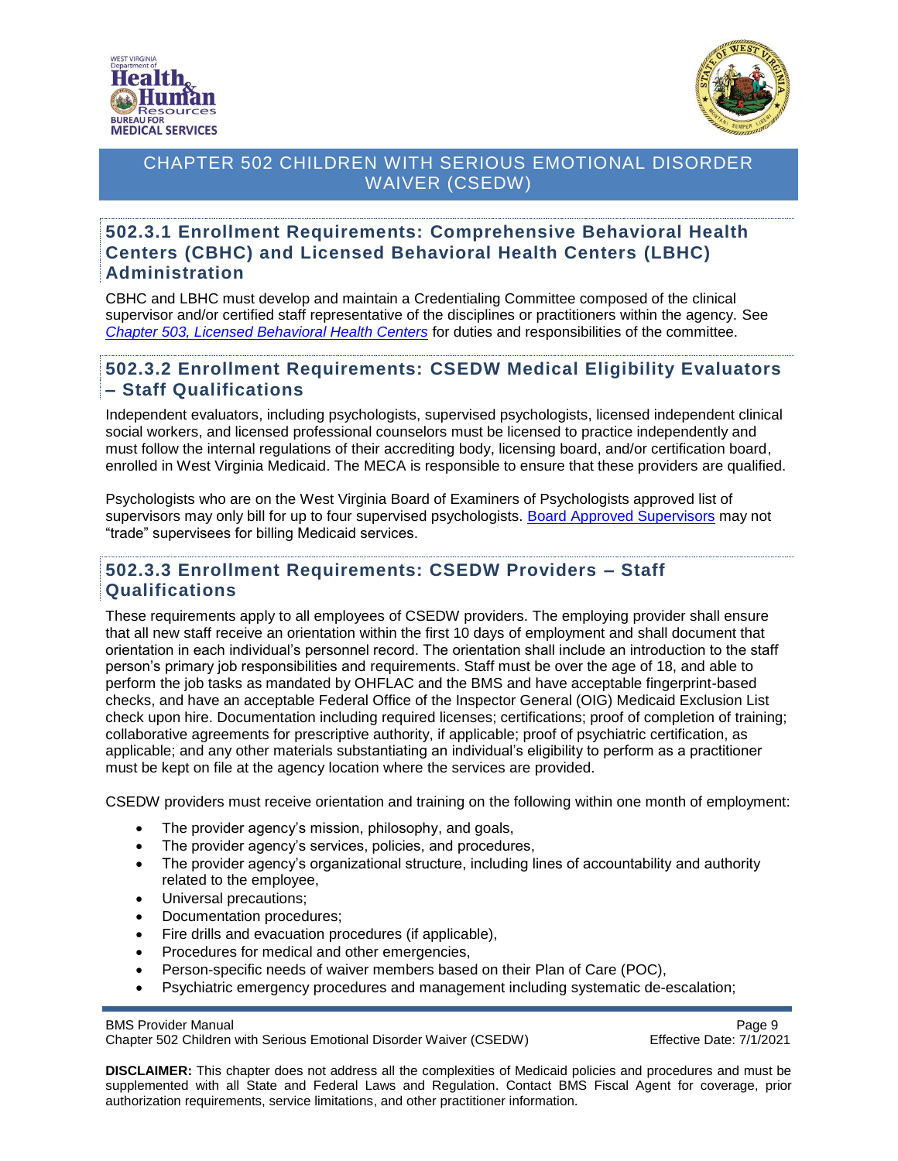



#### <span id="page-8-0"></span>**502.3.1 Enrollment Requirements: Comprehensive Behavioral Health Centers (CBHC) and Licensed Behavioral Health Centers (LBHC) Administration**

CBHC and LBHC must develop and maintain a Credentialing Committee composed of the clinical supervisor and/or certified staff representative of the disciplines or practitioners within the agency. See *[Chapter 503, Licensed Behavioral Health Centers](https://dhhr.wv.gov/bms/Pages/Manuals.aspx)* for duties and responsibilities of the committee.

#### <span id="page-8-1"></span>**502.3.2 Enrollment Requirements: CSEDW Medical Eligibility Evaluators – Staff Qualifications**

Independent evaluators, including psychologists, supervised psychologists, licensed independent clinical social workers, and licensed professional counselors must be licensed to practice independently and must follow the internal regulations of their accrediting body, licensing board, and/or certification board, enrolled in West Virginia Medicaid. The MECA is responsible to ensure that these providers are qualified.

Psychologists who are on the West Virginia Board of Examiners of Psychologists approved list of supervisors may only bill for up to four supervised psychologists. [Board Approved Supervisors](http://psychbd.wv.gov/Pages/default.aspx) may not "trade" supervisees for billing Medicaid services.

#### <span id="page-8-2"></span>**502.3.3 Enrollment Requirements: CSEDW Providers – Staff Qualifications**

These requirements apply to all employees of CSEDW providers. The employing provider shall ensure that all new staff receive an orientation within the first 10 days of employment and shall document that orientation in each individual's personnel record. The orientation shall include an introduction to the staff person's primary job responsibilities and requirements. Staff must be over the age of 18, and able to perform the job tasks as mandated by OHFLAC and the BMS and have acceptable fingerprint-based checks, and have an acceptable Federal Office of the Inspector General (OIG) Medicaid Exclusion List check upon hire. Documentation including required licenses; certifications; proof of completion of training; collaborative agreements for prescriptive authority, if applicable; proof of psychiatric certification, as applicable; and any other materials substantiating an individual's eligibility to perform as a practitioner must be kept on file at the agency location where the services are provided.

CSEDW providers must receive orientation and training on the following within one month of employment:

- The provider agency's mission, philosophy, and goals,
- The provider agency's services, policies, and procedures,
- The provider agency's organizational structure, including lines of accountability and authority related to the employee,
- Universal precautions;
- Documentation procedures;
- Fire drills and evacuation procedures (if applicable),
- Procedures for medical and other emergencies,
- Person-specific needs of waiver members based on their Plan of Care (POC),
- Psychiatric emergency procedures and management including systematic de-escalation;

Chapter 502 Children with Serious Emotional Disorder Waiver (CSEDW) Effective Date: 7/1/2021

BMS Provider Manual Page 9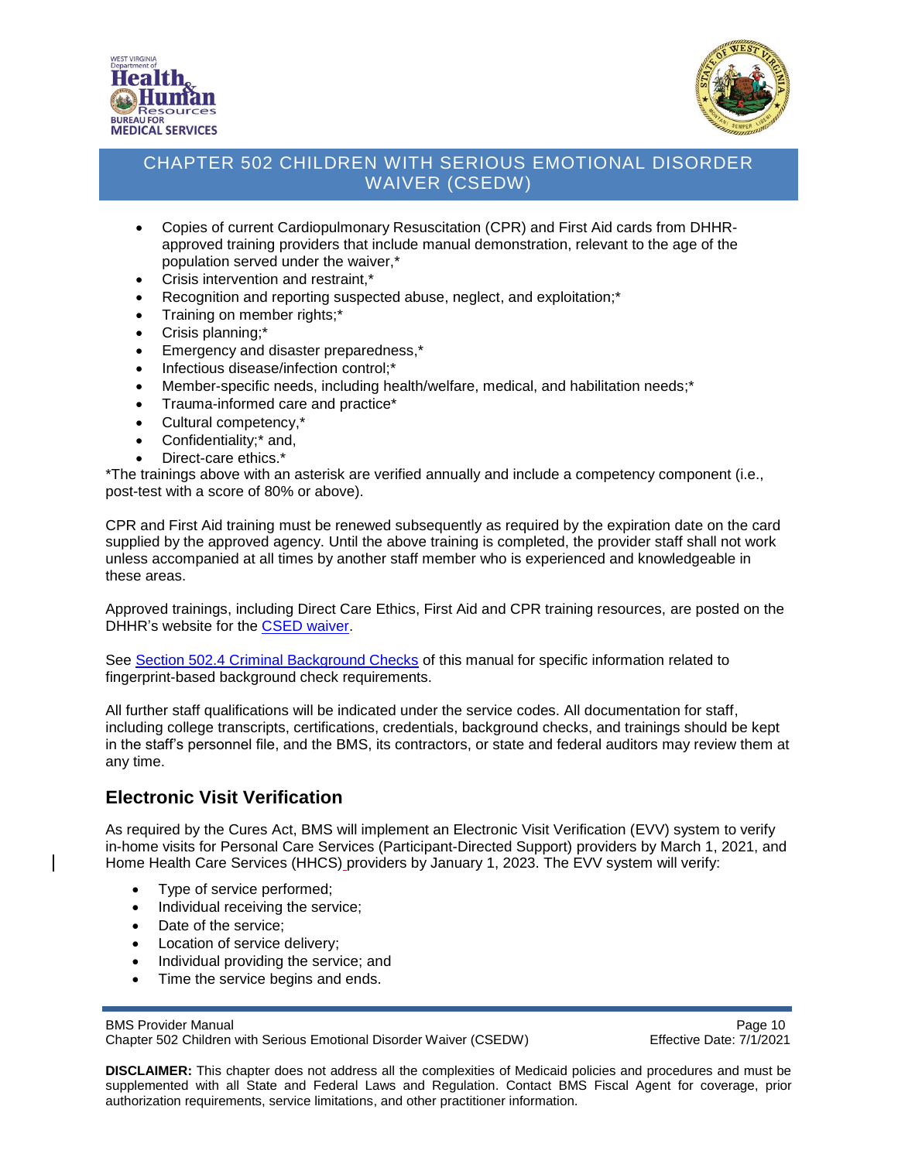



- Copies of current Cardiopulmonary Resuscitation (CPR) and First Aid cards from DHHRapproved training providers that include manual demonstration, relevant to the age of the population served under the waiver,\*
- Crisis intervention and restraint,\*
- Recognition and reporting suspected abuse, neglect, and exploitation;\*
- Training on member rights;\*
- Crisis planning;\*
- Emergency and disaster preparedness,\*
- Infectious disease/infection control;\*
- Member-specific needs, including health/welfare, medical, and habilitation needs;\*
- Trauma-informed care and practice\*
- Cultural competency,\*
- Confidentiality;<sup>\*</sup> and,
- Direct-care ethics.\*

\*The trainings above with an asterisk are verified annually and include a competency component (i.e., post-test with a score of 80% or above).

CPR and First Aid training must be renewed subsequently as required by the expiration date on the card supplied by the approved agency. Until the above training is completed, the provider staff shall not work unless accompanied at all times by another staff member who is experienced and knowledgeable in these areas.

Approved trainings, including Direct Care Ethics, First Aid and CPR training resources, are posted on the DHHR's website for the [CSED waiver.](https://dhhr.wv.gov/bms/Programs/WaiverPrograms/CSEDW/Pages/SED.aspx)

See [Section 502.4 Criminal Background Checks](#page-10-0) of this manual for specific information related to fingerprint-based background check requirements.

All further staff qualifications will be indicated under the service codes. All documentation for staff, including college transcripts, certifications, credentials, background checks, and trainings should be kept in the staff's personnel file, and the BMS, its contractors, or state and federal auditors may review them at any time.

#### **Electronic Visit Verification**

As required by the Cures Act, BMS will implement an Electronic Visit Verification (EVV) system to verify in-home visits for Personal Care Services (Participant-Directed Support) providers by March 1, 2021, and Home Health Care Services (HHCS) providers by January 1, 2023. The EVV system will verify:

- Type of service performed;
- Individual receiving the service;
- Date of the service:
- Location of service delivery;
- Individual providing the service; and
- Time the service begins and ends.

BMS Provider Manual **Page 10** 

Chapter 502 Children with Serious Emotional Disorder Waiver (CSEDW) Effective Date: 7/1/2021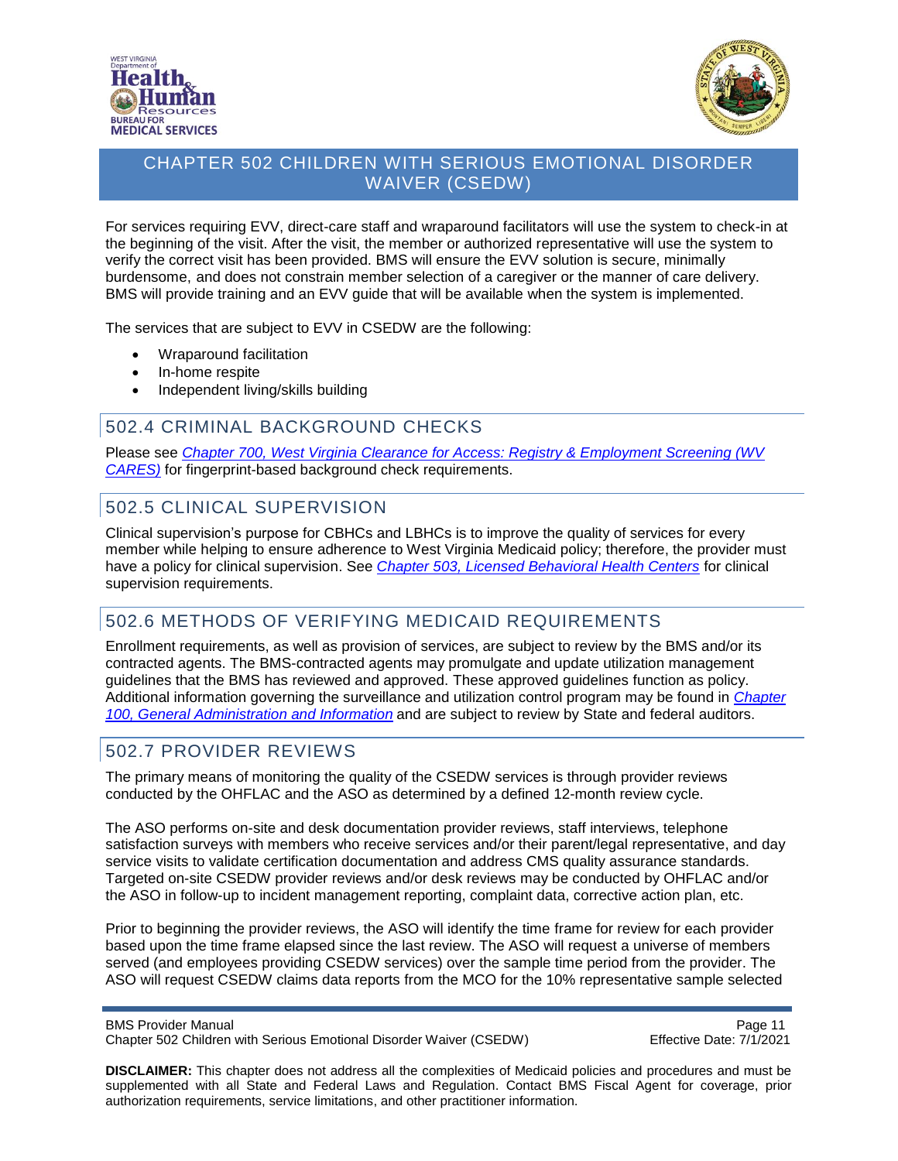



For services requiring EVV, direct-care staff and wraparound facilitators will use the system to check-in at the beginning of the visit. After the visit, the member or authorized representative will use the system to verify the correct visit has been provided. BMS will ensure the EVV solution is secure, minimally burdensome, and does not constrain member selection of a caregiver or the manner of care delivery. BMS will provide training and an EVV guide that will be available when the system is implemented.

The services that are subject to EVV in CSEDW are the following:

- Wraparound facilitation
- In-home respite
- Independent living/skills building

#### <span id="page-10-0"></span>502.4 CRIMINAL BACKGROUND CHECKS

Please see *[Chapter 700, West Virginia Clearance for Access: Registry & Employment Screening \(WV](https://dhhr.wv.gov/bms/Pages/Manuals.aspx)  [CARES\)](https://dhhr.wv.gov/bms/Pages/Manuals.aspx)* for fingerprint-based background check requirements.

### <span id="page-10-1"></span>502.5 CLINICAL SUPERVISION

Clinical supervision's purpose for CBHCs and LBHCs is to improve the quality of services for every member while helping to ensure adherence to West Virginia Medicaid policy; therefore, the provider must have a policy for clinical supervision. See *[Chapter 503, Licensed Behavioral Health Centers](https://dhhr.wv.gov/bms/Pages/Manuals.aspx)* for clinical supervision requirements.

### <span id="page-10-2"></span>502.6 METHODS OF VERIFYING MEDICAID REQUIREMENTS

Enrollment requirements, as well as provision of services, are subject to review by the BMS and/or its contracted agents. The BMS-contracted agents may promulgate and update utilization management guidelines that the BMS has reviewed and approved. These approved guidelines function as policy. Additional information governing the surveillance and utilization control program may be found in *[Chapter](https://dhhr.wv.gov/bms/Pages/Manuals.aspx)  [100, General Administration and Information](https://dhhr.wv.gov/bms/Pages/Manuals.aspx)* and are subject to review by State and federal auditors.

#### <span id="page-10-3"></span>502.7 PROVIDER REVIEWS

The primary means of monitoring the quality of the CSEDW services is through provider reviews conducted by the OHFLAC and the ASO as determined by a defined 12-month review cycle.

The ASO performs on-site and desk documentation provider reviews, staff interviews, telephone satisfaction surveys with members who receive services and/or their parent/legal representative, and day service visits to validate certification documentation and address CMS quality assurance standards. Targeted on-site CSEDW provider reviews and/or desk reviews may be conducted by OHFLAC and/or the ASO in follow-up to incident management reporting, complaint data, corrective action plan, etc.

Prior to beginning the provider reviews, the ASO will identify the time frame for review for each provider based upon the time frame elapsed since the last review. The ASO will request a universe of members served (and employees providing CSEDW services) over the sample time period from the provider. The ASO will request CSEDW claims data reports from the MCO for the 10% representative sample selected

BMS Provider Manual **Page 11 Page 11** Chapter 502 Children with Serious Emotional Disorder Waiver (CSEDW) Effective Date: 7/1/2021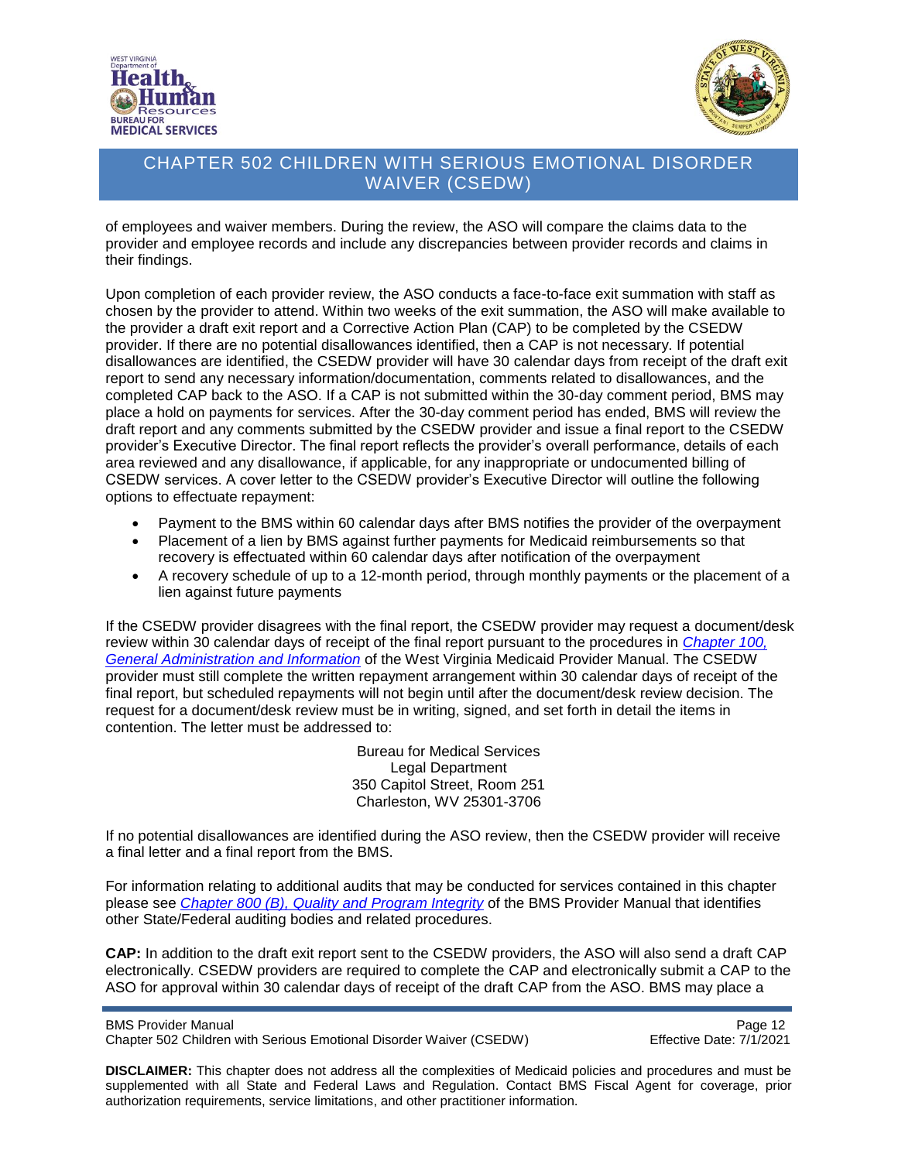



of employees and waiver members. During the review, the ASO will compare the claims data to the provider and employee records and include any discrepancies between provider records and claims in their findings.

Upon completion of each provider review, the ASO conducts a face-to-face exit summation with staff as chosen by the provider to attend. Within two weeks of the exit summation, the ASO will make available to the provider a draft exit report and a Corrective Action Plan (CAP) to be completed by the CSEDW provider. If there are no potential disallowances identified, then a CAP is not necessary. If potential disallowances are identified, the CSEDW provider will have 30 calendar days from receipt of the draft exit report to send any necessary information/documentation, comments related to disallowances, and the completed CAP back to the ASO. If a CAP is not submitted within the 30-day comment period, BMS may place a hold on payments for services. After the 30-day comment period has ended, BMS will review the draft report and any comments submitted by the CSEDW provider and issue a final report to the CSEDW provider's Executive Director. The final report reflects the provider's overall performance, details of each area reviewed and any disallowance, if applicable, for any inappropriate or undocumented billing of CSEDW services. A cover letter to the CSEDW provider's Executive Director will outline the following options to effectuate repayment:

- Payment to the BMS within 60 calendar days after BMS notifies the provider of the overpayment
- Placement of a lien by BMS against further payments for Medicaid reimbursements so that recovery is effectuated within 60 calendar days after notification of the overpayment
- A recovery schedule of up to a 12-month period, through monthly payments or the placement of a lien against future payments

If the CSEDW provider disagrees with the final report, the CSEDW provider may request a document/desk review within 30 calendar days of receipt of the final report pursuant to the procedures in *[Chapter 100,](https://dhhr.wv.gov/bms/Pages/Manuals.aspx)  [General Administration and Information](https://dhhr.wv.gov/bms/Pages/Manuals.aspx)* of the West Virginia Medicaid Provider Manual. The CSEDW provider must still complete the written repayment arrangement within 30 calendar days of receipt of the final report, but scheduled repayments will not begin until after the document/desk review decision. The request for a document/desk review must be in writing, signed, and set forth in detail the items in contention. The letter must be addressed to:

> Bureau for Medical Services Legal Department 350 Capitol Street, Room 251 Charleston, WV 25301-3706

If no potential disallowances are identified during the ASO review, then the CSEDW provider will receive a final letter and a final report from the BMS.

For information relating to additional audits that may be conducted for services contained in this chapter please see *[Chapter 800 \(B\), Quality and Program Integrity](https://dhhr.wv.gov/bms/Pages/Manuals.aspx)* of the BMS Provider Manual that identifies other State/Federal auditing bodies and related procedures.

**CAP:** In addition to the draft exit report sent to the CSEDW providers, the ASO will also send a draft CAP electronically. CSEDW providers are required to complete the CAP and electronically submit a CAP to the ASO for approval within 30 calendar days of receipt of the draft CAP from the ASO. BMS may place a

BMS Provider Manual<br>Chapter 502 Children with Serious Emotional Disorder Waiver (CSEDW) Page 12<br>Effective Date: 7/1/2021 Chapter 502 Children with Serious Emotional Disorder Waiver (CSEDW)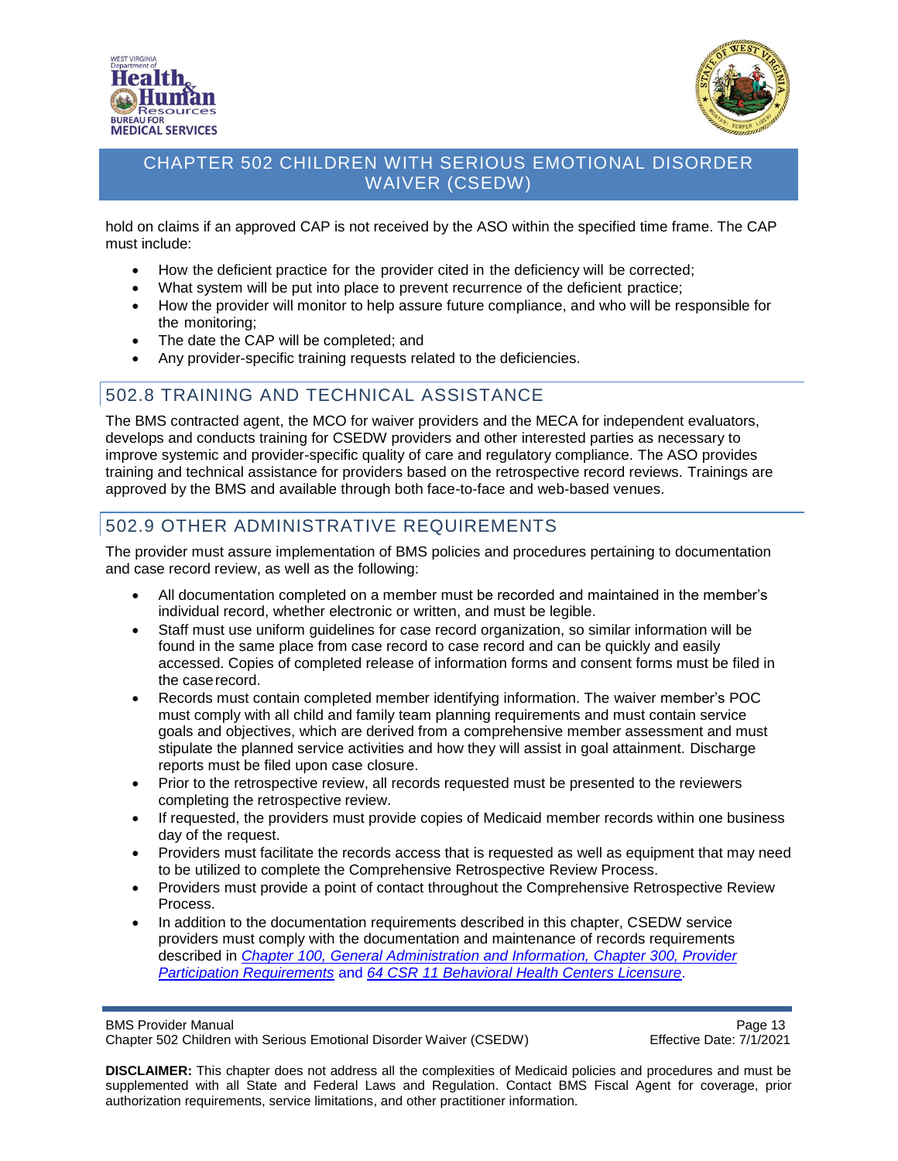



hold on claims if an approved CAP is not received by the ASO within the specified time frame. The CAP must include:

- How the deficient practice for the provider cited in the deficiency will be corrected;
- What system will be put into place to prevent recurrence of the deficient practice;
- How the provider will monitor to help assure future compliance, and who will be responsible for the monitoring;
- The date the CAP will be completed; and
- Any provider-specific training requests related to the deficiencies.

#### <span id="page-12-0"></span>502.8 TRAINING AND TECHNICAL ASSISTANCE

The BMS contracted agent, the MCO for waiver providers and the MECA for independent evaluators, develops and conducts training for CSEDW providers and other interested parties as necessary to improve systemic and provider-specific quality of care and regulatory compliance. The ASO provides training and technical assistance for providers based on the retrospective record reviews. Trainings are approved by the BMS and available through both face-to-face and web-based venues.

### <span id="page-12-1"></span>502.9 OTHER ADMINISTRATIVE REQUIREMENTS

The provider must assure implementation of BMS policies and procedures pertaining to documentation and case record review, as well as the following:

- All documentation completed on a member must be recorded and maintained in the member's individual record, whether electronic or written, and must be legible.
- Staff must use uniform guidelines for case record organization, so similar information will be found in the same place from case record to case record and can be quickly and easily accessed. Copies of completed release of information forms and consent forms must be filed in the caserecord.
- Records must contain completed member identifying information. The waiver member's POC must comply with all child and family team planning requirements and must contain service goals and objectives, which are derived from a comprehensive member assessment and must stipulate the planned service activities and how they will assist in goal attainment. Discharge reports must be filed upon case closure.
- Prior to the retrospective review, all records requested must be presented to the reviewers completing the retrospective review.
- If requested, the providers must provide copies of Medicaid member records within one business day of the request.
- Providers must facilitate the records access that is requested as well as equipment that may need to be utilized to complete the Comprehensive Retrospective Review Process.
- Providers must provide a point of contact throughout the Comprehensive Retrospective Review Process.
- In addition to the documentation requirements described in this chapter, CSEDW service providers must comply with the documentation and maintenance of records requirements described in *[Chapter 100,](https://dhhr.wv.gov/bms/Pages/Manuals.aspx) [General Administration and Information,](https://dhhr.wv.gov/bms/Pages/Manuals.aspx) Chapter 300, Provider [Participation Requirements](https://dhhr.wv.gov/bms/Pages/Manuals.aspx)* and *64 CSR 11 [Behavioral Health Centers Licensure](http://apps.sos.wv.gov/adlaw/csr/ruleview.aspx?document=16885)*.

BMS Provider Manual **Page 13** 

Chapter 502 Children with Serious Emotional Disorder Waiver (CSEDW) Effective Date: 7/1/2021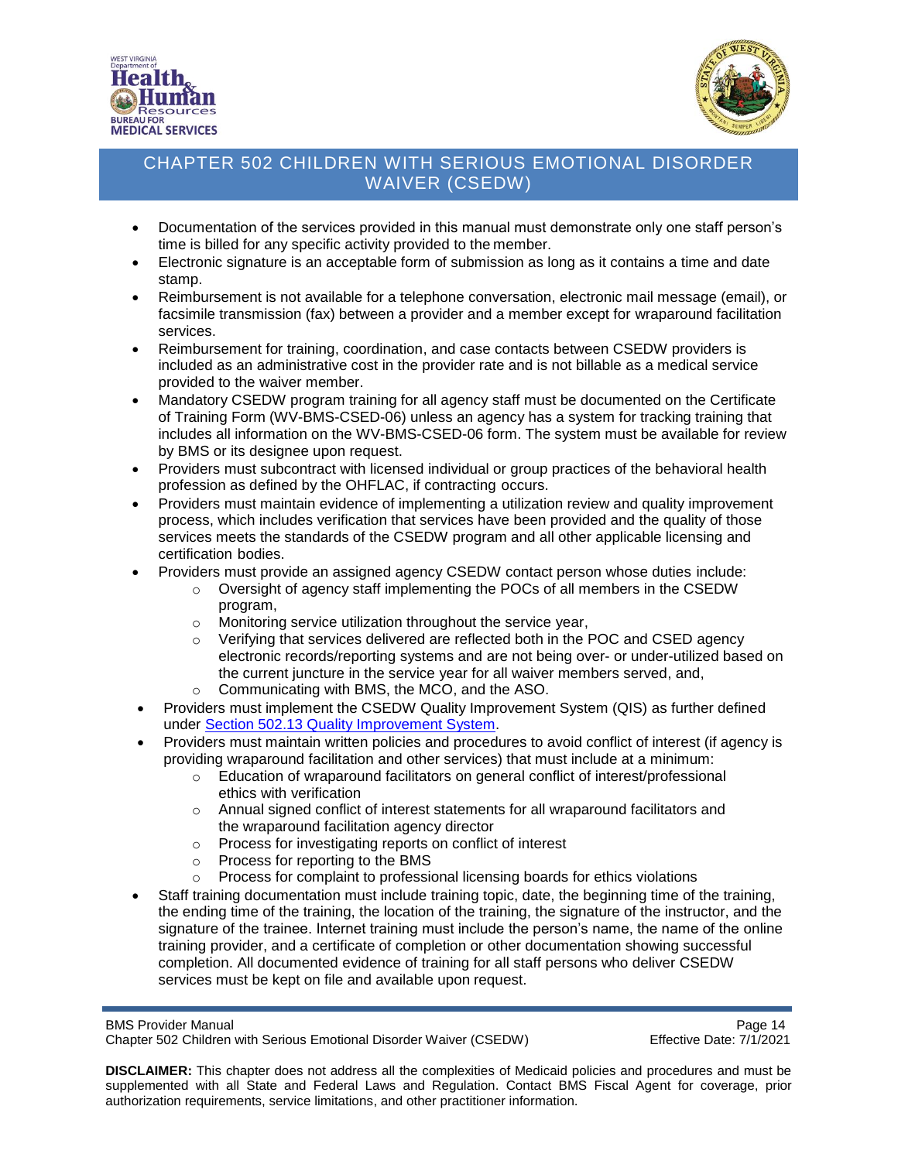



- Documentation of the services provided in this manual must demonstrate only one staff person's time is billed for any specific activity provided to the member.
- Electronic signature is an acceptable form of submission as long as it contains a time and date stamp.
- Reimbursement is not available for a telephone conversation, electronic mail message (email), or facsimile transmission (fax) between a provider and a member except for wraparound facilitation services.
- Reimbursement for training, coordination, and case contacts between CSEDW providers is included as an administrative cost in the provider rate and is not billable as a medical service provided to the waiver member.
- Mandatory CSEDW program training for all agency staff must be documented on the Certificate of Training Form (WV-BMS-CSED-06) unless an agency has a system for tracking training that includes all information on the WV-BMS-CSED-06 form. The system must be available for review by BMS or its designee upon request.
- Providers must subcontract with licensed individual or group practices of the behavioral health profession as defined by the OHFLAC, if contracting occurs.
- Providers must maintain evidence of implementing a utilization review and quality improvement process, which includes verification that services have been provided and the quality of those services meets the standards of the CSEDW program and all other applicable licensing and certification bodies.
- Providers must provide an assigned agency CSEDW contact person whose duties include:
	- $\circ$  Oversight of agency staff implementing the POCs of all members in the CSEDW program,
	- o Monitoring service utilization throughout the service year,
	- $\circ$  Verifying that services delivered are reflected both in the POC and CSED agency electronic records/reporting systems and are not being over- or under-utilized based on the current juncture in the service year for all waiver members served, and,
	- o Communicating with BMS, the MCO, and the ASO.
- Providers must implement the CSEDW Quality Improvement System (QIS) as further defined under [Section 502.13 Quality Improvement System.](#page-17-0)
- Providers must maintain written policies and procedures to avoid conflict of interest (if agency is providing wraparound facilitation and other services) that must include at a minimum:
	- $\circ$  Education of wraparound facilitators on general conflict of interest/professional ethics with verification
	- o Annual signed conflict of interest statements for all wraparound facilitators and the wraparound facilitation agency director
	- o Process for investigating reports on conflict of interest
	- o Process for reporting to the BMS
	- o Process for complaint to professional licensing boards for ethics violations
- Staff training documentation must include training topic, date, the beginning time of the training, the ending time of the training, the location of the training, the signature of the instructor, and the signature of the trainee. Internet training must include the person's name, the name of the online training provider, and a certificate of completion or other documentation showing successful completion. All documented evidence of training for all staff persons who deliver CSEDW services must be kept on file and available upon request.

BMS Provider Manual<br>Chapter 502 Children with Serious Emotional Disorder Waiver (CSEDW) Chapter Formulation Page 14 Chapter 502 Children with Serious Emotional Disorder Waiver (CSEDW)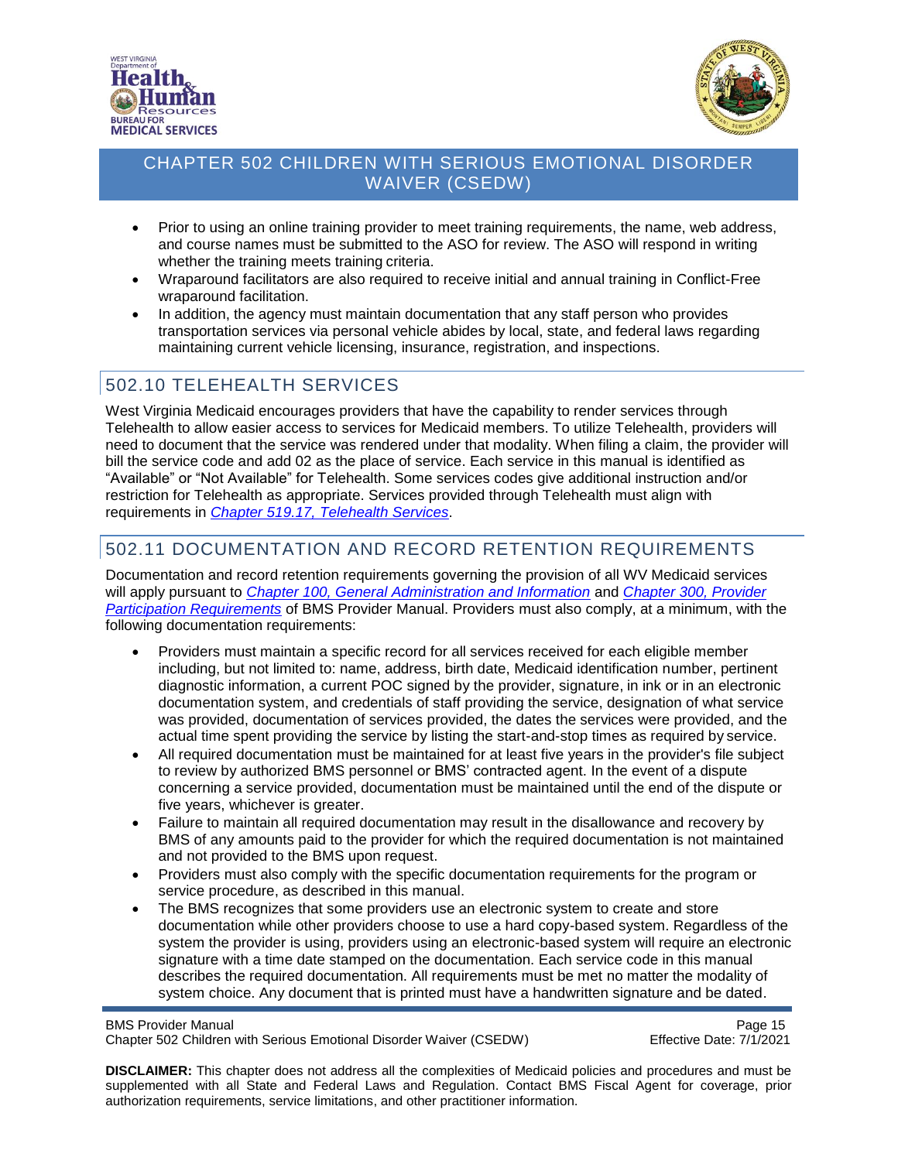



- Prior to using an online training provider to meet training requirements, the name, web address, and course names must be submitted to the ASO for review. The ASO will respond in writing whether the training meets training criteria.
- Wraparound facilitators are also required to receive initial and annual training in Conflict-Free wraparound facilitation.
- In addition, the agency must maintain documentation that any staff person who provides transportation services via personal vehicle abides by local, state, and federal laws regarding maintaining current vehicle licensing, insurance, registration, and inspections.

# <span id="page-14-0"></span>502.10 TELEHEALTH SERVICES

West Virginia Medicaid encourages providers that have the capability to render services through Telehealth to allow easier access to services for Medicaid members. To utilize Telehealth, providers will need to document that the service was rendered under that modality. When filing a claim, the provider will bill the service code and add 02 as the place of service. Each service in this manual is identified as "Available" or "Not Available" for Telehealth. Some services codes give additional instruction and/or restriction for Telehealth as appropriate. Services provided through Telehealth must align with requirements in *[Chapter 519.17, Telehealth Services](https://dhhr.wv.gov/bms/Pages/Manuals.aspx)*.

# <span id="page-14-1"></span>502.11 DOCUMENTATION AND RECORD RETENTION REQUIREMENTS

Documentation and record retention requirements governing the provision of all WV Medicaid services will apply pursuant to *[Chapter 100, General Administration and Information](https://dhhr.wv.gov/bms/Pages/Manuals.aspx)* and *[Chapter 300, Provider](https://dhhr.wv.gov/bms/Pages/Manuals.aspx) [Participation Requirements](https://dhhr.wv.gov/bms/Pages/Manuals.aspx)* of BMS Provider Manual. Providers must also comply, at a minimum, with the following documentation requirements:

- Providers must maintain a specific record for all services received for each eligible member including, but not limited to: name, address, birth date, Medicaid identification number, pertinent diagnostic information, a current POC signed by the provider, signature, in ink or in an electronic documentation system, and credentials of staff providing the service, designation of what service was provided, documentation of services provided, the dates the services were provided, and the actual time spent providing the service by listing the start-and-stop times as required by service.
- All required documentation must be maintained for at least five years in the provider's file subject to review by authorized BMS personnel or BMS' contracted agent. In the event of a dispute concerning a service provided, documentation must be maintained until the end of the dispute or five years, whichever is greater.
- Failure to maintain all required documentation may result in the disallowance and recovery by BMS of any amounts paid to the provider for which the required documentation is not maintained and not provided to the BMS upon request.
- Providers must also comply with the specific documentation requirements for the program or service procedure, as described in this manual.
- The BMS recognizes that some providers use an electronic system to create and store documentation while other providers choose to use a hard copy-based system. Regardless of the system the provider is using, providers using an electronic-based system will require an electronic signature with a time date stamped on the documentation. Each service code in this manual describes the required documentation. All requirements must be met no matter the modality of system choice. Any document that is printed must have a handwritten signature and be dated.

BMS Provider Manual<br>Chapter 502 Children with Serious Emotional Disorder Waiver (CSEDW) Page 15 Chapter 502 Children with Serious Emotional Disorder Waiver (CSEDW)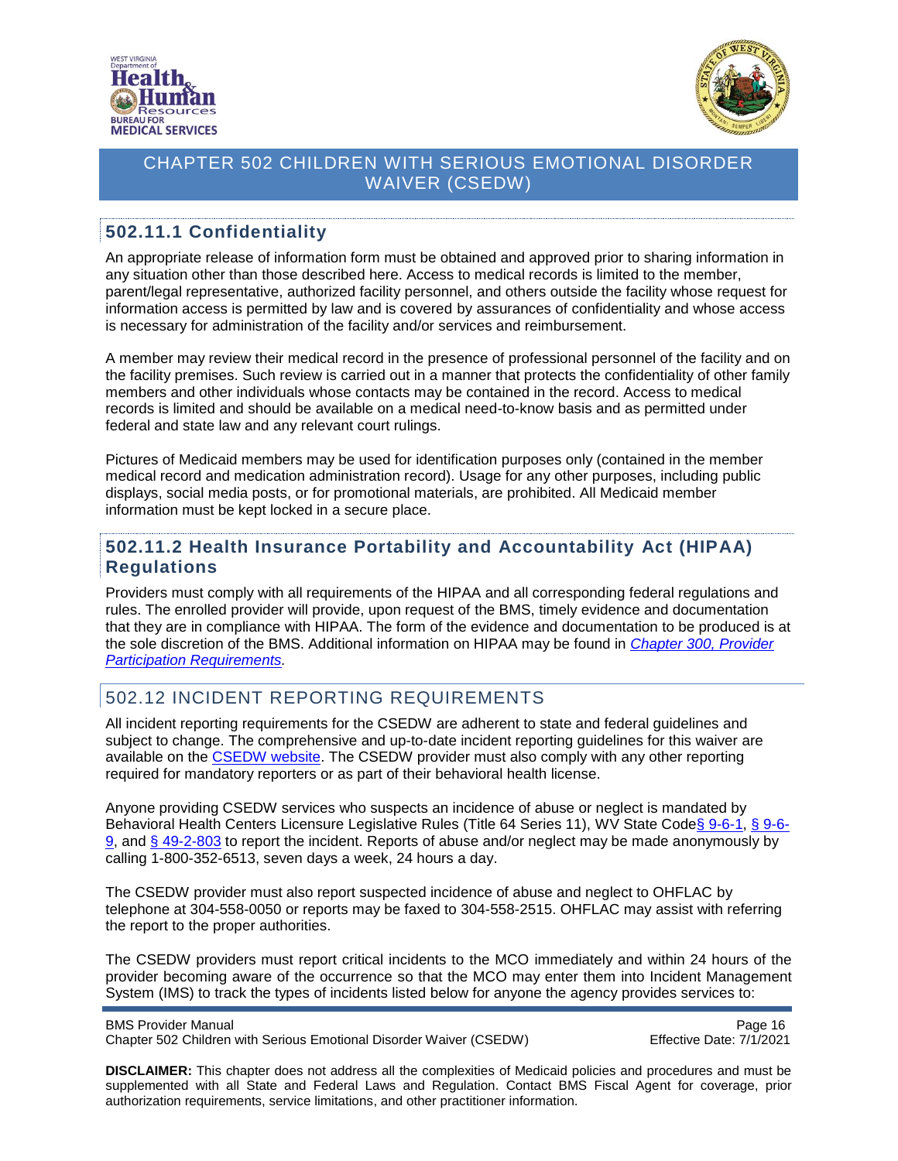



#### <span id="page-15-0"></span>**502.11.1 Confidentiality**

An appropriate release of information form must be obtained and approved prior to sharing information in any situation other than those described here. Access to medical records is limited to the member, parent/legal representative, authorized facility personnel, and others outside the facility whose request for information access is permitted by law and is covered by assurances of confidentiality and whose access is necessary for administration of the facility and/or services and reimbursement.

A member may review their medical record in the presence of professional personnel of the facility and on the facility premises. Such review is carried out in a manner that protects the confidentiality of other family members and other individuals whose contacts may be contained in the record. Access to medical records is limited and should be available on a medical need-to-know basis and as permitted under federal and state law and any relevant court rulings.

Pictures of Medicaid members may be used for identification purposes only (contained in the member medical record and medication administration record). Usage for any other purposes, including public displays, social media posts, or for promotional materials, are prohibited. All Medicaid member information must be kept locked in a secure place.

#### <span id="page-15-1"></span>**502.11.2 Health Insurance Portability and Accountability Act (HIPAA) Regulations**

Providers must comply with all requirements of the HIPAA and all corresponding federal regulations and rules. The enrolled provider will provide, upon request of the BMS, timely evidence and documentation that they are in compliance with HIPAA. The form of the evidence and documentation to be produced is at the sole discretion of the BMS. Additional information on HIPAA may be found in *[Chapter 300, Provider](https://dhhr.wv.gov/bms/Pages/Manuals.aspx)  [Participation Requirements.](https://dhhr.wv.gov/bms/Pages/Manuals.aspx)*

### <span id="page-15-2"></span>502.12 INCIDENT REPORTING REQUIREMENTS

All incident reporting requirements for the CSEDW are adherent to state and federal guidelines and subject to change. The comprehensive and up-to-date incident reporting guidelines for this waiver are available on the [CSEDW website.](https://dhhr.wv.gov/bms/Programs/WaiverPrograms/CSEDW/Pages/SED.aspx) The CSEDW provider must also comply with any other reporting required for mandatory reporters or as part of their behavioral health license.

Anyone providing CSEDW services who suspects an incidence of abuse or neglect is mandated by Behavioral Health Centers Licensure Legislative Rules (Title 64 Series 11), WV State Code [§ 9-6-](http://www.wvlegislature.gov/wvcode/ChapterEntire.cfm?chap=9&art=6§ion=9#6)1, § 9-6-[9,](http://www.wvlegislature.gov/wvcode/ChapterEntire.cfm?chap=9&art=6§ion=9#6) and [§ 49-2-803](https://code.wvlegislature.gov/49-2-803/) to report the incident. Reports of abuse and/or neglect may be made anonymously by calling 1-800-352-6513, seven days a week, 24 hours a day.

The CSEDW provider must also report suspected incidence of abuse and neglect to OHFLAC by telephone at 304-558-0050 or reports may be faxed to 304-558-2515. OHFLAC may assist with referring the report to the proper authorities.

The CSEDW providers must report critical incidents to the MCO immediately and within 24 hours of the provider becoming aware of the occurrence so that the MCO may enter them into Incident Management System (IMS) to track the types of incidents listed below for anyone the agency provides services to:

BMS Provider Manual **Page 16** Chapter 502 Children with Serious Emotional Disorder Waiver (CSEDW) Effective Date: 7/1/2021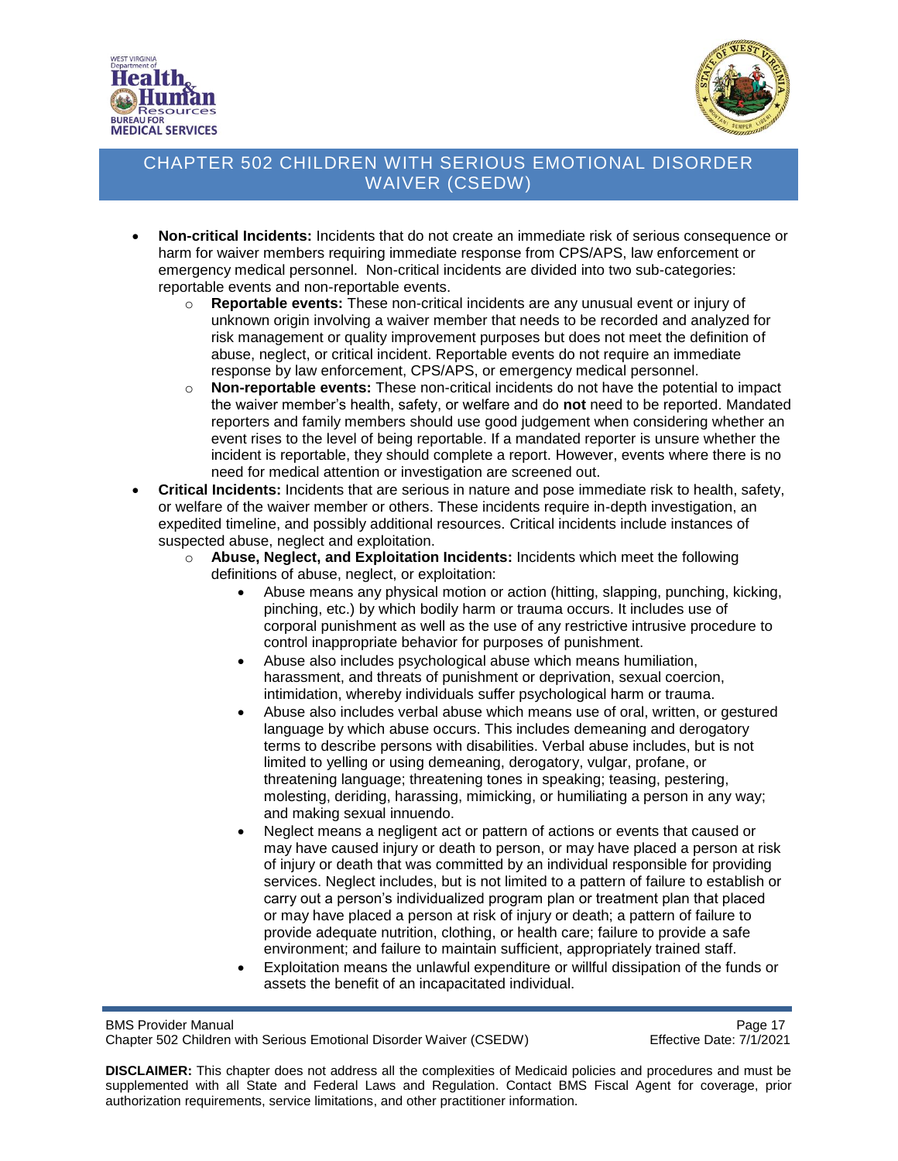



- **Non-critical Incidents:** Incidents that do not create an immediate risk of serious consequence or harm for waiver members requiring immediate response from CPS/APS, law enforcement or emergency medical personnel. Non-critical incidents are divided into two sub-categories: reportable events and non-reportable events.
	- o **Reportable events:** These non-critical incidents are any unusual event or injury of unknown origin involving a waiver member that needs to be recorded and analyzed for risk management or quality improvement purposes but does not meet the definition of abuse, neglect, or critical incident. Reportable events do not require an immediate response by law enforcement, CPS/APS, or emergency medical personnel.
	- o **Non-reportable events:** These non-critical incidents do not have the potential to impact the waiver member's health, safety, or welfare and do **not** need to be reported. Mandated reporters and family members should use good judgement when considering whether an event rises to the level of being reportable. If a mandated reporter is unsure whether the incident is reportable, they should complete a report. However, events where there is no need for medical attention or investigation are screened out.
- **Critical Incidents:** Incidents that are serious in nature and pose immediate risk to health, safety, or welfare of the waiver member or others. These incidents require in-depth investigation, an expedited timeline, and possibly additional resources. Critical incidents include instances of suspected abuse, neglect and exploitation.
	- o **Abuse, Neglect, and Exploitation Incidents:** Incidents which meet the following definitions of abuse, neglect, or exploitation:
		- Abuse means any physical motion or action (hitting, slapping, punching, kicking, pinching, etc.) by which bodily harm or trauma occurs. It includes use of corporal punishment as well as the use of any restrictive intrusive procedure to control inappropriate behavior for purposes of punishment.
		- Abuse also includes psychological abuse which means humiliation, harassment, and threats of punishment or deprivation, sexual coercion, intimidation, whereby individuals suffer psychological harm or trauma.
		- Abuse also includes verbal abuse which means use of oral, written, or gestured language by which abuse occurs. This includes demeaning and derogatory terms to describe persons with disabilities. Verbal abuse includes, but is not limited to yelling or using demeaning, derogatory, vulgar, profane, or threatening language; threatening tones in speaking; teasing, pestering, molesting, deriding, harassing, mimicking, or humiliating a person in any way; and making sexual innuendo.
		- Neglect means a negligent act or pattern of actions or events that caused or may have caused injury or death to person, or may have placed a person at risk of injury or death that was committed by an individual responsible for providing services. Neglect includes, but is not limited to a pattern of failure to establish or carry out a person's individualized program plan or treatment plan that placed or may have placed a person at risk of injury or death; a pattern of failure to provide adequate nutrition, clothing, or health care; failure to provide a safe environment; and failure to maintain sufficient, appropriately trained staff.
		- Exploitation means the unlawful expenditure or willful dissipation of the funds or assets the benefit of an incapacitated individual.

BMS Provider Manual<br>Chapter 502 Children with Serious Emotional Disorder Waiver (CSEDW) Chapter Formulation Page 17 Chapter 502 Children with Serious Emotional Disorder Waiver (CSEDW)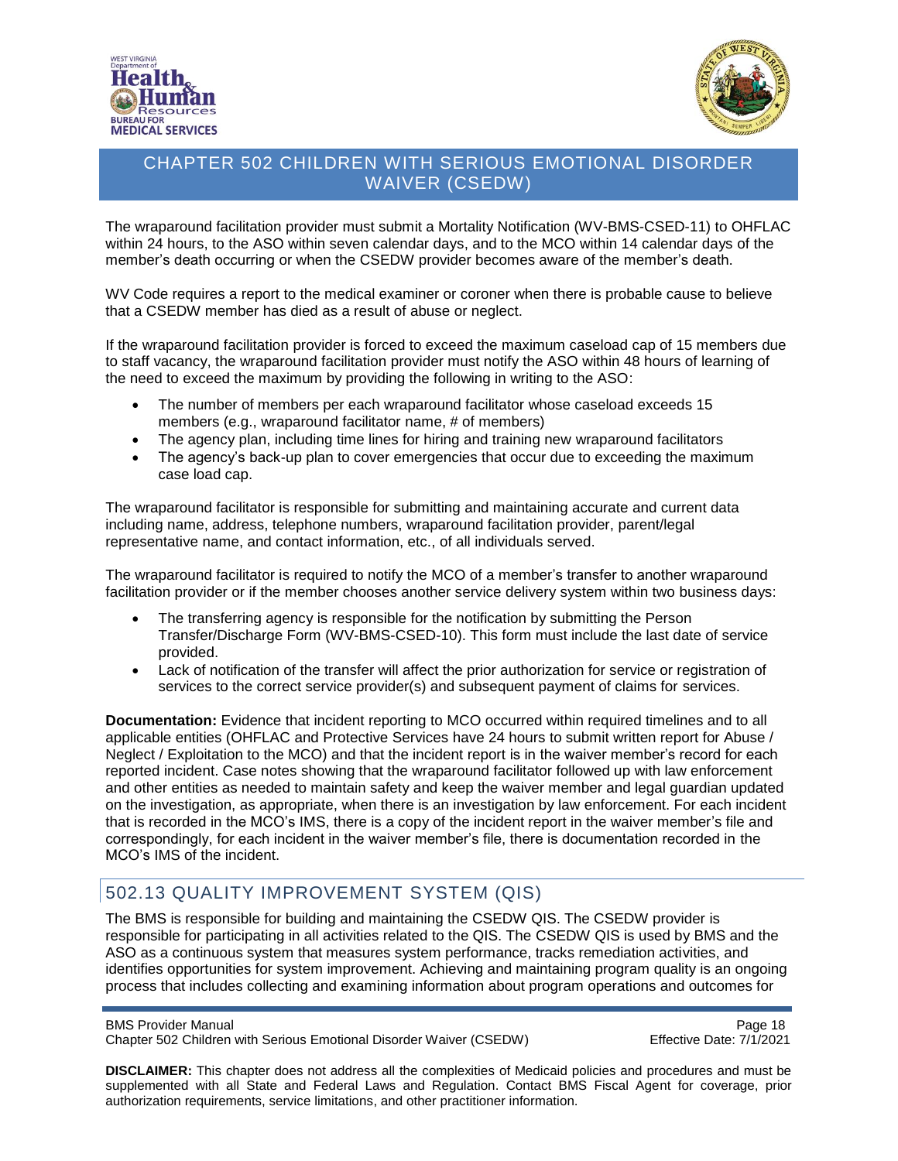



The wraparound facilitation provider must submit a Mortality Notification (WV-BMS-CSED-11) to OHFLAC within 24 hours, to the ASO within seven calendar days, and to the MCO within 14 calendar days of the member's death occurring or when the CSEDW provider becomes aware of the member's death.

WV Code requires a report to the medical examiner or coroner when there is probable cause to believe that a CSEDW member has died as a result of abuse or neglect.

If the wraparound facilitation provider is forced to exceed the maximum caseload cap of 15 members due to staff vacancy, the wraparound facilitation provider must notify the ASO within 48 hours of learning of the need to exceed the maximum by providing the following in writing to the ASO:

- The number of members per each wraparound facilitator whose caseload exceeds 15 members (e.g., wraparound facilitator name, # of members)
- The agency plan, including time lines for hiring and training new wraparound facilitators
- The agency's back-up plan to cover emergencies that occur due to exceeding the maximum case load cap.

The wraparound facilitator is responsible for submitting and maintaining accurate and current data including name, address, telephone numbers, wraparound facilitation provider, parent/legal representative name, and contact information, etc., of all individuals served.

The wraparound facilitator is required to notify the MCO of a member's transfer to another wraparound facilitation provider or if the member chooses another service delivery system within two business days:

- The transferring agency is responsible for the notification by submitting the Person Transfer/Discharge Form (WV-BMS-CSED-10). This form must include the last date of service provided.
- Lack of notification of the transfer will affect the prior authorization for service or registration of services to the correct service provider(s) and subsequent payment of claims for services.

**Documentation:** Evidence that incident reporting to MCO occurred within required timelines and to all applicable entities (OHFLAC and Protective Services have 24 hours to submit written report for Abuse / Neglect / Exploitation to the MCO) and that the incident report is in the waiver member's record for each reported incident. Case notes showing that the wraparound facilitator followed up with law enforcement and other entities as needed to maintain safety and keep the waiver member and legal guardian updated on the investigation, as appropriate, when there is an investigation by law enforcement. For each incident that is recorded in the MCO's IMS, there is a copy of the incident report in the waiver member's file and correspondingly, for each incident in the waiver member's file, there is documentation recorded in the MCO's IMS of the incident.

### <span id="page-17-0"></span>502.13 QUALITY IMPROVEMENT SYSTEM (QIS)

The BMS is responsible for building and maintaining the CSEDW QIS. The CSEDW provider is responsible for participating in all activities related to the QIS. The CSEDW QIS is used by BMS and the ASO as a continuous system that measures system performance, tracks remediation activities, and identifies opportunities for system improvement. Achieving and maintaining program quality is an ongoing process that includes collecting and examining information about program operations and outcomes for

BMS Provider Manual **Page 18** 

Chapter 502 Children with Serious Emotional Disorder Waiver (CSEDW) Effective Date: 7/1/2021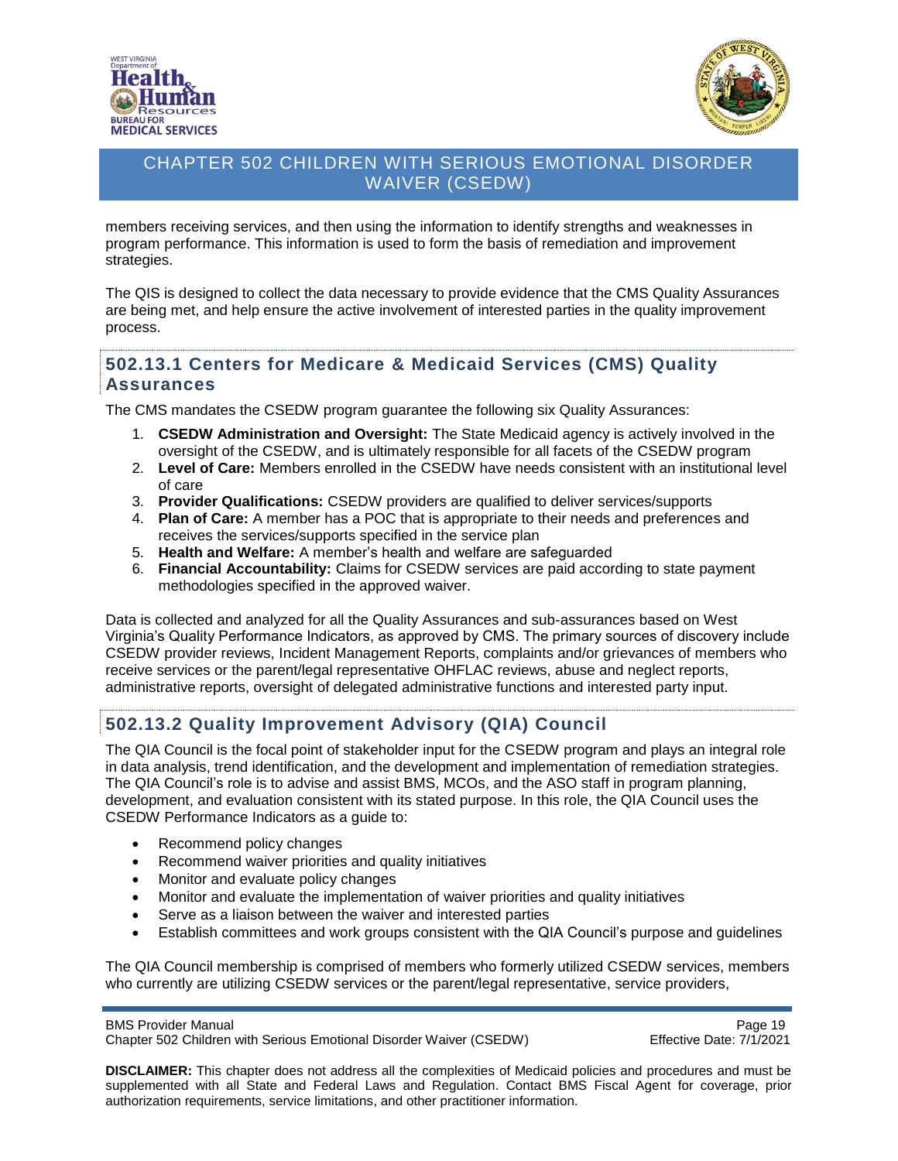



members receiving services, and then using the information to identify strengths and weaknesses in program performance. This information is used to form the basis of remediation and improvement strategies.

The QIS is designed to collect the data necessary to provide evidence that the CMS Quality Assurances are being met, and help ensure the active involvement of interested parties in the quality improvement process.

#### <span id="page-18-0"></span>**502.13.1 Centers for Medicare & Medicaid Services (CMS) Quality Assurances**

The CMS mandates the CSEDW program guarantee the following six Quality Assurances:

- 1. **CSEDW Administration and Oversight:** The State Medicaid agency is actively involved in the oversight of the CSEDW, and is ultimately responsible for all facets of the CSEDW program
- 2. **Level of Care:** Members enrolled in the CSEDW have needs consistent with an institutional level of care
- 3. **Provider Qualifications:** CSEDW providers are qualified to deliver services/supports
- 4. **Plan of Care:** A member has a POC that is appropriate to their needs and preferences and receives the services/supports specified in the service plan
- 5. **Health and Welfare:** A member's health and welfare are safeguarded
- 6. **Financial Accountability:** Claims for CSEDW services are paid according to state payment methodologies specified in the approved waiver.

Data is collected and analyzed for all the Quality Assurances and sub-assurances based on West Virginia's Quality Performance Indicators, as approved by CMS. The primary sources of discovery include CSEDW provider reviews, Incident Management Reports, complaints and/or grievances of members who receive services or the parent/legal representative OHFLAC reviews, abuse and neglect reports, administrative reports, oversight of delegated administrative functions and interested party input.

### <span id="page-18-1"></span>**502.13.2 Quality Improvement Advisory (QIA) Council**

The QIA Council is the focal point of stakeholder input for the CSEDW program and plays an integral role in data analysis, trend identification, and the development and implementation of remediation strategies. The QIA Council's role is to advise and assist BMS, MCOs, and the ASO staff in program planning, development, and evaluation consistent with its stated purpose. In this role, the QIA Council uses the CSEDW Performance Indicators as a guide to:

- Recommend policy changes
- Recommend waiver priorities and quality initiatives
- Monitor and evaluate policy changes
- Monitor and evaluate the implementation of waiver priorities and quality initiatives
- Serve as a liaison between the waiver and interested parties
- Establish committees and work groups consistent with the QIA Council's purpose and guidelines

The QIA Council membership is comprised of members who formerly utilized CSEDW services, members who currently are utilizing CSEDW services or the parent/legal representative, service providers,

#### BMS Provider Manual **Page 19** No. 2012 19 No. 2012 19:30 19:30 19:30 19:30 19:30 19:30 19:30 19:30 19:30 19:30 19:30 19:30 19:30 19:30 19:30 19:30 19:30 19:30 19:30 19:30 19:30 19:30 19:30 19:30 19:30 19:30 19:30 19:30 19:

Chapter 502 Children with Serious Emotional Disorder Waiver (CSEDW) Effective Date: 7/1/2021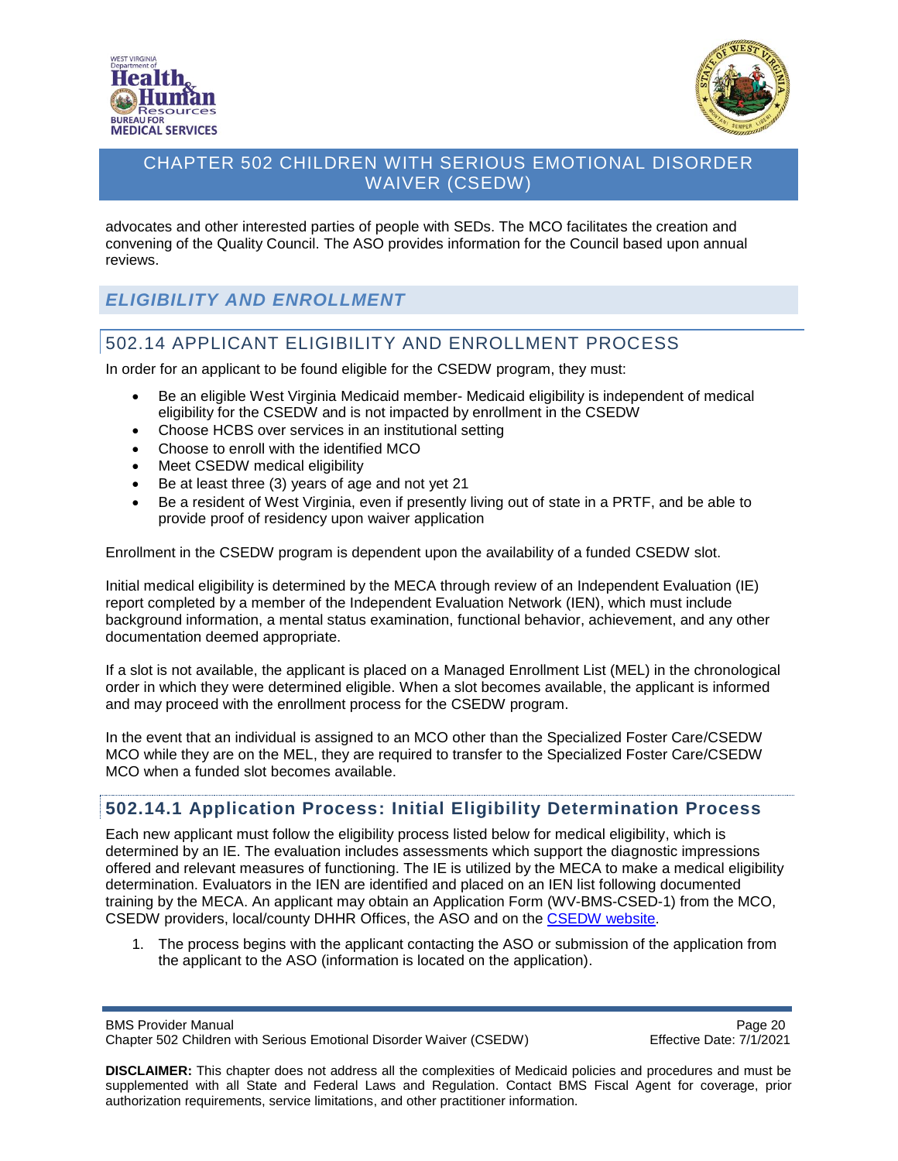



advocates and other interested parties of people with SEDs. The MCO facilitates the creation and convening of the Quality Council. The ASO provides information for the Council based upon annual reviews.

# <span id="page-19-0"></span>*ELIGIBILITY AND ENROLLMENT*

# <span id="page-19-1"></span>502.14 APPLICANT ELIGIBILITY AND ENROLLMENT PROCESS

In order for an applicant to be found eligible for the CSEDW program, they must:

- Be an eligible West Virginia Medicaid member- Medicaid eligibility is independent of medical eligibility for the CSEDW and is not impacted by enrollment in the CSEDW
- Choose HCBS over services in an institutional setting
- Choose to enroll with the identified MCO
- Meet CSEDW medical eligibility
- Be at least three (3) years of age and not yet 21
- Be a resident of West Virginia, even if presently living out of state in a PRTF, and be able to provide proof of residency upon waiver application

Enrollment in the CSEDW program is dependent upon the availability of a funded CSEDW slot.

Initial medical eligibility is determined by the MECA through review of an Independent Evaluation (IE) report completed by a member of the Independent Evaluation Network (IEN), which must include background information, a mental status examination, functional behavior, achievement, and any other documentation deemed appropriate.

If a slot is not available, the applicant is placed on a Managed Enrollment List (MEL) in the chronological order in which they were determined eligible. When a slot becomes available, the applicant is informed and may proceed with the enrollment process for the CSEDW program.

In the event that an individual is assigned to an MCO other than the Specialized Foster Care/CSEDW MCO while they are on the MEL, they are required to transfer to the Specialized Foster Care/CSEDW MCO when a funded slot becomes available.

### <span id="page-19-2"></span>**502.14.1 Application Process: Initial Eligibility Determination Process**

Each new applicant must follow the eligibility process listed below for medical eligibility, which is determined by an IE. The evaluation includes assessments which support the diagnostic impressions offered and relevant measures of functioning. The IE is utilized by the MECA to make a medical eligibility determination. Evaluators in the IEN are identified and placed on an IEN list following documented training by the MECA. An applicant may obtain an Application Form (WV-BMS-CSED-1) from the MCO, CSEDW providers, local/county DHHR Offices, the ASO and on the [CSEDW website.](https://dhhr.wv.gov/bms/Programs/WaiverPrograms/CSEDW/Pages/SED.aspx)

1. The process begins with the applicant contacting the ASO or submission of the application from the applicant to the ASO (information is located on the application).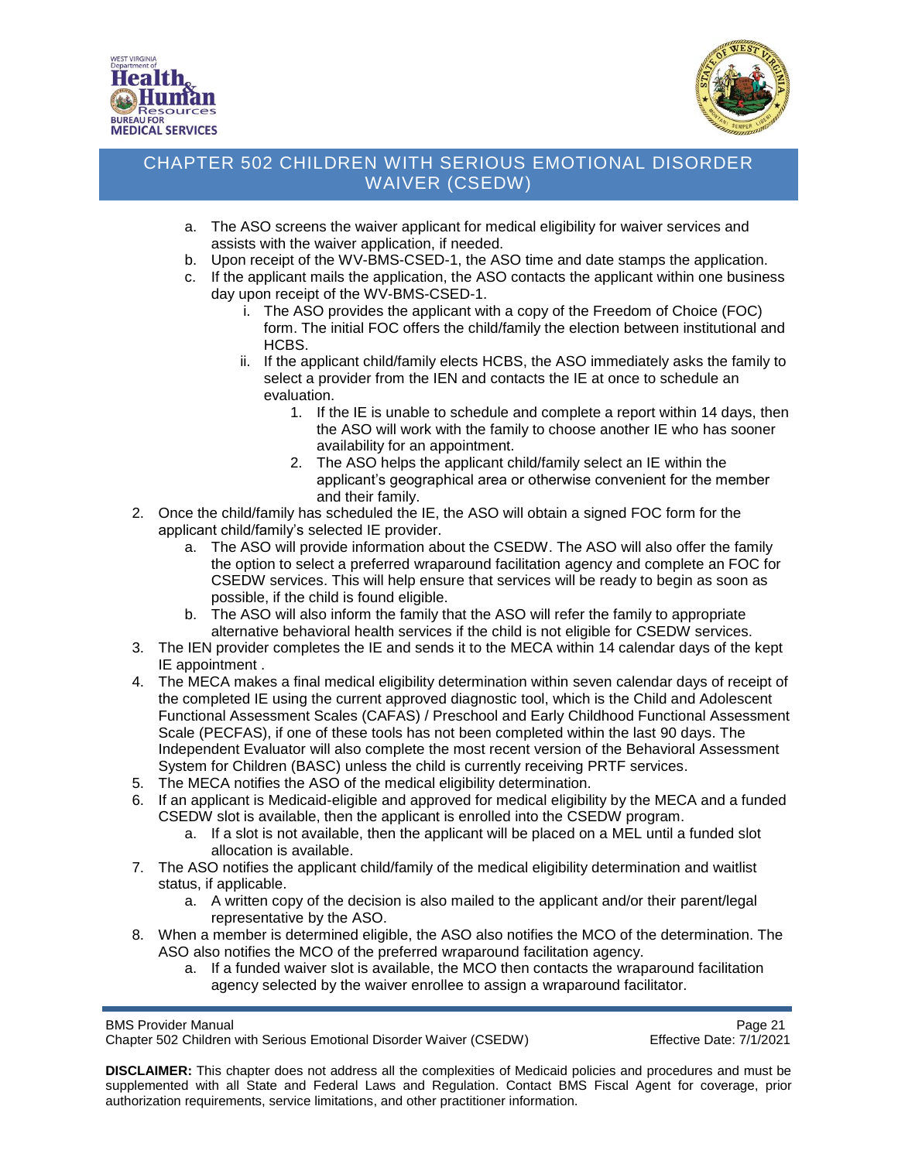



- a. The ASO screens the waiver applicant for medical eligibility for waiver services and assists with the waiver application, if needed.
- b. Upon receipt of the WV-BMS-CSED-1, the ASO time and date stamps the application.
- c. If the applicant mails the application, the ASO contacts the applicant within one business day upon receipt of the WV-BMS-CSED-1.
	- i. The ASO provides the applicant with a copy of the Freedom of Choice (FOC) form. The initial FOC offers the child/family the election between institutional and HCBS.
	- ii. If the applicant child/family elects HCBS, the ASO immediately asks the family to select a provider from the IEN and contacts the IE at once to schedule an evaluation.
		- 1. If the IE is unable to schedule and complete a report within 14 days, then the ASO will work with the family to choose another IE who has sooner availability for an appointment.
		- 2. The ASO helps the applicant child/family select an IE within the applicant's geographical area or otherwise convenient for the member and their family.
- 2. Once the child/family has scheduled the IE, the ASO will obtain a signed FOC form for the applicant child/family's selected IE provider.
	- a. The ASO will provide information about the CSEDW. The ASO will also offer the family the option to select a preferred wraparound facilitation agency and complete an FOC for CSEDW services. This will help ensure that services will be ready to begin as soon as possible, if the child is found eligible.
	- b. The ASO will also inform the family that the ASO will refer the family to appropriate alternative behavioral health services if the child is not eligible for CSEDW services.
- 3. The IEN provider completes the IE and sends it to the MECA within 14 calendar days of the kept IE appointment .
- 4. The MECA makes a final medical eligibility determination within seven calendar days of receipt of the completed IE using the current approved diagnostic tool, which is the Child and Adolescent Functional Assessment Scales (CAFAS) / Preschool and Early Childhood Functional Assessment Scale (PECFAS), if one of these tools has not been completed within the last 90 days. The Independent Evaluator will also complete the most recent version of the Behavioral Assessment System for Children (BASC) unless the child is currently receiving PRTF services.
- 5. The MECA notifies the ASO of the medical eligibility determination.
- 6. If an applicant is Medicaid-eligible and approved for medical eligibility by the MECA and a funded CSEDW slot is available, then the applicant is enrolled into the CSEDW program.
	- a. If a slot is not available, then the applicant will be placed on a MEL until a funded slot allocation is available.
- 7. The ASO notifies the applicant child/family of the medical eligibility determination and waitlist status, if applicable.
	- a. A written copy of the decision is also mailed to the applicant and/or their parent/legal representative by the ASO.
- 8. When a member is determined eligible, the ASO also notifies the MCO of the determination. The ASO also notifies the MCO of the preferred wraparound facilitation agency.
	- a. If a funded waiver slot is available, the MCO then contacts the wraparound facilitation agency selected by the waiver enrollee to assign a wraparound facilitator.

BMS Provider Manual **Page 21 Page 21** 

Chapter 502 Children with Serious Emotional Disorder Waiver (CSEDW) Effective Date: 7/1/2021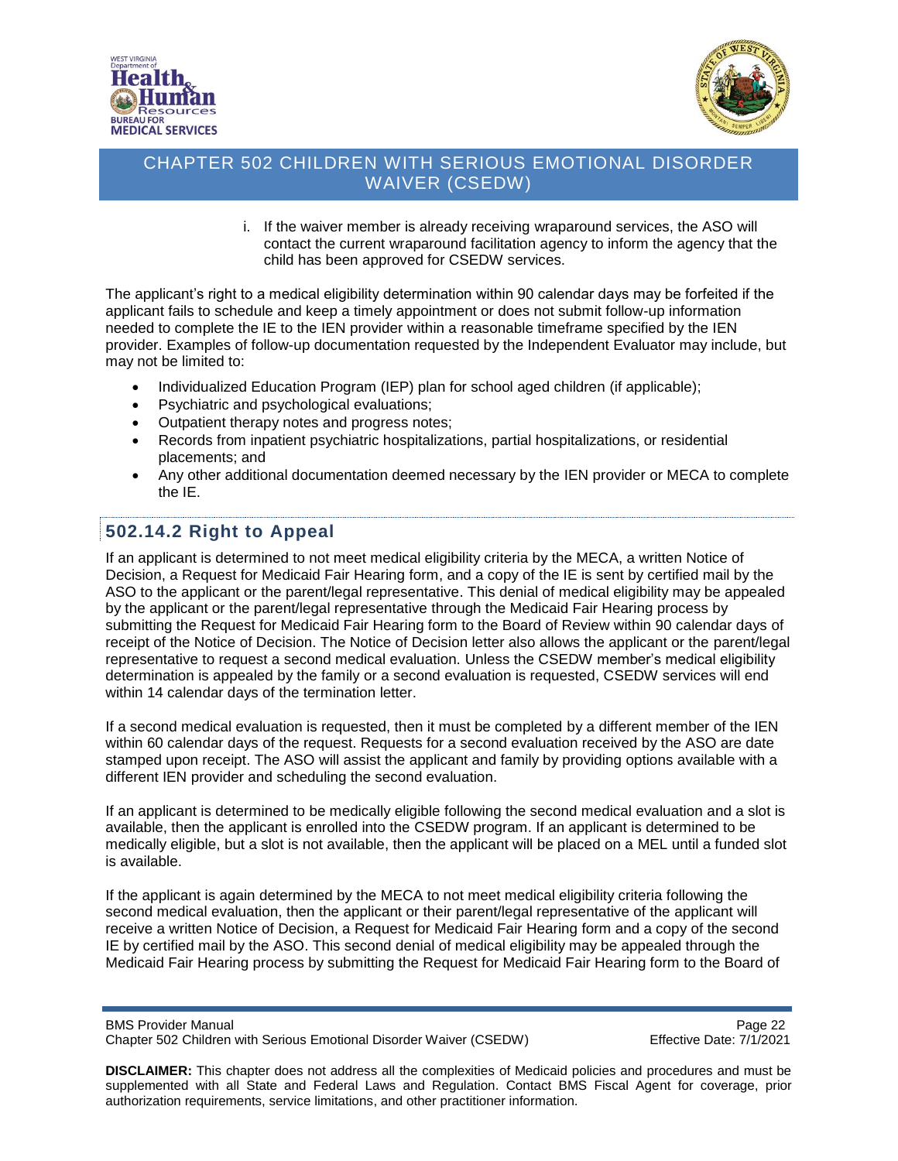



i. If the waiver member is already receiving wraparound services, the ASO will contact the current wraparound facilitation agency to inform the agency that the child has been approved for CSEDW services.

The applicant's right to a medical eligibility determination within 90 calendar days may be forfeited if the applicant fails to schedule and keep a timely appointment or does not submit follow-up information needed to complete the IE to the IEN provider within a reasonable timeframe specified by the IEN provider. Examples of follow-up documentation requested by the Independent Evaluator may include, but may not be limited to:

- Individualized Education Program (IEP) plan for school aged children (if applicable);
- Psychiatric and psychological evaluations;
- Outpatient therapy notes and progress notes;
- Records from inpatient psychiatric hospitalizations, partial hospitalizations, or residential placements; and
- Any other additional documentation deemed necessary by the IEN provider or MECA to complete the IE.

# <span id="page-21-0"></span>**502.14.2 Right to Appeal**

If an applicant is determined to not meet medical eligibility criteria by the MECA, a written Notice of Decision, a Request for Medicaid Fair Hearing form, and a copy of the IE is sent by certified mail by the ASO to the applicant or the parent/legal representative. This denial of medical eligibility may be appealed by the applicant or the parent/legal representative through the Medicaid Fair Hearing process by submitting the Request for Medicaid Fair Hearing form to the Board of Review within 90 calendar days of receipt of the Notice of Decision. The Notice of Decision letter also allows the applicant or the parent/legal representative to request a second medical evaluation. Unless the CSEDW member's medical eligibility determination is appealed by the family or a second evaluation is requested, CSEDW services will end within 14 calendar days of the termination letter.

If a second medical evaluation is requested, then it must be completed by a different member of the IEN within 60 calendar days of the request. Requests for a second evaluation received by the ASO are date stamped upon receipt. The ASO will assist the applicant and family by providing options available with a different IEN provider and scheduling the second evaluation.

If an applicant is determined to be medically eligible following the second medical evaluation and a slot is available, then the applicant is enrolled into the CSEDW program. If an applicant is determined to be medically eligible, but a slot is not available, then the applicant will be placed on a MEL until a funded slot is available.

If the applicant is again determined by the MECA to not meet medical eligibility criteria following the second medical evaluation, then the applicant or their parent/legal representative of the applicant will receive a written Notice of Decision, a Request for Medicaid Fair Hearing form and a copy of the second IE by certified mail by the ASO. This second denial of medical eligibility may be appealed through the Medicaid Fair Hearing process by submitting the Request for Medicaid Fair Hearing form to the Board of

BMS Provider Manual<br>Chapter 502 Children with Serious Emotional Disorder Waiver (CSEDW) Page 22<br>Effective Date: 7/1/2021 Chapter 502 Children with Serious Emotional Disorder Waiver (CSEDW)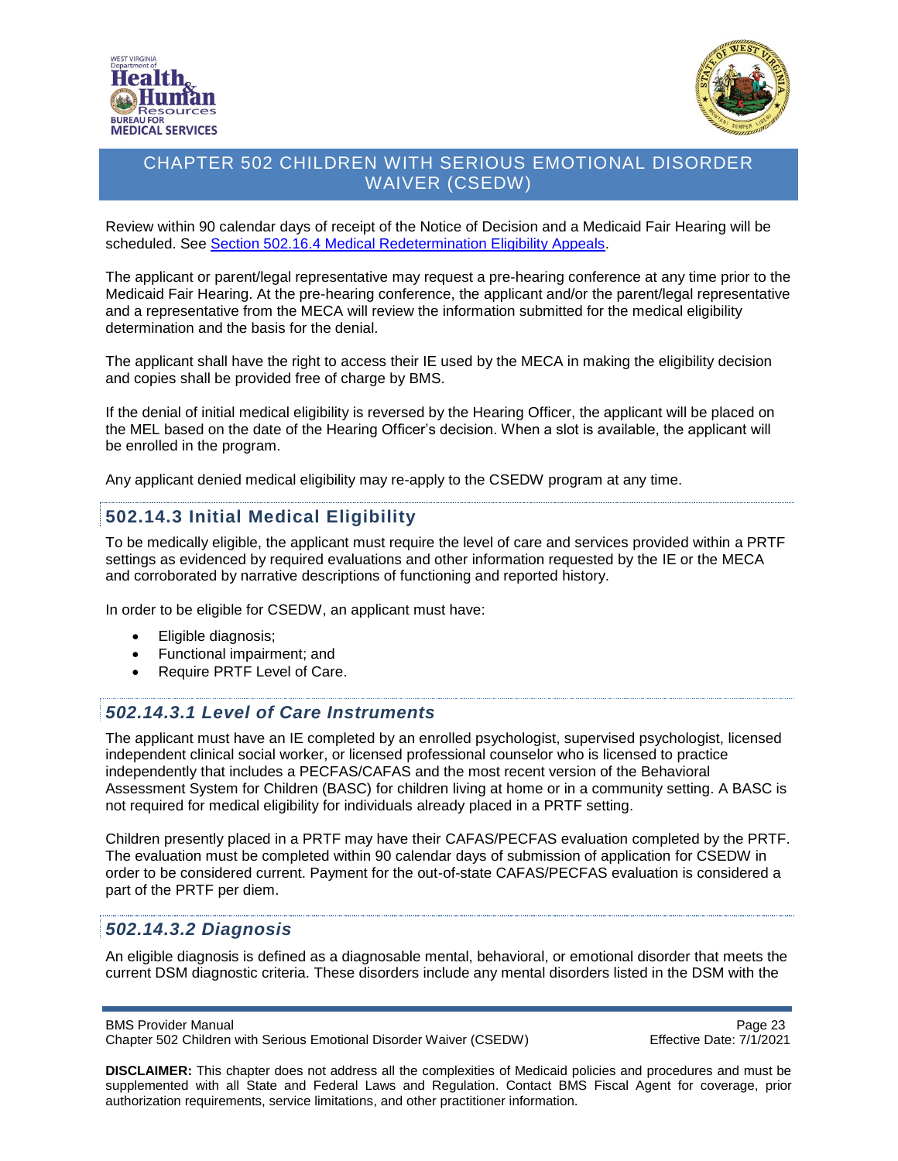

<span id="page-22-0"></span>

Review within 90 calendar days of receipt of the Notice of Decision and a Medicaid Fair Hearing will be scheduled. See [Section 502.16.4 Medical Redetermination Eligibility Appeals.](#page-27-1)

The applicant or parent/legal representative may request a pre-hearing conference at any time prior to the Medicaid Fair Hearing. At the pre-hearing conference, the applicant and/or the parent/legal representative and a representative from the MECA will review the information submitted for the medical eligibility determination and the basis for the denial.

The applicant shall have the right to access their IE used by the MECA in making the eligibility decision and copies shall be provided free of charge by BMS.

If the denial of initial medical eligibility is reversed by the Hearing Officer, the applicant will be placed on the MEL based on the date of the Hearing Officer's decision. When a slot is available, the applicant will be enrolled in the program.

Any applicant denied medical eligibility may re-apply to the CSEDW program at any time.

### **502.14.3 Initial Medical Eligibility**

To be medically eligible, the applicant must require the level of care and services provided within a PRTF settings as evidenced by required evaluations and other information requested by the IE or the MECA and corroborated by narrative descriptions of functioning and reported history.

In order to be eligible for CSEDW, an applicant must have:

- Eligible diagnosis;
- Functional impairment; and
- Require PRTF Level of Care.

#### <span id="page-22-1"></span>*502.14.3.1 Level of Care Instruments*

The applicant must have an IE completed by an enrolled psychologist, supervised psychologist, licensed independent clinical social worker, or licensed professional counselor who is licensed to practice independently that includes a PECFAS/CAFAS and the most recent version of the Behavioral Assessment System for Children (BASC) for children living at home or in a community setting. A BASC is not required for medical eligibility for individuals already placed in a PRTF setting.

Children presently placed in a PRTF may have their CAFAS/PECFAS evaluation completed by the PRTF. The evaluation must be completed within 90 calendar days of submission of application for CSEDW in order to be considered current. Payment for the out-of-state CAFAS/PECFAS evaluation is considered a part of the PRTF per diem.

#### <span id="page-22-2"></span>*502.14.3.2 Diagnosis*

An eligible diagnosis is defined as a diagnosable mental, behavioral, or emotional disorder that meets the current DSM diagnostic criteria. These disorders include any mental disorders listed in the DSM with the

#### BMS Provider Manual **Page 23 Page 23**

Chapter 502 Children with Serious Emotional Disorder Waiver (CSEDW) Effective Date: 7/1/2021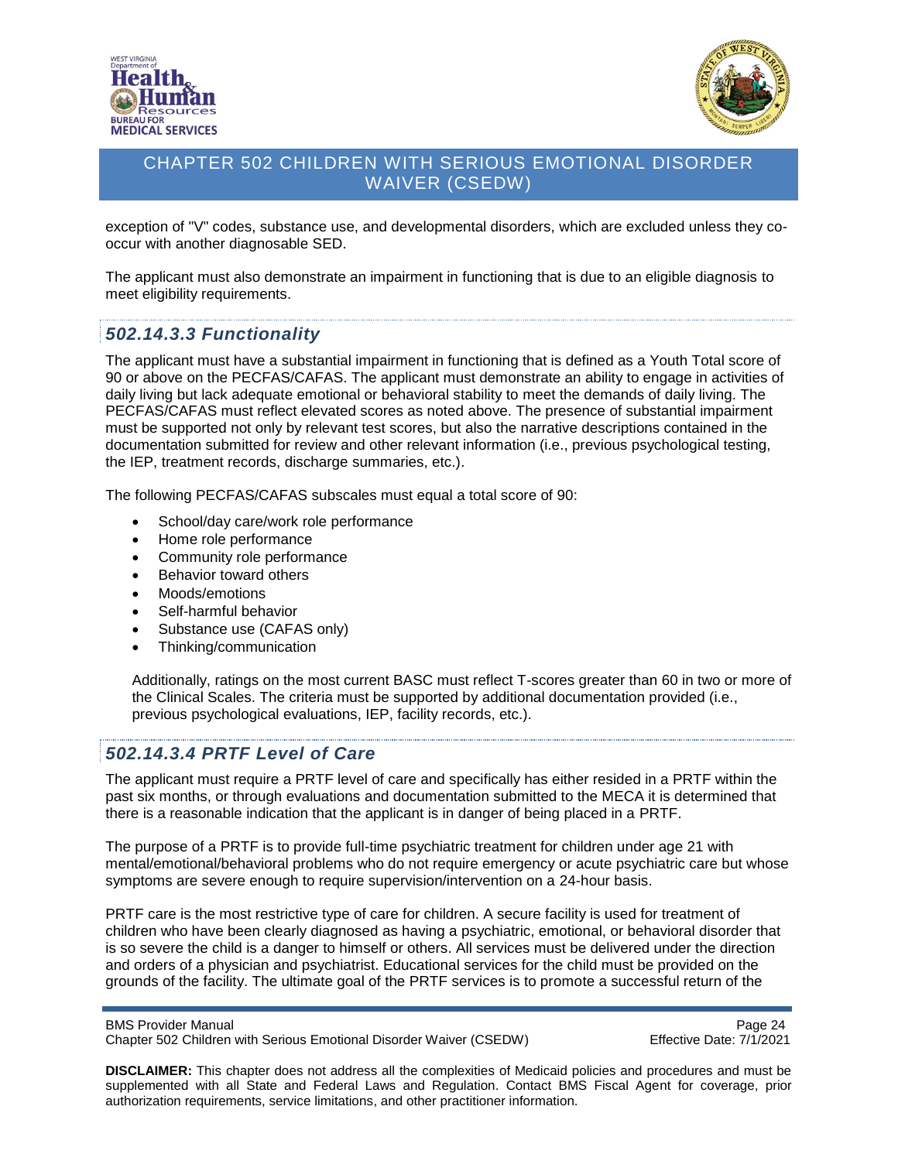



exception of "V" codes, substance use, and developmental disorders, which are excluded unless they cooccur with another diagnosable SED.

The applicant must also demonstrate an impairment in functioning that is due to an eligible diagnosis to meet eligibility requirements.

#### <span id="page-23-0"></span>*502.14.3.3 Functionality*

The applicant must have a substantial impairment in functioning that is defined as a Youth Total score of 90 or above on the PECFAS/CAFAS. The applicant must demonstrate an ability to engage in activities of daily living but lack adequate emotional or behavioral stability to meet the demands of daily living. The PECFAS/CAFAS must reflect elevated scores as noted above. The presence of substantial impairment must be supported not only by relevant test scores, but also the narrative descriptions contained in the documentation submitted for review and other relevant information (i.e., previous psychological testing, the IEP, treatment records, discharge summaries, etc.).

The following PECFAS/CAFAS subscales must equal a total score of 90:

- School/day care/work role performance
- Home role performance
- Community role performance
- Behavior toward others
- Moods/emotions
- Self-harmful behavior
- Substance use (CAFAS only)
- Thinking/communication

Additionally, ratings on the most current BASC must reflect T-scores greater than 60 in two or more of the Clinical Scales. The criteria must be supported by additional documentation provided (i.e., previous psychological evaluations, IEP, facility records, etc.).

#### <span id="page-23-1"></span>*502.14.3.4 PRTF Level of Care*

The applicant must require a PRTF level of care and specifically has either resided in a PRTF within the past six months, or through evaluations and documentation submitted to the MECA it is determined that there is a reasonable indication that the applicant is in danger of being placed in a PRTF.

The purpose of a PRTF is to provide full-time psychiatric treatment for children under age 21 with mental/emotional/behavioral problems who do not require emergency or acute psychiatric care but whose symptoms are severe enough to require supervision/intervention on a 24-hour basis.

PRTF care is the most restrictive type of care for children. A secure facility is used for treatment of children who have been clearly diagnosed as having a psychiatric, emotional, or behavioral disorder that is so severe the child is a danger to himself or others. All services must be delivered under the direction and orders of a physician and psychiatrist. Educational services for the child must be provided on the grounds of the facility. The ultimate goal of the PRTF services is to promote a successful return of the

```
BMS Provider Manual Page 24
Chapter 502 Children with Serious Emotional Disorder Waiver (CSEDW) Effective Date: 7/1/2021
```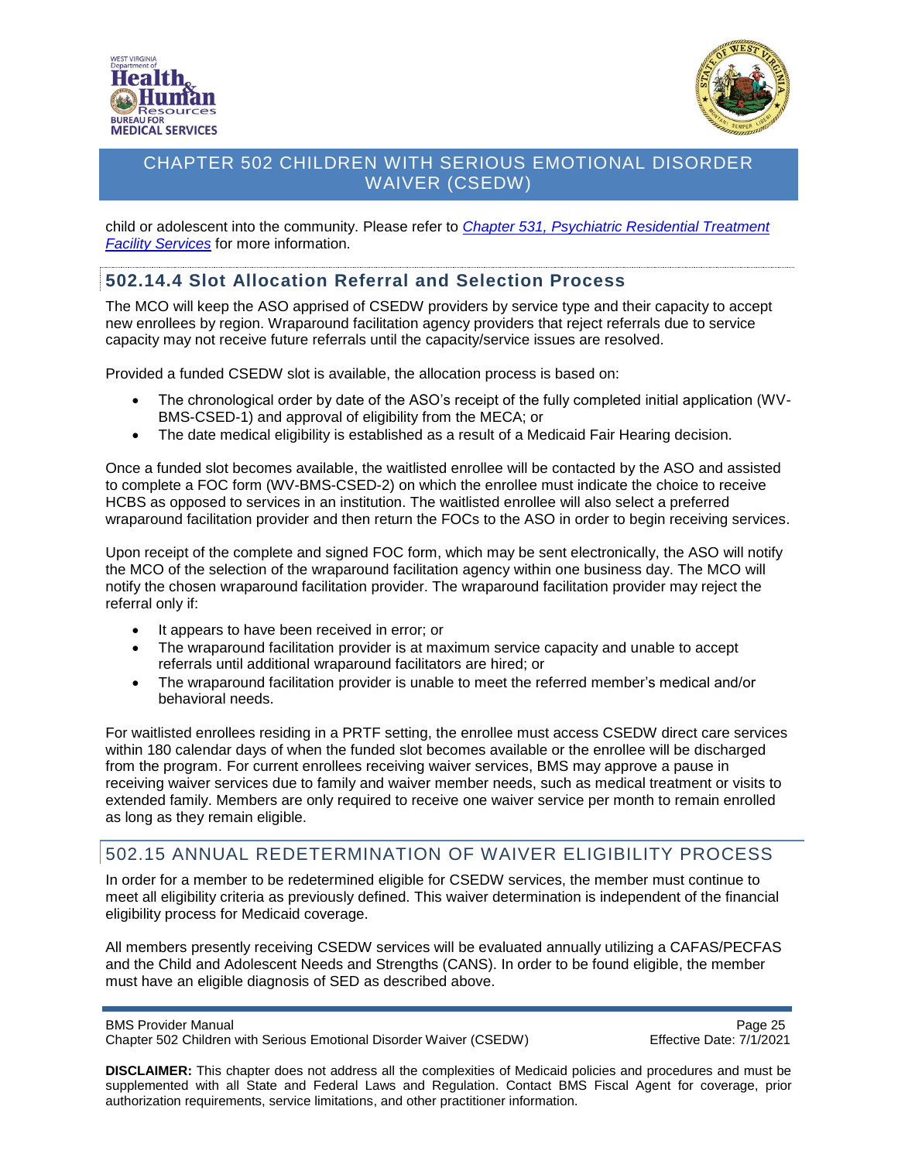



child or adolescent into the community. Please refer to *[Chapter 531, Psychiatric Residential Treatment](https://dhhr.wv.gov/bms/pages/manuals.aspx)  [Facility Services](https://dhhr.wv.gov/bms/pages/manuals.aspx)* for more information.

#### <span id="page-24-0"></span>**502.14.4 Slot Allocation Referral and Selection Process**

The MCO will keep the ASO apprised of CSEDW providers by service type and their capacity to accept new enrollees by region. Wraparound facilitation agency providers that reject referrals due to service capacity may not receive future referrals until the capacity/service issues are resolved.

Provided a funded CSEDW slot is available, the allocation process is based on:

- The chronological order by date of the ASO's receipt of the fully completed initial application (WV-BMS-CSED-1) and approval of eligibility from the MECA; or
- The date medical eligibility is established as a result of a Medicaid Fair Hearing decision.

Once a funded slot becomes available, the waitlisted enrollee will be contacted by the ASO and assisted to complete a FOC form (WV-BMS-CSED-2) on which the enrollee must indicate the choice to receive HCBS as opposed to services in an institution. The waitlisted enrollee will also select a preferred wraparound facilitation provider and then return the FOCs to the ASO in order to begin receiving services.

Upon receipt of the complete and signed FOC form, which may be sent electronically, the ASO will notify the MCO of the selection of the wraparound facilitation agency within one business day. The MCO will notify the chosen wraparound facilitation provider. The wraparound facilitation provider may reject the referral only if:

- It appears to have been received in error; or
- The wraparound facilitation provider is at maximum service capacity and unable to accept referrals until additional wraparound facilitators are hired; or
- The wraparound facilitation provider is unable to meet the referred member's medical and/or behavioral needs.

For waitlisted enrollees residing in a PRTF setting, the enrollee must access CSEDW direct care services within 180 calendar days of when the funded slot becomes available or the enrollee will be discharged from the program. For current enrollees receiving waiver services, BMS may approve a pause in receiving waiver services due to family and waiver member needs, such as medical treatment or visits to extended family. Members are only required to receive one waiver service per month to remain enrolled as long as they remain eligible.

### <span id="page-24-1"></span>502.15 ANNUAL REDETERMINATION OF WAIVER ELIGIBILITY PROCESS

In order for a member to be redetermined eligible for CSEDW services, the member must continue to meet all eligibility criteria as previously defined. This waiver determination is independent of the financial eligibility process for Medicaid coverage.

All members presently receiving CSEDW services will be evaluated annually utilizing a CAFAS/PECFAS and the Child and Adolescent Needs and Strengths (CANS). In order to be found eligible, the member must have an eligible diagnosis of SED as described above.

BMS Provider Manual **Page 25** 

Chapter 502 Children with Serious Emotional Disorder Waiver (CSEDW) Effective Date: 7/1/2021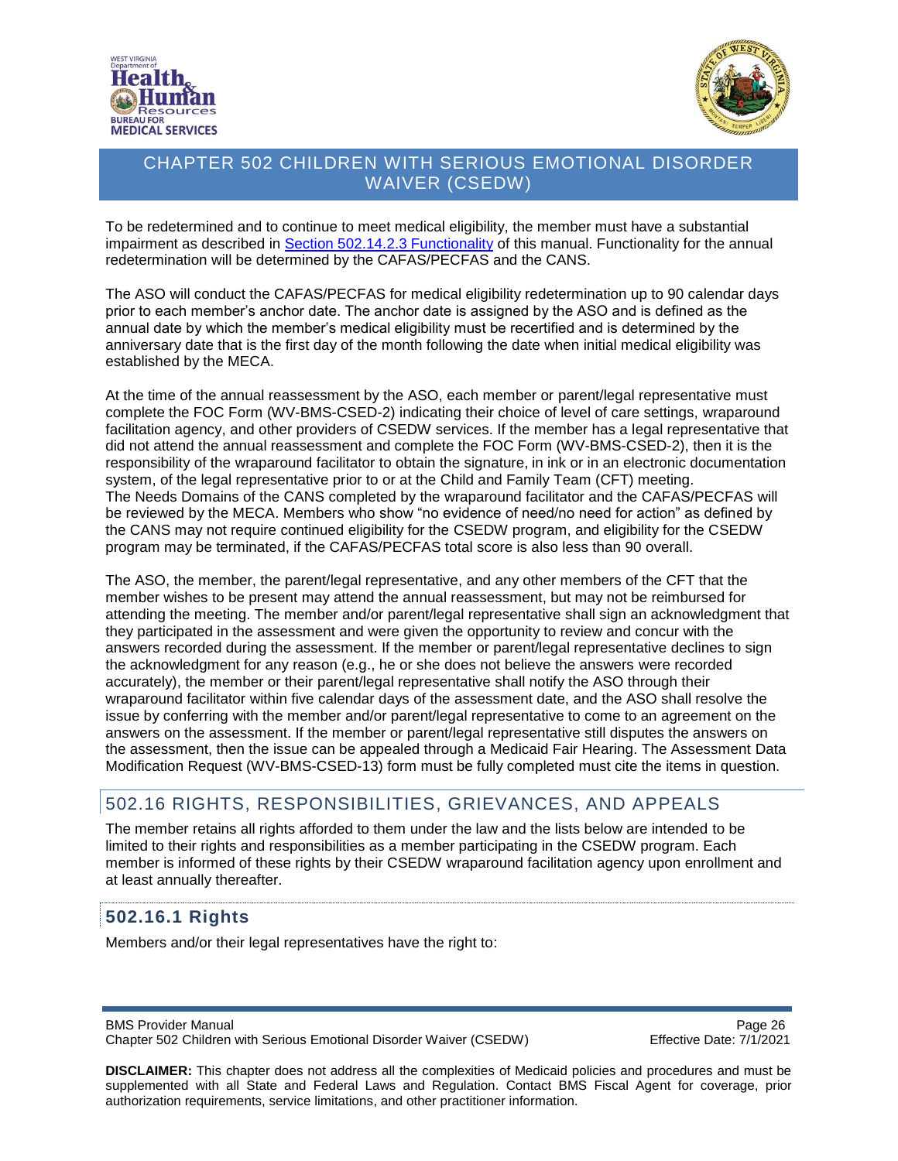



To be redetermined and to continue to meet medical eligibility, the member must have a substantial impairment as described in Section [502.14.2.3 Functionality](#page-23-0) of this manual. Functionality for the annual redetermination will be determined by the CAFAS/PECFAS and the CANS.

The ASO will conduct the CAFAS/PECFAS for medical eligibility redetermination up to 90 calendar days prior to each member's anchor date. The anchor date is assigned by the ASO and is defined as the annual date by which the member's medical eligibility must be recertified and is determined by the anniversary date that is the first day of the month following the date when initial medical eligibility was established by the MECA.

At the time of the annual reassessment by the ASO, each member or parent/legal representative must complete the FOC Form (WV-BMS-CSED-2) indicating their choice of level of care settings, wraparound facilitation agency, and other providers of CSEDW services. If the member has a legal representative that did not attend the annual reassessment and complete the FOC Form (WV-BMS-CSED-2), then it is the responsibility of the wraparound facilitator to obtain the signature, in ink or in an electronic documentation system, of the legal representative prior to or at the Child and Family Team (CFT) meeting. The Needs Domains of the CANS completed by the wraparound facilitator and the CAFAS/PECFAS will be reviewed by the MECA. Members who show "no evidence of need/no need for action" as defined by the CANS may not require continued eligibility for the CSEDW program, and eligibility for the CSEDW program may be terminated, if the CAFAS/PECFAS total score is also less than 90 overall.

The ASO, the member, the parent/legal representative, and any other members of the CFT that the member wishes to be present may attend the annual reassessment, but may not be reimbursed for attending the meeting. The member and/or parent/legal representative shall sign an acknowledgment that they participated in the assessment and were given the opportunity to review and concur with the answers recorded during the assessment. If the member or parent/legal representative declines to sign the acknowledgment for any reason (e.g., he or she does not believe the answers were recorded accurately), the member or their parent/legal representative shall notify the ASO through their wraparound facilitator within five calendar days of the assessment date, and the ASO shall resolve the issue by conferring with the member and/or parent/legal representative to come to an agreement on the answers on the assessment. If the member or parent/legal representative still disputes the answers on the assessment, then the issue can be appealed through a Medicaid Fair Hearing. The Assessment Data Modification Request (WV-BMS-CSED-13) form must be fully completed must cite the items in question.

# <span id="page-25-0"></span>502.16 RIGHTS, RESPONSIBILITIES, GRIEVANCES, AND APPEALS

The member retains all rights afforded to them under the law and the lists below are intended to be limited to their rights and responsibilities as a member participating in the CSEDW program. Each member is informed of these rights by their CSEDW wraparound facilitation agency upon enrollment and at least annually thereafter.

# <span id="page-25-1"></span>**502.16.1 Rights**

Members and/or their legal representatives have the right to:

BMS Provider Manual **Page 26** Chapter 502 Children with Serious Emotional Disorder Waiver (CSEDW) Effective Date: 7/1/2021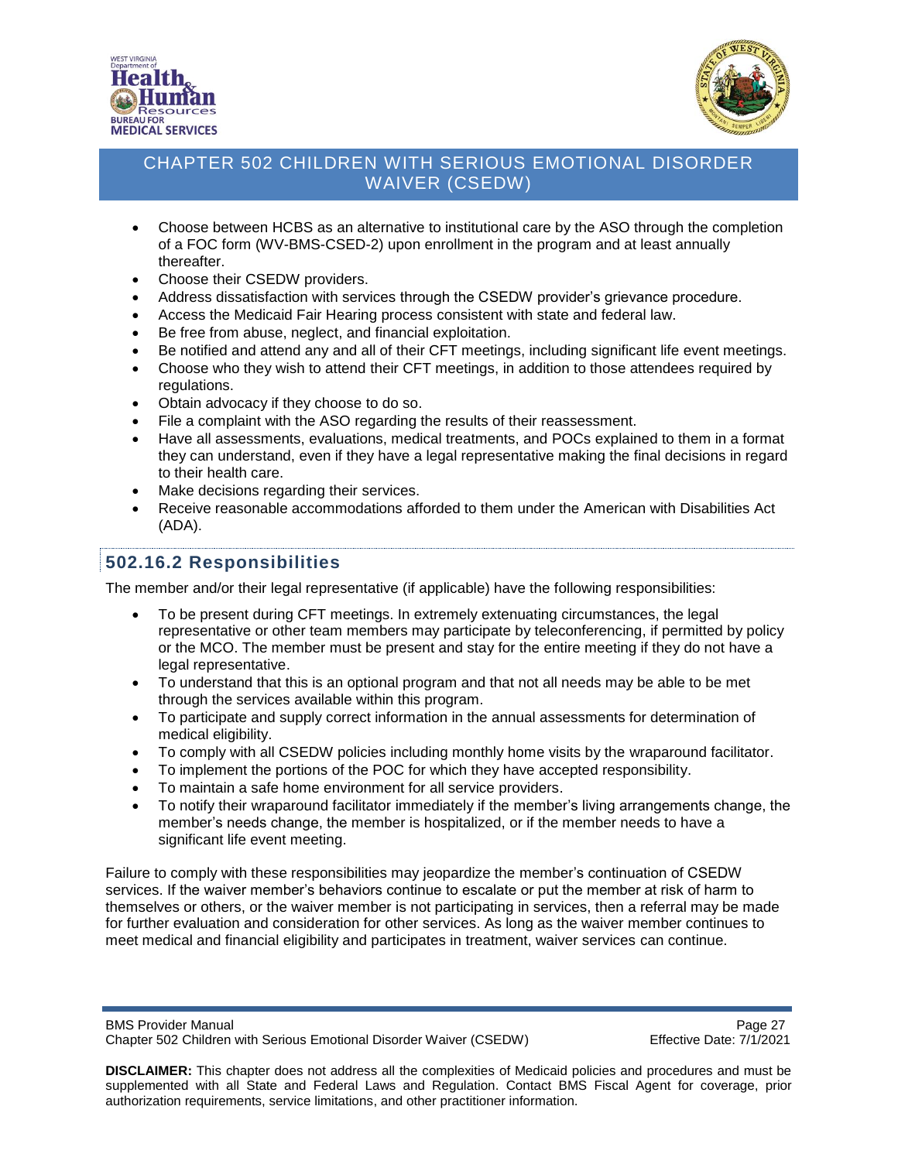



- Choose between HCBS as an alternative to institutional care by the ASO through the completion of a FOC form (WV-BMS-CSED-2) upon enrollment in the program and at least annually thereafter.
- Choose their CSEDW providers.
- Address dissatisfaction with services through the CSEDW provider's grievance procedure.
- Access the Medicaid Fair Hearing process consistent with state and federal law.
- Be free from abuse, neglect, and financial exploitation.
- Be notified and attend any and all of their CFT meetings, including significant life event meetings.
- Choose who they wish to attend their CFT meetings, in addition to those attendees required by regulations.
- Obtain advocacy if they choose to do so.
- File a complaint with the ASO regarding the results of their reassessment.
- Have all assessments, evaluations, medical treatments, and POCs explained to them in a format they can understand, even if they have a legal representative making the final decisions in regard to their health care.
- Make decisions regarding their services.
- Receive reasonable accommodations afforded to them under the American with Disabilities Act (ADA).

# <span id="page-26-0"></span>**502.16.2 Responsibilities**

The member and/or their legal representative (if applicable) have the following responsibilities:

- To be present during CFT meetings. In extremely extenuating circumstances, the legal representative or other team members may participate by teleconferencing, if permitted by policy or the MCO. The member must be present and stay for the entire meeting if they do not have a legal representative.
- To understand that this is an optional program and that not all needs may be able to be met through the services available within this program.
- To participate and supply correct information in the annual assessments for determination of medical eligibility.
- To comply with all CSEDW policies including monthly home visits by the wraparound facilitator.
- To implement the portions of the POC for which they have accepted responsibility.
- To maintain a safe home environment for all service providers.
- To notify their wraparound facilitator immediately if the member's living arrangements change, the member's needs change, the member is hospitalized, or if the member needs to have a significant life event meeting.

Failure to comply with these responsibilities may jeopardize the member's continuation of CSEDW services. If the waiver member's behaviors continue to escalate or put the member at risk of harm to themselves or others, or the waiver member is not participating in services, then a referral may be made for further evaluation and consideration for other services. As long as the waiver member continues to meet medical and financial eligibility and participates in treatment, waiver services can continue.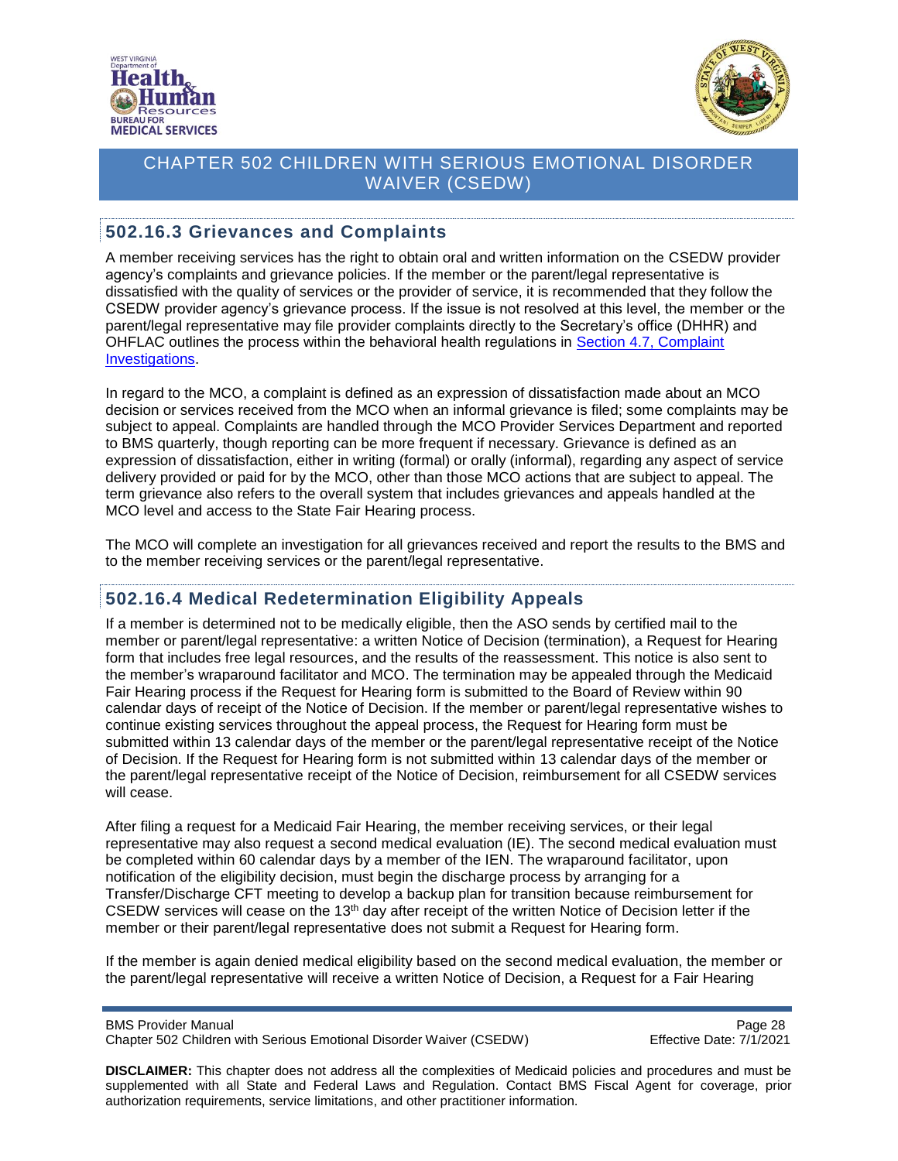



#### <span id="page-27-0"></span>**502.16.3 Grievances and Complaints**

A member receiving services has the right to obtain oral and written information on the CSEDW provider agency's complaints and grievance policies. If the member or the parent/legal representative is dissatisfied with the quality of services or the provider of service, it is recommended that they follow the CSEDW provider agency's grievance process. If the issue is not resolved at this level, the member or the parent/legal representative may file provider complaints directly to the Secretary's office (DHHR) and OHFLAC outlines the process within the behavioral health regulations in [Section 4.7,](http://apps.sos.wv.gov/adlaw/csr/readfile.aspx?DocId=51134&Format=PDF) Complaint [Investigations.](http://apps.sos.wv.gov/adlaw/csr/readfile.aspx?DocId=51134&Format=PDF)

In regard to the MCO, a complaint is defined as an expression of dissatisfaction made about an MCO decision or services received from the MCO when an informal grievance is filed; some complaints may be subject to appeal. Complaints are handled through the MCO Provider Services Department and reported to BMS quarterly, though reporting can be more frequent if necessary. Grievance is defined as an expression of dissatisfaction, either in writing (formal) or orally (informal), regarding any aspect of service delivery provided or paid for by the MCO, other than those MCO actions that are subject to appeal. The term grievance also refers to the overall system that includes grievances and appeals handled at the MCO level and access to the State Fair Hearing process.

The MCO will complete an investigation for all grievances received and report the results to the BMS and to the member receiving services or the parent/legal representative.

#### <span id="page-27-1"></span>**502.16.4 Medical Redetermination Eligibility Appeals**

If a member is determined not to be medically eligible, then the ASO sends by certified mail to the member or parent/legal representative: a written Notice of Decision (termination), a Request for Hearing form that includes free legal resources, and the results of the reassessment. This notice is also sent to the member's wraparound facilitator and MCO. The termination may be appealed through the Medicaid Fair Hearing process if the Request for Hearing form is submitted to the Board of Review within 90 calendar days of receipt of the Notice of Decision. If the member or parent/legal representative wishes to continue existing services throughout the appeal process, the Request for Hearing form must be submitted within 13 calendar days of the member or the parent/legal representative receipt of the Notice of Decision. If the Request for Hearing form is not submitted within 13 calendar days of the member or the parent/legal representative receipt of the Notice of Decision, reimbursement for all CSEDW services will cease.

After filing a request for a Medicaid Fair Hearing, the member receiving services, or their legal representative may also request a second medical evaluation (IE). The second medical evaluation must be completed within 60 calendar days by a member of the IEN. The wraparound facilitator, upon notification of the eligibility decision, must begin the discharge process by arranging for a Transfer/Discharge CFT meeting to develop a backup plan for transition because reimbursement for CSEDW services will cease on the 13<sup>th</sup> day after receipt of the written Notice of Decision letter if the member or their parent/legal representative does not submit a Request for Hearing form.

If the member is again denied medical eligibility based on the second medical evaluation, the member or the parent/legal representative will receive a written Notice of Decision, a Request for a Fair Hearing

BMS Provider Manual **Page 28** Chapter 502 Children with Serious Emotional Disorder Waiver (CSEDW) Effective Date: 7/1/2021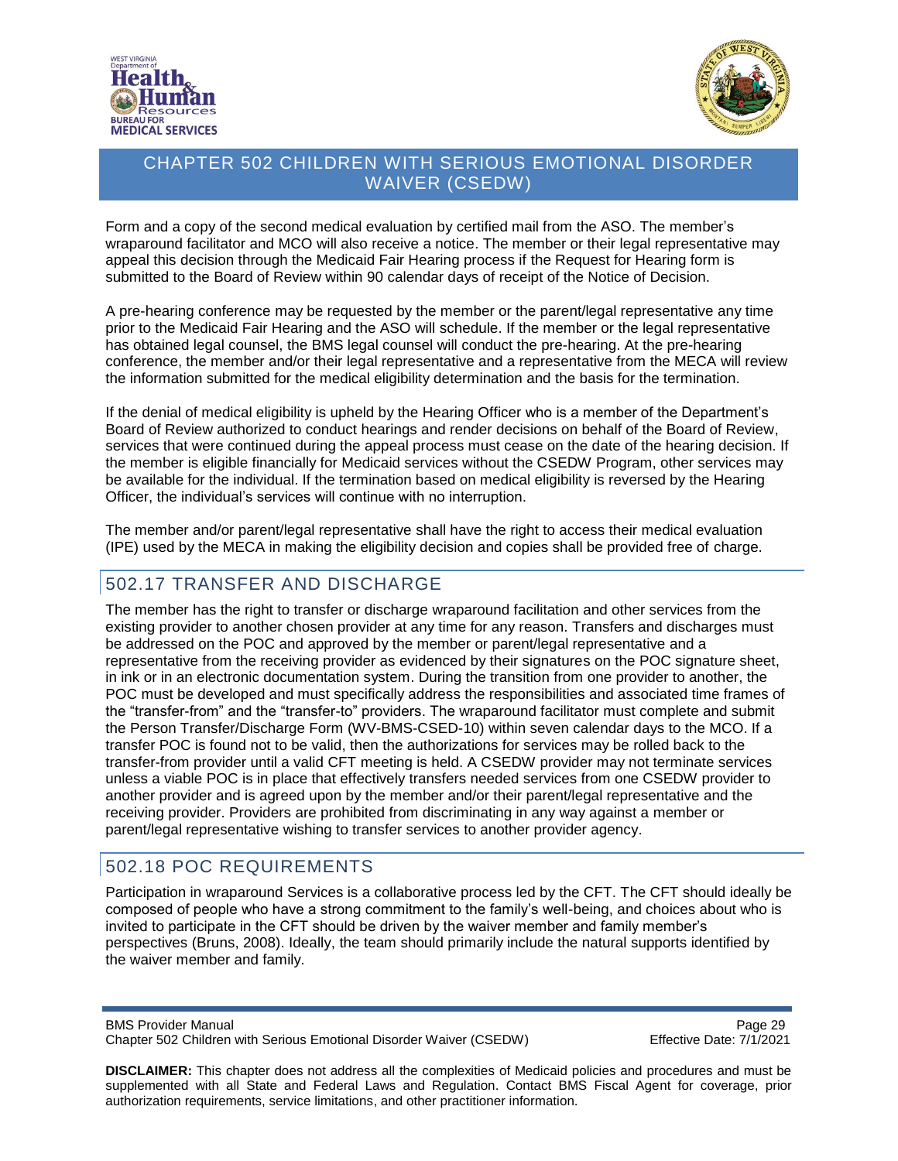



Form and a copy of the second medical evaluation by certified mail from the ASO. The member's wraparound facilitator and MCO will also receive a notice. The member or their legal representative may appeal this decision through the Medicaid Fair Hearing process if the Request for Hearing form is submitted to the Board of Review within 90 calendar days of receipt of the Notice of Decision.

A pre-hearing conference may be requested by the member or the parent/legal representative any time prior to the Medicaid Fair Hearing and the ASO will schedule. If the member or the legal representative has obtained legal counsel, the BMS legal counsel will conduct the pre-hearing. At the pre-hearing conference, the member and/or their legal representative and a representative from the MECA will review the information submitted for the medical eligibility determination and the basis for the termination.

If the denial of medical eligibility is upheld by the Hearing Officer who is a member of the Department's Board of Review authorized to conduct hearings and render decisions on behalf of the Board of Review, services that were continued during the appeal process must cease on the date of the hearing decision. If the member is eligible financially for Medicaid services without the CSEDW Program, other services may be available for the individual. If the termination based on medical eligibility is reversed by the Hearing Officer, the individual's services will continue with no interruption.

The member and/or parent/legal representative shall have the right to access their medical evaluation (IPE) used by the MECA in making the eligibility decision and copies shall be provided free of charge.

### <span id="page-28-0"></span>502.17 TRANSFER AND DISCHARGE

The member has the right to transfer or discharge wraparound facilitation and other services from the existing provider to another chosen provider at any time for any reason. Transfers and discharges must be addressed on the POC and approved by the member or parent/legal representative and a representative from the receiving provider as evidenced by their signatures on the POC signature sheet, in ink or in an electronic documentation system. During the transition from one provider to another, the POC must be developed and must specifically address the responsibilities and associated time frames of the "transfer-from" and the "transfer-to" providers. The wraparound facilitator must complete and submit the Person Transfer/Discharge Form (WV-BMS-CSED-10) within seven calendar days to the MCO. If a transfer POC is found not to be valid, then the authorizations for services may be rolled back to the transfer-from provider until a valid CFT meeting is held. A CSEDW provider may not terminate services unless a viable POC is in place that effectively transfers needed services from one CSEDW provider to another provider and is agreed upon by the member and/or their parent/legal representative and the receiving provider. Providers are prohibited from discriminating in any way against a member or parent/legal representative wishing to transfer services to another provider agency.

### <span id="page-28-1"></span>502.18 POC REQUIREMENTS

Participation in wraparound Services is a collaborative process led by the CFT. The CFT should ideally be composed of people who have a strong commitment to the family's well-being, and choices about who is invited to participate in the CFT should be driven by the waiver member and family member's perspectives (Bruns, 2008). Ideally, the team should primarily include the natural supports identified by the waiver member and family.

BMS Provider Manual **Page 29** Chapter 502 Children with Serious Emotional Disorder Waiver (CSEDW) Effective Date: 7/1/2021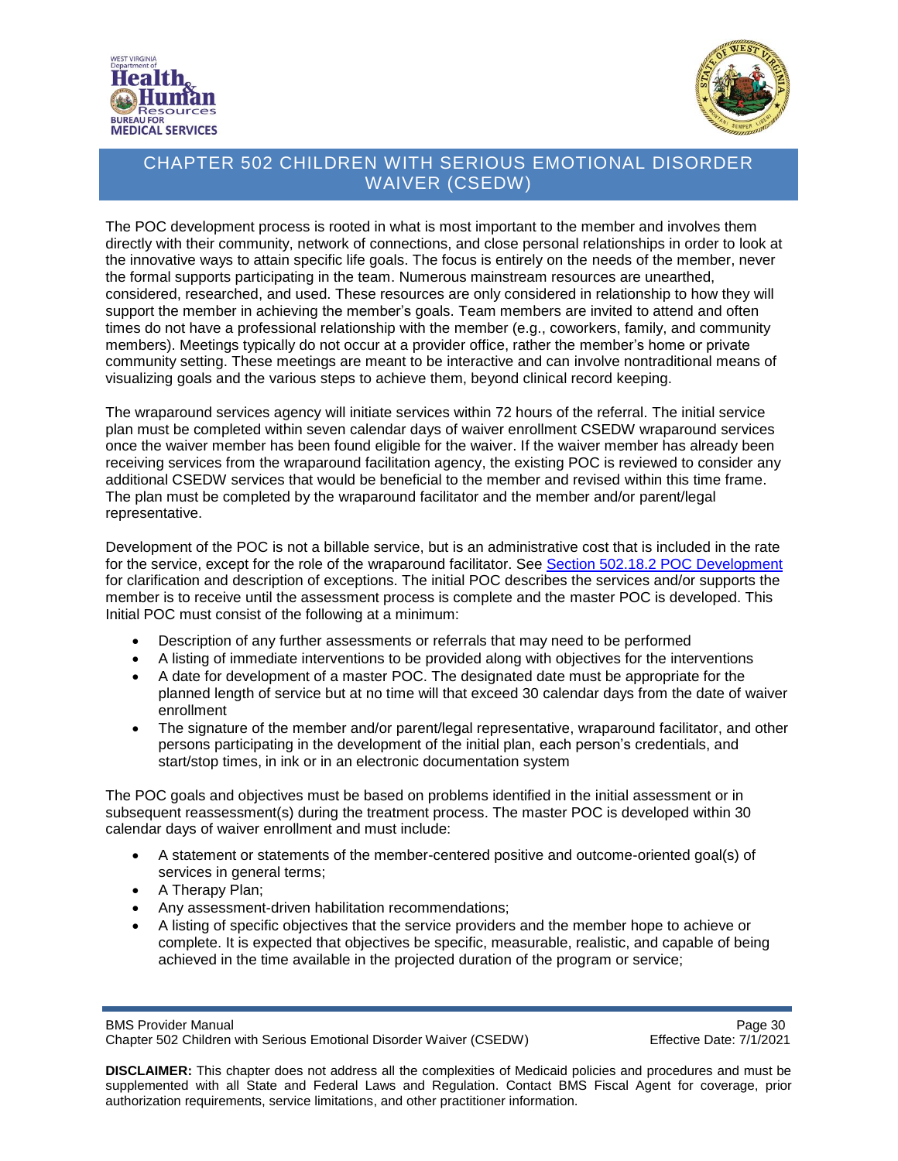



The POC development process is rooted in what is most important to the member and involves them directly with their community, network of connections, and close personal relationships in order to look at the innovative ways to attain specific life goals. The focus is entirely on the needs of the member, never the formal supports participating in the team. Numerous mainstream resources are unearthed, considered, researched, and used. These resources are only considered in relationship to how they will support the member in achieving the member's goals. Team members are invited to attend and often times do not have a professional relationship with the member (e.g., coworkers, family, and community members). Meetings typically do not occur at a provider office, rather the member's home or private community setting. These meetings are meant to be interactive and can involve nontraditional means of visualizing goals and the various steps to achieve them, beyond clinical record keeping.

The wraparound services agency will initiate services within 72 hours of the referral. The initial service plan must be completed within seven calendar days of waiver enrollment CSEDW wraparound services once the waiver member has been found eligible for the waiver. If the waiver member has already been receiving services from the wraparound facilitation agency, the existing POC is reviewed to consider any additional CSEDW services that would be beneficial to the member and revised within this time frame. The plan must be completed by the wraparound facilitator and the member and/or parent/legal representative.

Development of the POC is not a billable service, but is an administrative cost that is included in the rate for the service, except for the role of the wraparound facilitator. See [Section 502.18.2 POC Development](#page-31-0) for clarification and description of exceptions. The initial POC describes the services and/or supports the member is to receive until the assessment process is complete and the master POC is developed. This Initial POC must consist of the following at a minimum:

- Description of any further assessments or referrals that may need to be performed
- A listing of immediate interventions to be provided along with objectives for the interventions
- A date for development of a master POC. The designated date must be appropriate for the planned length of service but at no time will that exceed 30 calendar days from the date of waiver enrollment
- The signature of the member and/or parent/legal representative, wraparound facilitator, and other persons participating in the development of the initial plan, each person's credentials, and start/stop times, in ink or in an electronic documentation system

The POC goals and objectives must be based on problems identified in the initial assessment or in subsequent reassessment(s) during the treatment process. The master POC is developed within 30 calendar days of waiver enrollment and must include:

- A statement or statements of the member-centered positive and outcome-oriented goal(s) of services in general terms;
- A Therapy Plan;
- Any assessment-driven habilitation recommendations;
- A listing of specific objectives that the service providers and the member hope to achieve or complete. It is expected that objectives be specific, measurable, realistic, and capable of being achieved in the time available in the projected duration of the program or service;

BMS Provider Manual<br>Chapter 502 Children with Serious Emotional Disorder Waiver (CSEDW) Chapter 502 Children with Serious Emotional Disorder Waiver (CSEDW) Chapter 502 Children with Serious Emotional Disorder Waiver (CSEDW)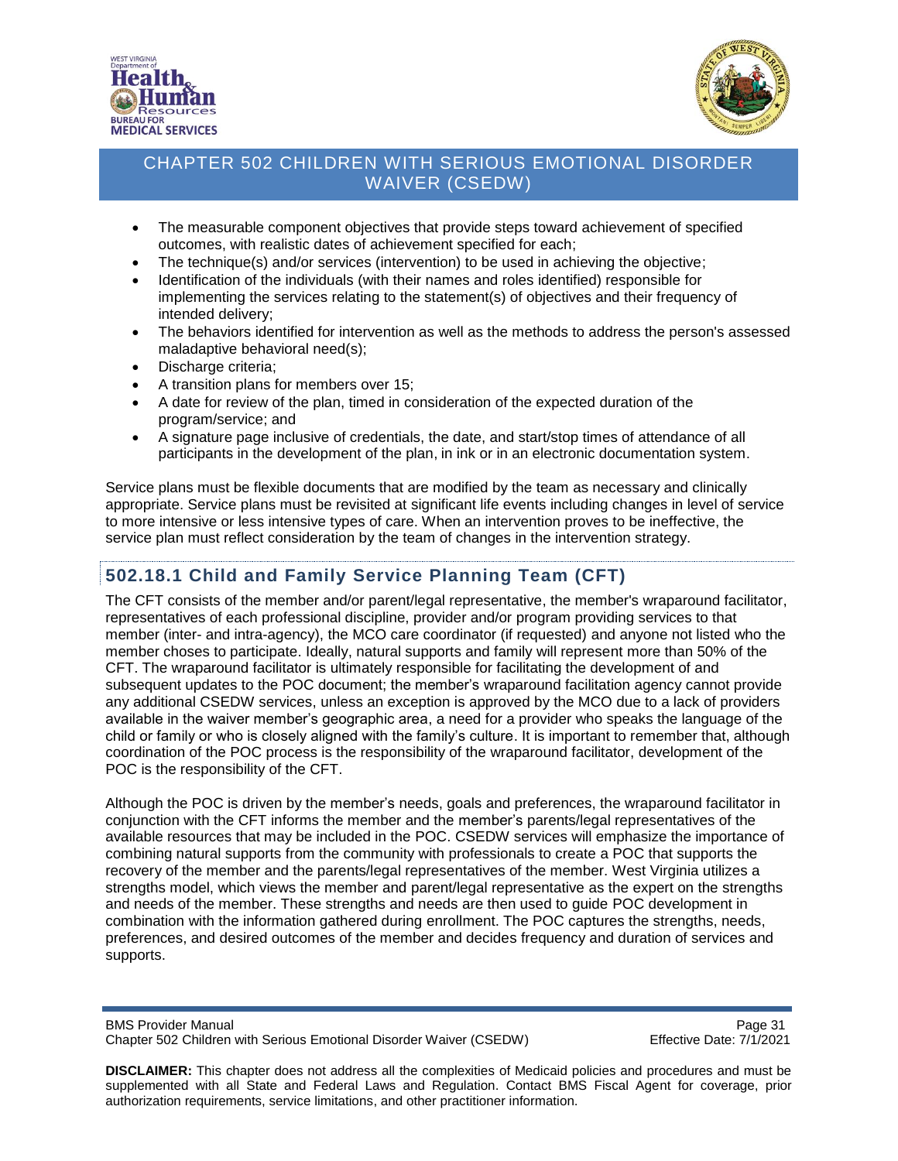



- The measurable component objectives that provide steps toward achievement of specified outcomes, with realistic dates of achievement specified for each;
- The technique(s) and/or services (intervention) to be used in achieving the objective;
- Identification of the individuals (with their names and roles identified) responsible for implementing the services relating to the statement(s) of objectives and their frequency of intended delivery;
- The behaviors identified for intervention as well as the methods to address the person's assessed maladaptive behavioral need(s);
- Discharge criteria;
- A transition plans for members over 15;
- A date for review of the plan, timed in consideration of the expected duration of the program/service; and
- A signature page inclusive of credentials, the date, and start/stop times of attendance of all participants in the development of the plan, in ink or in an electronic documentation system.

Service plans must be flexible documents that are modified by the team as necessary and clinically appropriate. Service plans must be revisited at significant life events including changes in level of service to more intensive or less intensive types of care. When an intervention proves to be ineffective, the service plan must reflect consideration by the team of changes in the intervention strategy.

# <span id="page-30-0"></span>**502.18.1 Child and Family Service Planning Team (CFT)**

The CFT consists of the member and/or parent/legal representative, the member's wraparound facilitator, representatives of each professional discipline, provider and/or program providing services to that member (inter- and intra-agency), the MCO care coordinator (if requested) and anyone not listed who the member choses to participate. Ideally, natural supports and family will represent more than 50% of the CFT. The wraparound facilitator is ultimately responsible for facilitating the development of and subsequent updates to the POC document; the member's wraparound facilitation agency cannot provide any additional CSEDW services, unless an exception is approved by the MCO due to a lack of providers available in the waiver member's geographic area, a need for a provider who speaks the language of the child or family or who is closely aligned with the family's culture. It is important to remember that, although coordination of the POC process is the responsibility of the wraparound facilitator, development of the POC is the responsibility of the CFT.

Although the POC is driven by the member's needs, goals and preferences, the wraparound facilitator in conjunction with the CFT informs the member and the member's parents/legal representatives of the available resources that may be included in the POC. CSEDW services will emphasize the importance of combining natural supports from the community with professionals to create a POC that supports the recovery of the member and the parents/legal representatives of the member. West Virginia utilizes a strengths model, which views the member and parent/legal representative as the expert on the strengths and needs of the member. These strengths and needs are then used to guide POC development in combination with the information gathered during enrollment. The POC captures the strengths, needs, preferences, and desired outcomes of the member and decides frequency and duration of services and supports.

BMS Provider Manual Page 31<br>Chapter 502 Children with Serious Emotional Disorder Waiver (CSEDW) Fffective Date: 7/1/2021 Chapter 502 Children with Serious Emotional Disorder Waiver (CSEDW)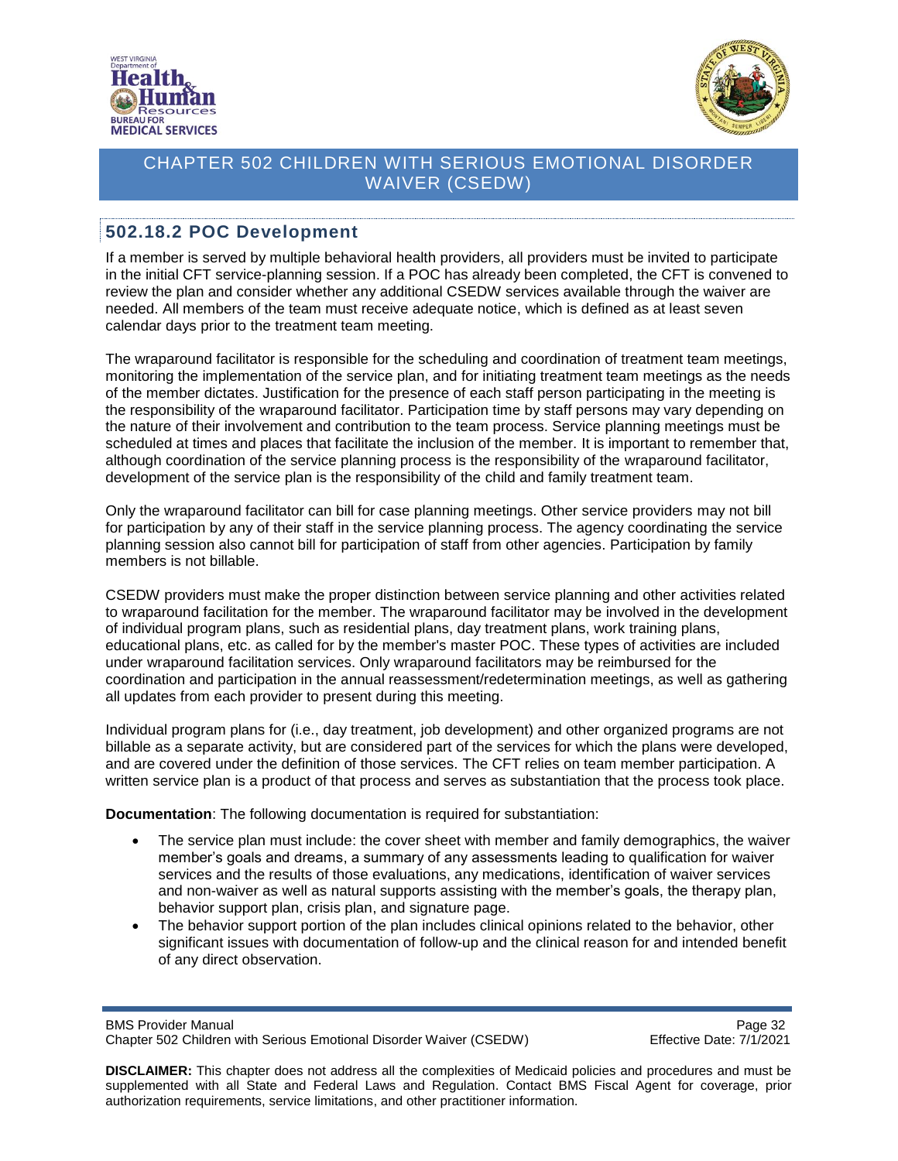



#### <span id="page-31-0"></span>**502.18.2 POC Development**

If a member is served by multiple behavioral health providers, all providers must be invited to participate in the initial CFT service-planning session. If a POC has already been completed, the CFT is convened to review the plan and consider whether any additional CSEDW services available through the waiver are needed. All members of the team must receive adequate notice, which is defined as at least seven calendar days prior to the treatment team meeting.

The wraparound facilitator is responsible for the scheduling and coordination of treatment team meetings, monitoring the implementation of the service plan, and for initiating treatment team meetings as the needs of the member dictates. Justification for the presence of each staff person participating in the meeting is the responsibility of the wraparound facilitator. Participation time by staff persons may vary depending on the nature of their involvement and contribution to the team process. Service planning meetings must be scheduled at times and places that facilitate the inclusion of the member. It is important to remember that, although coordination of the service planning process is the responsibility of the wraparound facilitator, development of the service plan is the responsibility of the child and family treatment team.

Only the wraparound facilitator can bill for case planning meetings. Other service providers may not bill for participation by any of their staff in the service planning process. The agency coordinating the service planning session also cannot bill for participation of staff from other agencies. Participation by family members is not billable.

CSEDW providers must make the proper distinction between service planning and other activities related to wraparound facilitation for the member. The wraparound facilitator may be involved in the development of individual program plans, such as residential plans, day treatment plans, work training plans, educational plans, etc. as called for by the member's master POC. These types of activities are included under wraparound facilitation services. Only wraparound facilitators may be reimbursed for the coordination and participation in the annual reassessment/redetermination meetings, as well as gathering all updates from each provider to present during this meeting.

Individual program plans for (i.e., day treatment, job development) and other organized programs are not billable as a separate activity, but are considered part of the services for which the plans were developed, and are covered under the definition of those services. The CFT relies on team member participation. A written service plan is a product of that process and serves as substantiation that the process took place.

**Documentation**: The following documentation is required for substantiation:

- The service plan must include: the cover sheet with member and family demographics, the waiver member's goals and dreams, a summary of any assessments leading to qualification for waiver services and the results of those evaluations, any medications, identification of waiver services and non-waiver as well as natural supports assisting with the member's goals, the therapy plan, behavior support plan, crisis plan, and signature page.
- The behavior support portion of the plan includes clinical opinions related to the behavior, other significant issues with documentation of follow-up and the clinical reason for and intended benefit of any direct observation.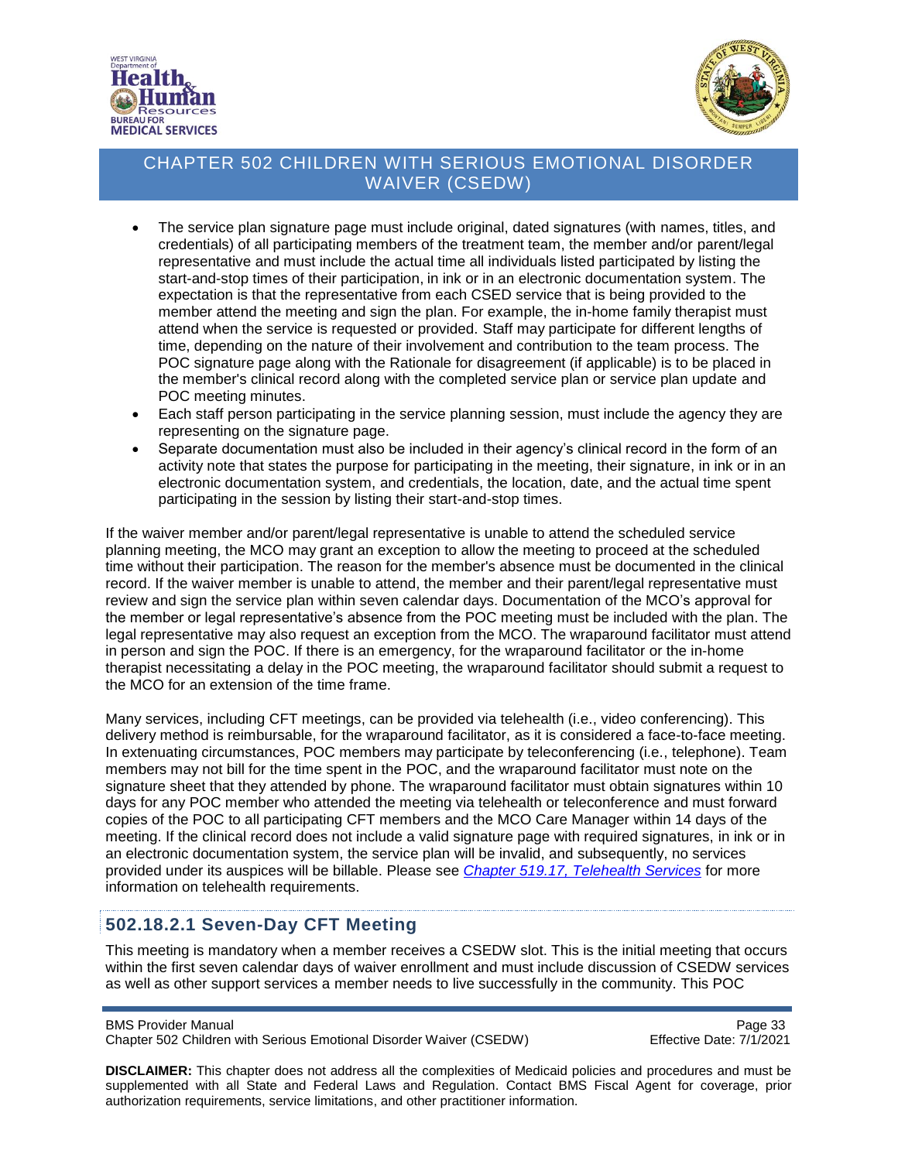



- The service plan signature page must include original, dated signatures (with names, titles, and credentials) of all participating members of the treatment team, the member and/or parent/legal representative and must include the actual time all individuals listed participated by listing the start-and-stop times of their participation, in ink or in an electronic documentation system. The expectation is that the representative from each CSED service that is being provided to the member attend the meeting and sign the plan. For example, the in-home family therapist must attend when the service is requested or provided. Staff may participate for different lengths of time, depending on the nature of their involvement and contribution to the team process. The POC signature page along with the Rationale for disagreement (if applicable) is to be placed in the member's clinical record along with the completed service plan or service plan update and POC meeting minutes.
- Each staff person participating in the service planning session, must include the agency they are representing on the signature page.
- Separate documentation must also be included in their agency's clinical record in the form of an activity note that states the purpose for participating in the meeting, their signature, in ink or in an electronic documentation system, and credentials, the location, date, and the actual time spent participating in the session by listing their start-and-stop times.

If the waiver member and/or parent/legal representative is unable to attend the scheduled service planning meeting, the MCO may grant an exception to allow the meeting to proceed at the scheduled time without their participation. The reason for the member's absence must be documented in the clinical record. If the waiver member is unable to attend, the member and their parent/legal representative must review and sign the service plan within seven calendar days. Documentation of the MCO's approval for the member or legal representative's absence from the POC meeting must be included with the plan. The legal representative may also request an exception from the MCO. The wraparound facilitator must attend in person and sign the POC. If there is an emergency, for the wraparound facilitator or the in-home therapist necessitating a delay in the POC meeting, the wraparound facilitator should submit a request to the MCO for an extension of the time frame.

Many services, including CFT meetings, can be provided via telehealth (i.e., video conferencing). This delivery method is reimbursable, for the wraparound facilitator, as it is considered a face-to-face meeting. In extenuating circumstances, POC members may participate by teleconferencing (i.e., telephone). Team members may not bill for the time spent in the POC, and the wraparound facilitator must note on the signature sheet that they attended by phone. The wraparound facilitator must obtain signatures within 10 days for any POC member who attended the meeting via telehealth or teleconference and must forward copies of the POC to all participating CFT members and the MCO Care Manager within 14 days of the meeting. If the clinical record does not include a valid signature page with required signatures, in ink or in an electronic documentation system, the service plan will be invalid, and subsequently, no services provided under its auspices will be billable. Please see *[Chapter 519.17, Telehealth Services](https://dhhr.wv.gov/bms/Pages/Manuals.aspx)* for more information on telehealth requirements.

### <span id="page-32-0"></span>**502.18.2.1 Seven-Day CFT Meeting**

This meeting is mandatory when a member receives a CSEDW slot. This is the initial meeting that occurs within the first seven calendar days of waiver enrollment and must include discussion of CSEDW services as well as other support services a member needs to live successfully in the community. This POC

BMS Provider Manual<br>Chapter 502 Children with Serious Emotional Disorder Waiver (CSEDW) Page 33 Chapter 502 Children with Serious Emotional Disorder Waiver (CSEDW)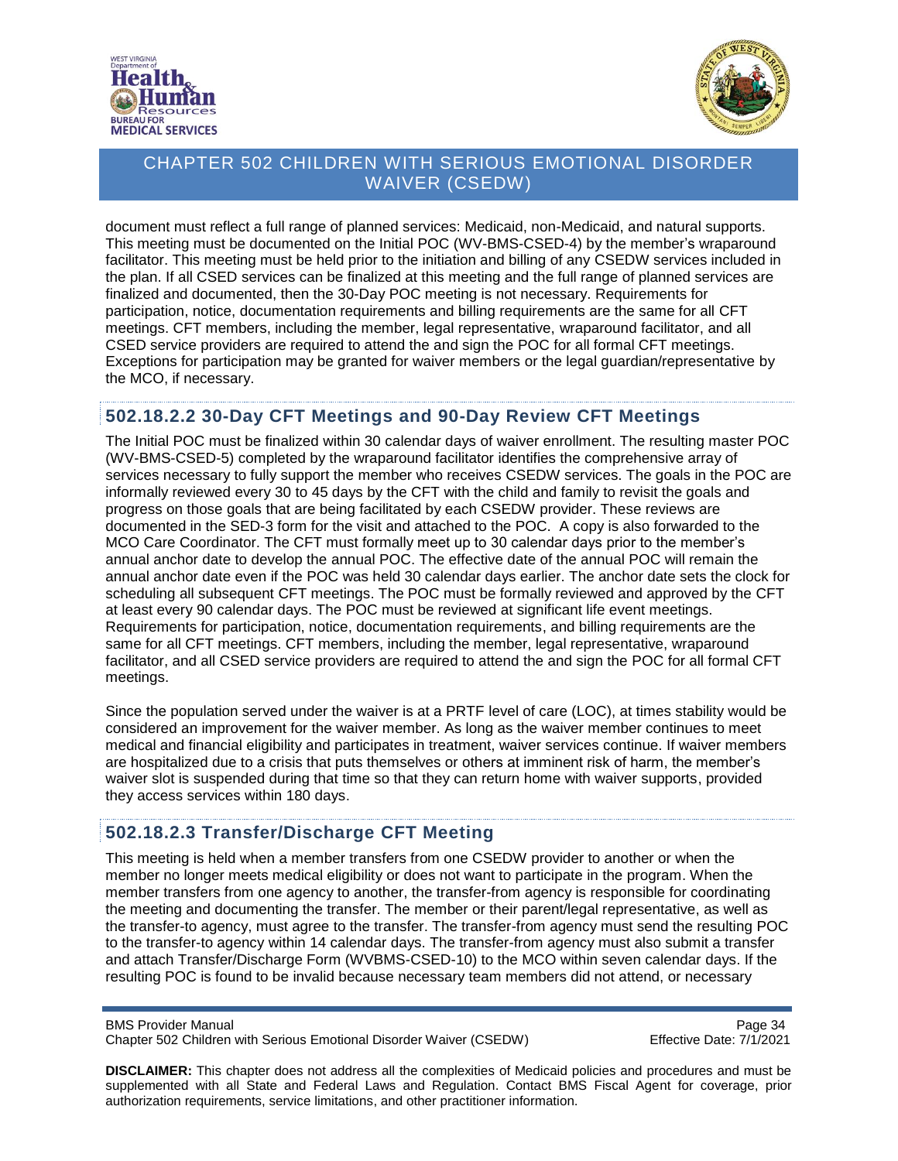



document must reflect a full range of planned services: Medicaid, non-Medicaid, and natural supports. This meeting must be documented on the Initial POC (WV-BMS-CSED-4) by the member's wraparound facilitator. This meeting must be held prior to the initiation and billing of any CSEDW services included in the plan. If all CSED services can be finalized at this meeting and the full range of planned services are finalized and documented, then the 30-Day POC meeting is not necessary. Requirements for participation, notice, documentation requirements and billing requirements are the same for all CFT meetings. CFT members, including the member, legal representative, wraparound facilitator, and all CSED service providers are required to attend the and sign the POC for all formal CFT meetings. Exceptions for participation may be granted for waiver members or the legal guardian/representative by the MCO, if necessary.

#### <span id="page-33-0"></span>**502.18.2.2 30-Day CFT Meetings and 90-Day Review CFT Meetings**

The Initial POC must be finalized within 30 calendar days of waiver enrollment. The resulting master POC (WV-BMS-CSED-5) completed by the wraparound facilitator identifies the comprehensive array of services necessary to fully support the member who receives CSEDW services. The goals in the POC are informally reviewed every 30 to 45 days by the CFT with the child and family to revisit the goals and progress on those goals that are being facilitated by each CSEDW provider. These reviews are documented in the SED-3 form for the visit and attached to the POC. A copy is also forwarded to the MCO Care Coordinator. The CFT must formally meet up to 30 calendar days prior to the member's annual anchor date to develop the annual POC. The effective date of the annual POC will remain the annual anchor date even if the POC was held 30 calendar days earlier. The anchor date sets the clock for scheduling all subsequent CFT meetings. The POC must be formally reviewed and approved by the CFT at least every 90 calendar days. The POC must be reviewed at significant life event meetings. Requirements for participation, notice, documentation requirements, and billing requirements are the same for all CFT meetings. CFT members, including the member, legal representative, wraparound facilitator, and all CSED service providers are required to attend the and sign the POC for all formal CFT meetings.

Since the population served under the waiver is at a PRTF level of care (LOC), at times stability would be considered an improvement for the waiver member. As long as the waiver member continues to meet medical and financial eligibility and participates in treatment, waiver services continue. If waiver members are hospitalized due to a crisis that puts themselves or others at imminent risk of harm, the member's waiver slot is suspended during that time so that they can return home with waiver supports, provided they access services within 180 days.

### <span id="page-33-1"></span>**502.18.2.3 Transfer/Discharge CFT Meeting**

This meeting is held when a member transfers from one CSEDW provider to another or when the member no longer meets medical eligibility or does not want to participate in the program. When the member transfers from one agency to another, the transfer-from agency is responsible for coordinating the meeting and documenting the transfer. The member or their parent/legal representative, as well as the transfer-to agency, must agree to the transfer. The transfer-from agency must send the resulting POC to the transfer-to agency within 14 calendar days. The transfer-from agency must also submit a transfer and attach Transfer/Discharge Form (WVBMS-CSED-10) to the MCO within seven calendar days. If the resulting POC is found to be invalid because necessary team members did not attend, or necessary

BMS Provider Manual<br>Chapter 502 Children with Serious Emotional Disorder Waiver (CSEDW) Chapter 502 Children with Serious Emotional Disorder Waiver (CSEDW) Chapter 502 Children with Serious Emotional Disorder Waiver (CSEDW)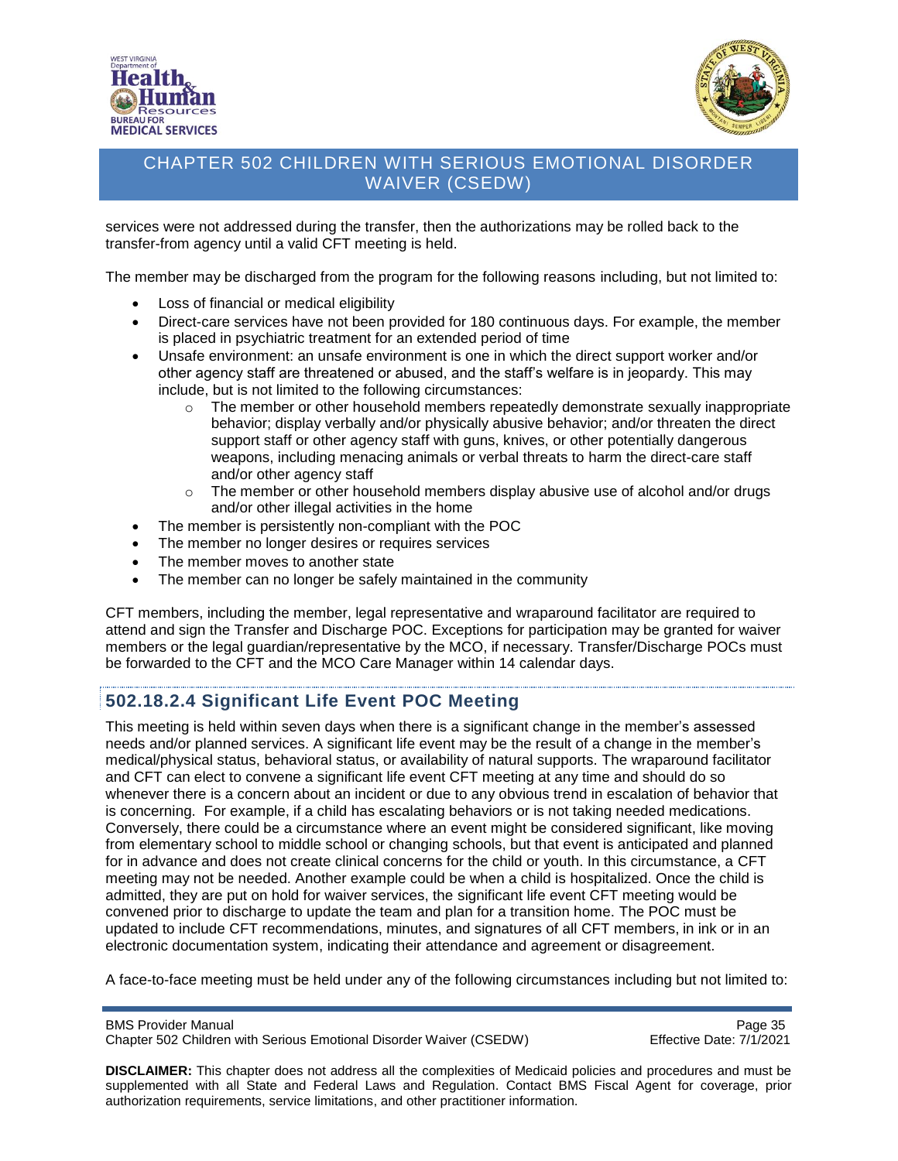



services were not addressed during the transfer, then the authorizations may be rolled back to the transfer-from agency until a valid CFT meeting is held.

The member may be discharged from the program for the following reasons including, but not limited to:

- Loss of financial or medical eligibility
- Direct-care services have not been provided for 180 continuous days. For example, the member is placed in psychiatric treatment for an extended period of time
- Unsafe environment: an unsafe environment is one in which the direct support worker and/or other agency staff are threatened or abused, and the staff's welfare is in jeopardy. This may include, but is not limited to the following circumstances:
	- $\circ$  The member or other household members repeatedly demonstrate sexually inappropriate behavior; display verbally and/or physically abusive behavior; and/or threaten the direct support staff or other agency staff with guns, knives, or other potentially dangerous weapons, including menacing animals or verbal threats to harm the direct-care staff and/or other agency staff
	- $\circ$  The member or other household members display abusive use of alcohol and/or drugs and/or other illegal activities in the home
- The member is persistently non-compliant with the POC
- The member no longer desires or requires services
- The member moves to another state
- The member can no longer be safely maintained in the community

CFT members, including the member, legal representative and wraparound facilitator are required to attend and sign the Transfer and Discharge POC. Exceptions for participation may be granted for waiver members or the legal guardian/representative by the MCO, if necessary. Transfer/Discharge POCs must be forwarded to the CFT and the MCO Care Manager within 14 calendar days.

### <span id="page-34-0"></span>**502.18.2.4 Significant Life Event POC Meeting**

This meeting is held within seven days when there is a significant change in the member's assessed needs and/or planned services. A significant life event may be the result of a change in the member's medical/physical status, behavioral status, or availability of natural supports. The wraparound facilitator and CFT can elect to convene a significant life event CFT meeting at any time and should do so whenever there is a concern about an incident or due to any obvious trend in escalation of behavior that is concerning. For example, if a child has escalating behaviors or is not taking needed medications. Conversely, there could be a circumstance where an event might be considered significant, like moving from elementary school to middle school or changing schools, but that event is anticipated and planned for in advance and does not create clinical concerns for the child or youth. In this circumstance, a CFT meeting may not be needed. Another example could be when a child is hospitalized. Once the child is admitted, they are put on hold for waiver services, the significant life event CFT meeting would be convened prior to discharge to update the team and plan for a transition home. The POC must be updated to include CFT recommendations, minutes, and signatures of all CFT members, in ink or in an electronic documentation system, indicating their attendance and agreement or disagreement.

A face-to-face meeting must be held under any of the following circumstances including but not limited to:

BMS Provider Manual<br>Chapter 502 Children with Serious Emotional Disorder Waiver (CSEDW) Page 35 Chapter 502 Children with Serious Emotional Disorder Waiver (CSEDW)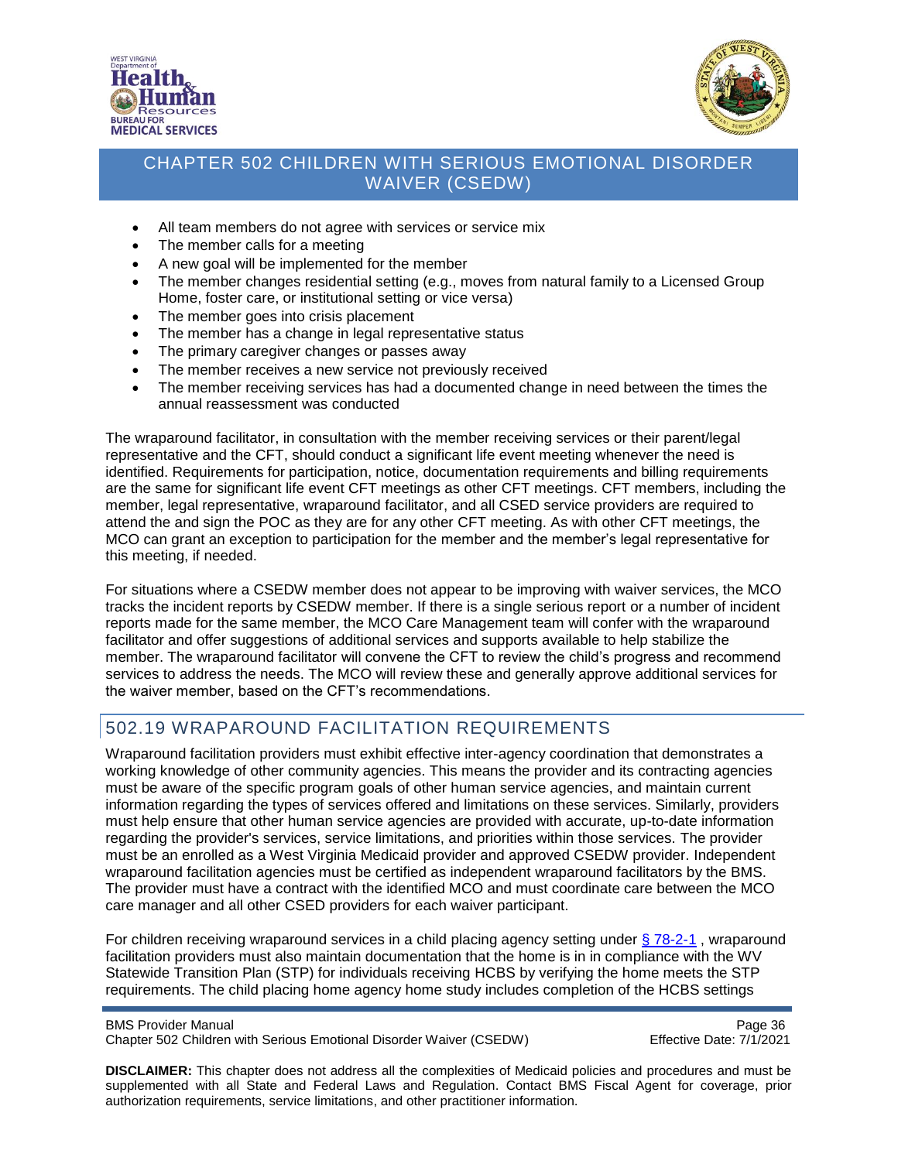



- All team members do not agree with services or service mix
- The member calls for a meeting
- A new goal will be implemented for the member
- The member changes residential setting (e.g., moves from natural family to a Licensed Group Home, foster care, or institutional setting or vice versa)
- The member goes into crisis placement
- The member has a change in legal representative status
- The primary caregiver changes or passes away
- The member receives a new service not previously received
- The member receiving services has had a documented change in need between the times the annual reassessment was conducted

The wraparound facilitator, in consultation with the member receiving services or their parent/legal representative and the CFT, should conduct a significant life event meeting whenever the need is identified. Requirements for participation, notice, documentation requirements and billing requirements are the same for significant life event CFT meetings as other CFT meetings. CFT members, including the member, legal representative, wraparound facilitator, and all CSED service providers are required to attend the and sign the POC as they are for any other CFT meeting. As with other CFT meetings, the MCO can grant an exception to participation for the member and the member's legal representative for this meeting, if needed.

For situations where a CSEDW member does not appear to be improving with waiver services, the MCO tracks the incident reports by CSEDW member. If there is a single serious report or a number of incident reports made for the same member, the MCO Care Management team will confer with the wraparound facilitator and offer suggestions of additional services and supports available to help stabilize the member. The wraparound facilitator will convene the CFT to review the child's progress and recommend services to address the needs. The MCO will review these and generally approve additional services for the waiver member, based on the CFT's recommendations.

### <span id="page-35-0"></span>502.19 WRAPAROUND FACILITATION REQUIREMENTS

Wraparound facilitation providers must exhibit effective inter-agency coordination that demonstrates a working knowledge of other community agencies. This means the provider and its contracting agencies must be aware of the specific program goals of other human service agencies, and maintain current information regarding the types of services offered and limitations on these services. Similarly, providers must help ensure that other human service agencies are provided with accurate, up-to-date information regarding the provider's services, service limitations, and priorities within those services. The provider must be an enrolled as a West Virginia Medicaid provider and approved CSEDW provider. Independent wraparound facilitation agencies must be certified as independent wraparound facilitators by the BMS. The provider must have a contract with the identified MCO and must coordinate care between the MCO care manager and all other CSED providers for each waiver participant.

For children receiving wraparound services in a child placing agency setting under [§ 78-2-1](https://dhhr.wv.gov/bcf/Providers/Documents/Residential%20Child%20PLacing%20Rules.pdf), wraparound facilitation providers must also maintain documentation that the home is in in compliance with the WV Statewide Transition Plan (STP) for individuals receiving HCBS by verifying the home meets the STP requirements. The child placing home agency home study includes completion of the HCBS settings

BMS Provider Manual **Page 36** Chapter 502 Children with Serious Emotional Disorder Waiver (CSEDW) Effective Date: 7/1/2021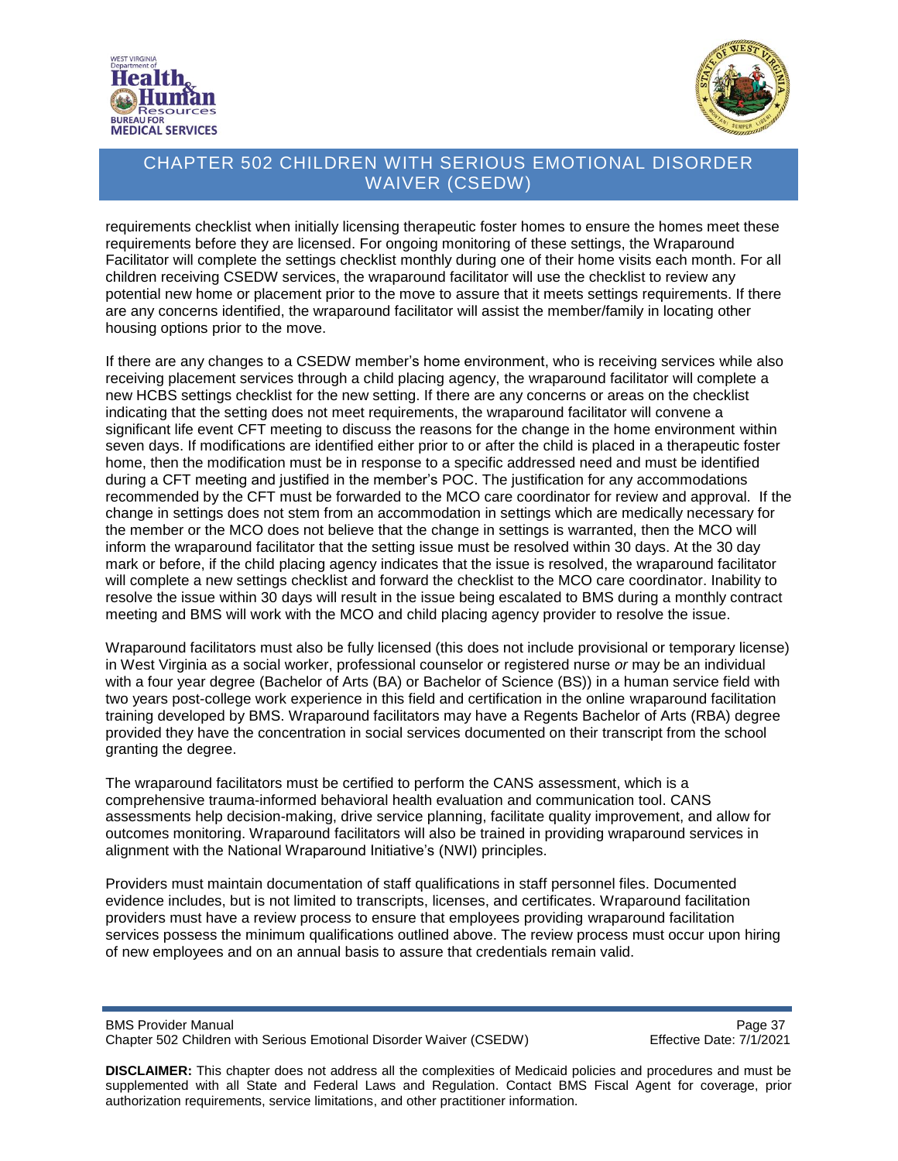



requirements checklist when initially licensing therapeutic foster homes to ensure the homes meet these requirements before they are licensed. For ongoing monitoring of these settings, the Wraparound Facilitator will complete the settings checklist monthly during one of their home visits each month. For all children receiving CSEDW services, the wraparound facilitator will use the checklist to review any potential new home or placement prior to the move to assure that it meets settings requirements. If there are any concerns identified, the wraparound facilitator will assist the member/family in locating other housing options prior to the move.

If there are any changes to a CSEDW member's home environment, who is receiving services while also receiving placement services through a child placing agency, the wraparound facilitator will complete a new HCBS settings checklist for the new setting. If there are any concerns or areas on the checklist indicating that the setting does not meet requirements, the wraparound facilitator will convene a significant life event CFT meeting to discuss the reasons for the change in the home environment within seven days. If modifications are identified either prior to or after the child is placed in a therapeutic foster home, then the modification must be in response to a specific addressed need and must be identified during a CFT meeting and justified in the member's POC. The justification for any accommodations recommended by the CFT must be forwarded to the MCO care coordinator for review and approval. If the change in settings does not stem from an accommodation in settings which are medically necessary for the member or the MCO does not believe that the change in settings is warranted, then the MCO will inform the wraparound facilitator that the setting issue must be resolved within 30 days. At the 30 day mark or before, if the child placing agency indicates that the issue is resolved, the wraparound facilitator will complete a new settings checklist and forward the checklist to the MCO care coordinator. Inability to resolve the issue within 30 days will result in the issue being escalated to BMS during a monthly contract meeting and BMS will work with the MCO and child placing agency provider to resolve the issue.

Wraparound facilitators must also be fully licensed (this does not include provisional or temporary license) in West Virginia as a social worker, professional counselor or registered nurse *or* may be an individual with a four year degree (Bachelor of Arts (BA) or Bachelor of Science (BS)) in a human service field with two years post-college work experience in this field and certification in the online wraparound facilitation training developed by BMS. Wraparound facilitators may have a Regents Bachelor of Arts (RBA) degree provided they have the concentration in social services documented on their transcript from the school granting the degree.

The wraparound facilitators must be certified to perform the CANS assessment, which is a comprehensive trauma-informed behavioral health evaluation and communication tool. CANS assessments help decision-making, drive service planning, facilitate quality improvement, and allow for outcomes monitoring. Wraparound facilitators will also be trained in providing wraparound services in alignment with the National Wraparound Initiative's (NWI) principles.

Providers must maintain documentation of staff qualifications in staff personnel files. Documented evidence includes, but is not limited to transcripts, licenses, and certificates. Wraparound facilitation providers must have a review process to ensure that employees providing wraparound facilitation services possess the minimum qualifications outlined above. The review process must occur upon hiring of new employees and on an annual basis to assure that credentials remain valid.

BMS Provider Manual<br>Chapter 502 Children with Serious Emotional Disorder Waiver (CSEDW) Page 37 Chapter 502 Children with Serious Emotional Disorder Waiver (CSEDW)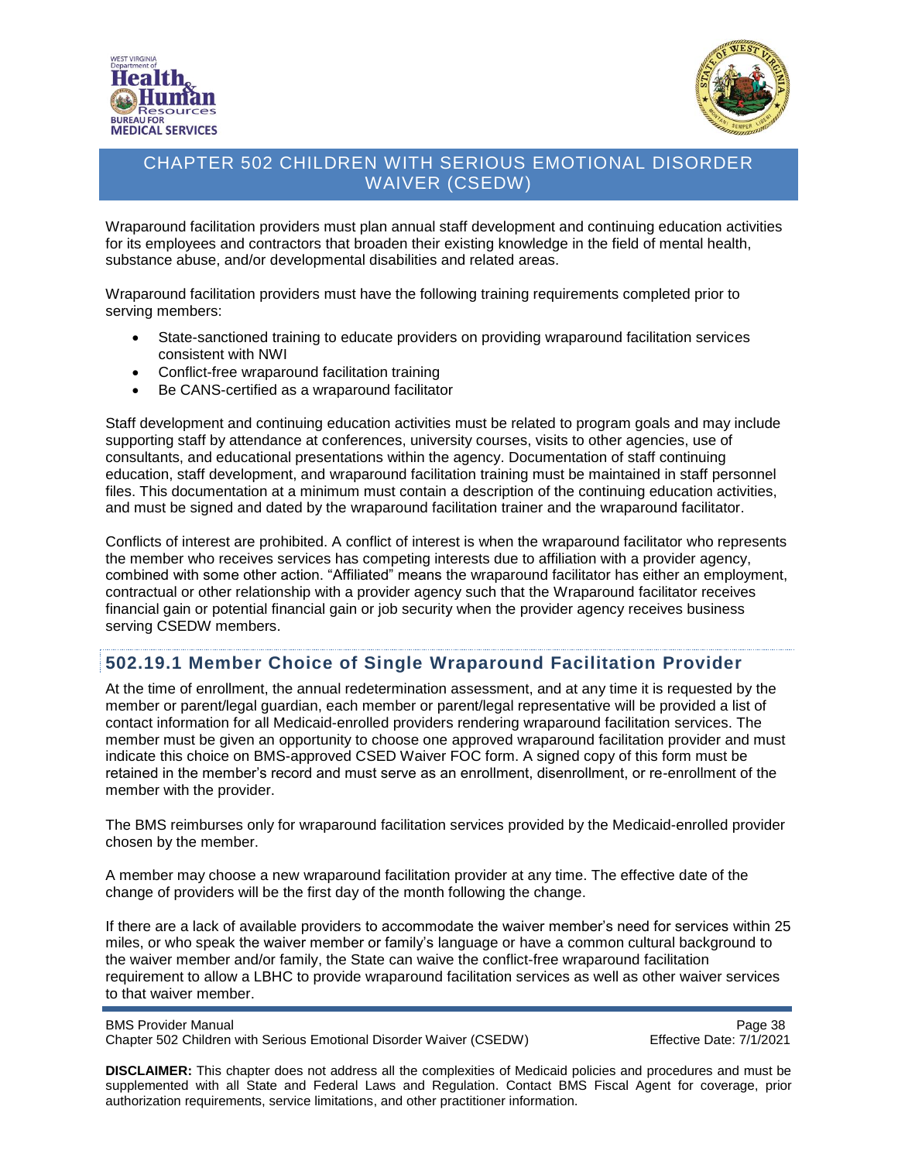



Wraparound facilitation providers must plan annual staff development and continuing education activities for its employees and contractors that broaden their existing knowledge in the field of mental health, substance abuse, and/or developmental disabilities and related areas.

Wraparound facilitation providers must have the following training requirements completed prior to serving members:

- State-sanctioned training to educate providers on providing wraparound facilitation services consistent with NWI
- Conflict-free wraparound facilitation training
- Be CANS-certified as a wraparound facilitator

Staff development and continuing education activities must be related to program goals and may include supporting staff by attendance at conferences, university courses, visits to other agencies, use of consultants, and educational presentations within the agency. Documentation of staff continuing education, staff development, and wraparound facilitation training must be maintained in staff personnel files. This documentation at a minimum must contain a description of the continuing education activities, and must be signed and dated by the wraparound facilitation trainer and the wraparound facilitator.

Conflicts of interest are prohibited. A conflict of interest is when the wraparound facilitator who represents the member who receives services has competing interests due to affiliation with a provider agency, combined with some other action. "Affiliated" means the wraparound facilitator has either an employment, contractual or other relationship with a provider agency such that the Wraparound facilitator receives financial gain or potential financial gain or job security when the provider agency receives business serving CSEDW members.

#### **502.19.1 Member Choice of Single Wraparound Facilitation Provider**

At the time of enrollment, the annual redetermination assessment, and at any time it is requested by the member or parent/legal guardian, each member or parent/legal representative will be provided a list of contact information for all Medicaid-enrolled providers rendering wraparound facilitation services. The member must be given an opportunity to choose one approved wraparound facilitation provider and must indicate this choice on BMS-approved CSED Waiver FOC form. A signed copy of this form must be retained in the member's record and must serve as an enrollment, disenrollment, or re-enrollment of the member with the provider.

The BMS reimburses only for wraparound facilitation services provided by the Medicaid-enrolled provider chosen by the member.

A member may choose a new wraparound facilitation provider at any time. The effective date of the change of providers will be the first day of the month following the change.

If there are a lack of available providers to accommodate the waiver member's need for services within 25 miles, or who speak the waiver member or family's language or have a common cultural background to the waiver member and/or family, the State can waive the conflict-free wraparound facilitation requirement to allow a LBHC to provide wraparound facilitation services as well as other waiver services to that waiver member.

```
BMS Provider Manual Page 38
Chapter 502 Children with Serious Emotional Disorder Waiver (CSEDW) Effective Date: 7/1/2021
```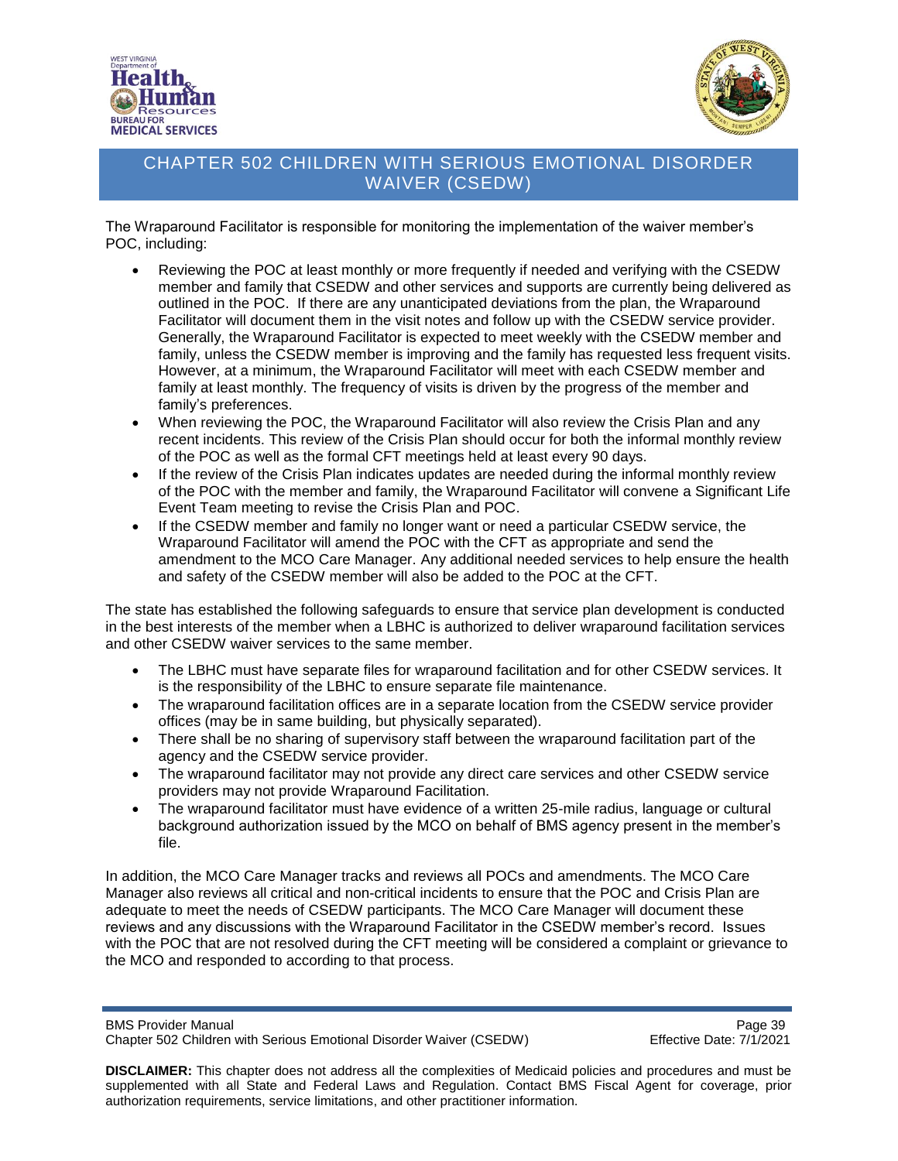



The Wraparound Facilitator is responsible for monitoring the implementation of the waiver member's POC, including:

- Reviewing the POC at least monthly or more frequently if needed and verifying with the CSEDW member and family that CSEDW and other services and supports are currently being delivered as outlined in the POC. If there are any unanticipated deviations from the plan, the Wraparound Facilitator will document them in the visit notes and follow up with the CSEDW service provider. Generally, the Wraparound Facilitator is expected to meet weekly with the CSEDW member and family, unless the CSEDW member is improving and the family has requested less frequent visits. However, at a minimum, the Wraparound Facilitator will meet with each CSEDW member and family at least monthly. The frequency of visits is driven by the progress of the member and family's preferences.
- When reviewing the POC, the Wraparound Facilitator will also review the Crisis Plan and any recent incidents. This review of the Crisis Plan should occur for both the informal monthly review of the POC as well as the formal CFT meetings held at least every 90 days.
- If the review of the Crisis Plan indicates updates are needed during the informal monthly review of the POC with the member and family, the Wraparound Facilitator will convene a Significant Life Event Team meeting to revise the Crisis Plan and POC.
- If the CSEDW member and family no longer want or need a particular CSEDW service, the Wraparound Facilitator will amend the POC with the CFT as appropriate and send the amendment to the MCO Care Manager. Any additional needed services to help ensure the health and safety of the CSEDW member will also be added to the POC at the CFT.

The state has established the following safeguards to ensure that service plan development is conducted in the best interests of the member when a LBHC is authorized to deliver wraparound facilitation services and other CSEDW waiver services to the same member.

- The LBHC must have separate files for wraparound facilitation and for other CSEDW services. It is the responsibility of the LBHC to ensure separate file maintenance.
- The wraparound facilitation offices are in a separate location from the CSEDW service provider offices (may be in same building, but physically separated).
- There shall be no sharing of supervisory staff between the wraparound facilitation part of the agency and the CSEDW service provider.
- The wraparound facilitator may not provide any direct care services and other CSEDW service providers may not provide Wraparound Facilitation.
- The wraparound facilitator must have evidence of a written 25-mile radius, language or cultural background authorization issued by the MCO on behalf of BMS agency present in the member's file.

In addition, the MCO Care Manager tracks and reviews all POCs and amendments. The MCO Care Manager also reviews all critical and non-critical incidents to ensure that the POC and Crisis Plan are adequate to meet the needs of CSEDW participants. The MCO Care Manager will document these reviews and any discussions with the Wraparound Facilitator in the CSEDW member's record. Issues with the POC that are not resolved during the CFT meeting will be considered a complaint or grievance to the MCO and responded to according to that process.

BMS Provider Manual<br>Chapter 502 Children with Serious Emotional Disorder Waiver (CSEDW) Chapter Formulation Page 39 Chapter 502 Children with Serious Emotional Disorder Waiver (CSEDW)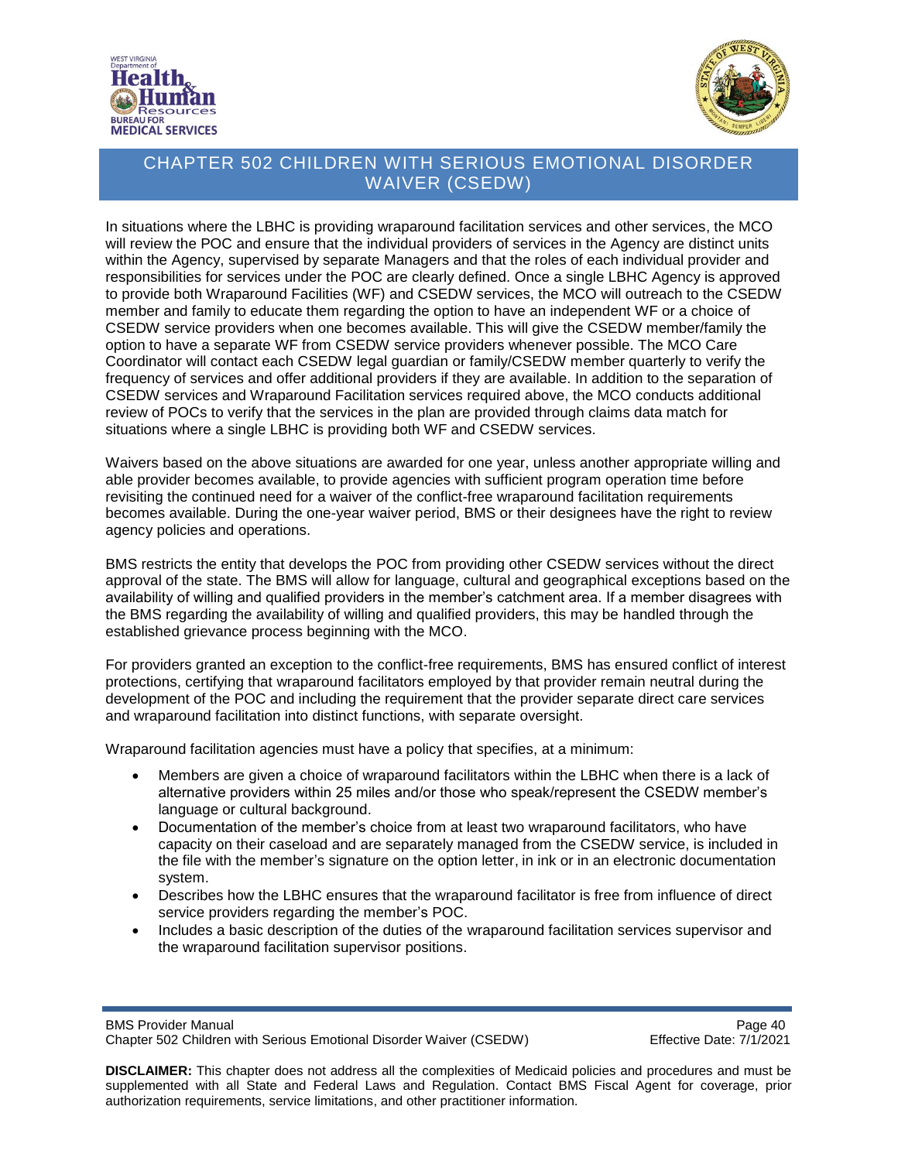



In situations where the LBHC is providing wraparound facilitation services and other services, the MCO will review the POC and ensure that the individual providers of services in the Agency are distinct units within the Agency, supervised by separate Managers and that the roles of each individual provider and responsibilities for services under the POC are clearly defined. Once a single LBHC Agency is approved to provide both Wraparound Facilities (WF) and CSEDW services, the MCO will outreach to the CSEDW member and family to educate them regarding the option to have an independent WF or a choice of CSEDW service providers when one becomes available. This will give the CSEDW member/family the option to have a separate WF from CSEDW service providers whenever possible. The MCO Care Coordinator will contact each CSEDW legal guardian or family/CSEDW member quarterly to verify the frequency of services and offer additional providers if they are available. In addition to the separation of CSEDW services and Wraparound Facilitation services required above, the MCO conducts additional review of POCs to verify that the services in the plan are provided through claims data match for situations where a single LBHC is providing both WF and CSEDW services.

Waivers based on the above situations are awarded for one year, unless another appropriate willing and able provider becomes available, to provide agencies with sufficient program operation time before revisiting the continued need for a waiver of the conflict-free wraparound facilitation requirements becomes available. During the one-year waiver period, BMS or their designees have the right to review agency policies and operations.

BMS restricts the entity that develops the POC from providing other CSEDW services without the direct approval of the state. The BMS will allow for language, cultural and geographical exceptions based on the availability of willing and qualified providers in the member's catchment area. If a member disagrees with the BMS regarding the availability of willing and qualified providers, this may be handled through the established grievance process beginning with the MCO.

For providers granted an exception to the conflict-free requirements, BMS has ensured conflict of interest protections, certifying that wraparound facilitators employed by that provider remain neutral during the development of the POC and including the requirement that the provider separate direct care services and wraparound facilitation into distinct functions, with separate oversight.

Wraparound facilitation agencies must have a policy that specifies, at a minimum:

- Members are given a choice of wraparound facilitators within the LBHC when there is a lack of alternative providers within 25 miles and/or those who speak/represent the CSEDW member's language or cultural background.
- Documentation of the member's choice from at least two wraparound facilitators, who have capacity on their caseload and are separately managed from the CSEDW service, is included in the file with the member's signature on the option letter, in ink or in an electronic documentation system.
- Describes how the LBHC ensures that the wraparound facilitator is free from influence of direct service providers regarding the member's POC.
- Includes a basic description of the duties of the wraparound facilitation services supervisor and the wraparound facilitation supervisor positions.

BMS Provider Manual<br>Chapter 502 Children with Serious Emotional Disorder Waiver (CSEDW) Page 40 Chapter 502 Children with Serious Emotional Disorder Waiver (CSEDW)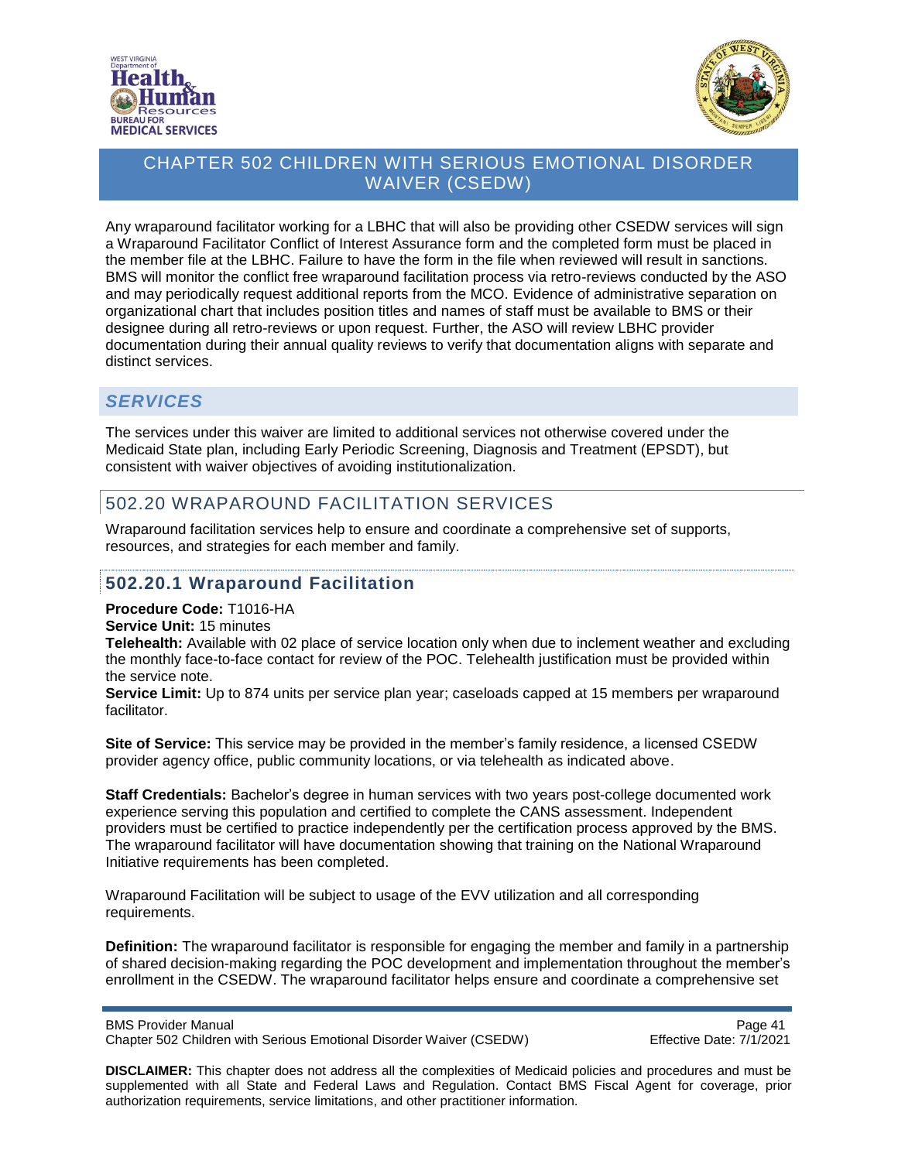



Any wraparound facilitator working for a LBHC that will also be providing other CSEDW services will sign a Wraparound Facilitator Conflict of Interest Assurance form and the completed form must be placed in the member file at the LBHC. Failure to have the form in the file when reviewed will result in sanctions. BMS will monitor the conflict free wraparound facilitation process via retro-reviews conducted by the ASO and may periodically request additional reports from the MCO. Evidence of administrative separation on organizational chart that includes position titles and names of staff must be available to BMS or their designee during all retro-reviews or upon request. Further, the ASO will review LBHC provider documentation during their annual quality reviews to verify that documentation aligns with separate and distinct services.

#### *SERVICES*

The services under this waiver are limited to additional services not otherwise covered under the Medicaid State plan, including Early Periodic Screening, Diagnosis and Treatment (EPSDT), but consistent with waiver objectives of avoiding institutionalization.

# 502.20 WRAPAROUND FACILITATION SERVICES

Wraparound facilitation services help to ensure and coordinate a comprehensive set of supports, resources, and strategies for each member and family.

#### <span id="page-40-0"></span>**502.20.1 Wraparound Facilitation**

#### **Procedure Code:** T1016-HA

#### **Service Unit:** 15 minutes

**Telehealth:** Available with 02 place of service location only when due to inclement weather and excluding the monthly face-to-face contact for review of the POC. Telehealth justification must be provided within the service note.

**Service Limit:** Up to 874 units per service plan year; caseloads capped at 15 members per wraparound facilitator.

**Site of Service:** This service may be provided in the member's family residence, a licensed CSEDW provider agency office, public community locations, or via telehealth as indicated above.

**Staff Credentials:** Bachelor's degree in human services with two years post-college documented work experience serving this population and certified to complete the CANS assessment. Independent providers must be certified to practice independently per the certification process approved by the BMS. The wraparound facilitator will have documentation showing that training on the National Wraparound Initiative requirements has been completed.

Wraparound Facilitation will be subject to usage of the EVV utilization and all corresponding requirements.

**Definition:** The wraparound facilitator is responsible for engaging the member and family in a partnership of shared decision-making regarding the POC development and implementation throughout the member's enrollment in the CSEDW. The wraparound facilitator helps ensure and coordinate a comprehensive set

BMS Provider Manual **Page 41 Page 41** Chapter 502 Children with Serious Emotional Disorder Waiver (CSEDW) Effective Date: 7/1/2021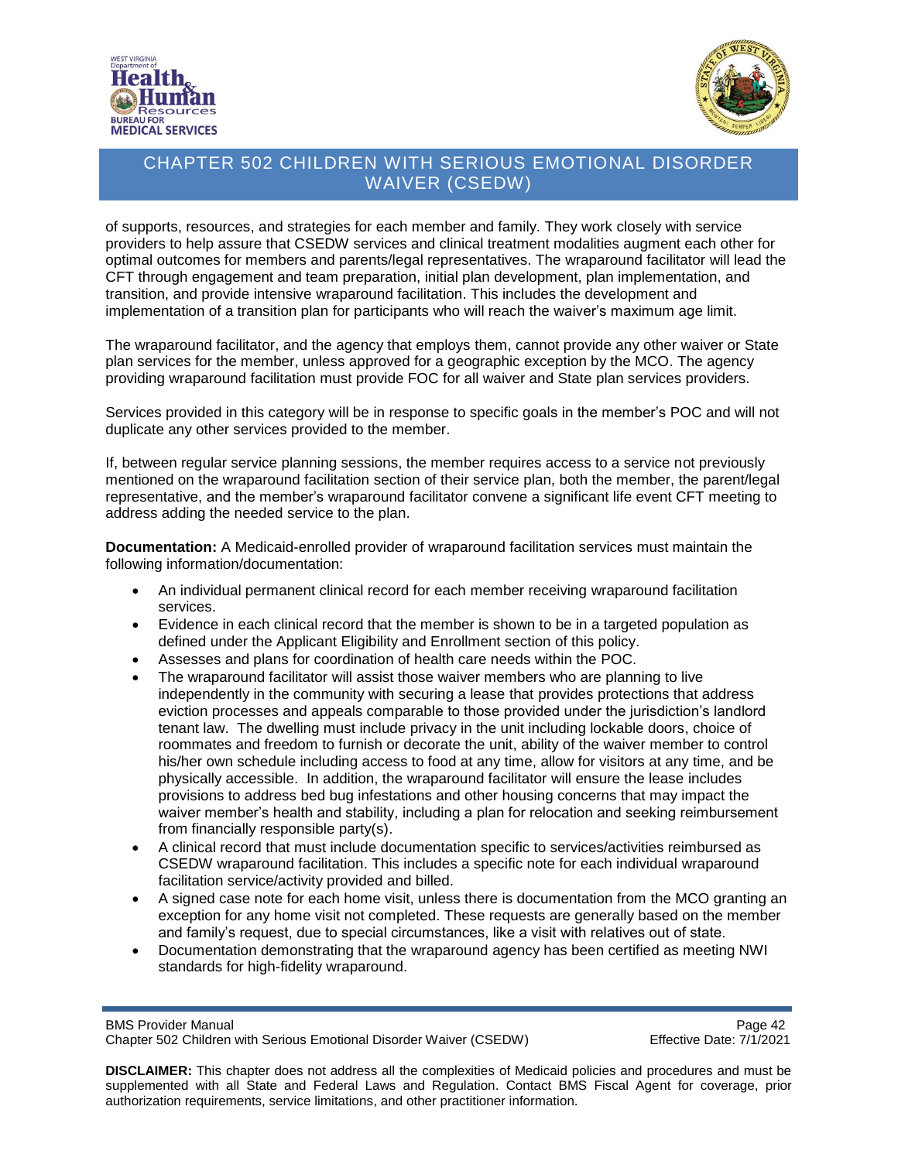



of supports, resources, and strategies for each member and family. They work closely with service providers to help assure that CSEDW services and clinical treatment modalities augment each other for optimal outcomes for members and parents/legal representatives. The wraparound facilitator will lead the CFT through engagement and team preparation, initial plan development, plan implementation, and transition, and provide intensive wraparound facilitation. This includes the development and implementation of a transition plan for participants who will reach the waiver's maximum age limit.

The wraparound facilitator, and the agency that employs them, cannot provide any other waiver or State plan services for the member, unless approved for a geographic exception by the MCO. The agency providing wraparound facilitation must provide FOC for all waiver and State plan services providers.

Services provided in this category will be in response to specific goals in the member's POC and will not duplicate any other services provided to the member.

If, between regular service planning sessions, the member requires access to a service not previously mentioned on the wraparound facilitation section of their service plan, both the member, the parent/legal representative, and the member's wraparound facilitator convene a significant life event CFT meeting to address adding the needed service to the plan.

**Documentation:** A Medicaid-enrolled provider of wraparound facilitation services must maintain the following information/documentation:

- An individual permanent clinical record for each member receiving wraparound facilitation services.
- Evidence in each clinical record that the member is shown to be in a targeted population as defined under the Applicant Eligibility and Enrollment section of this policy.
- Assesses and plans for coordination of health care needs within the POC.
- The wraparound facilitator will assist those waiver members who are planning to live independently in the community with securing a lease that provides protections that address eviction processes and appeals comparable to those provided under the jurisdiction's landlord tenant law. The dwelling must include privacy in the unit including lockable doors, choice of roommates and freedom to furnish or decorate the unit, ability of the waiver member to control his/her own schedule including access to food at any time, allow for visitors at any time, and be physically accessible. In addition, the wraparound facilitator will ensure the lease includes provisions to address bed bug infestations and other housing concerns that may impact the waiver member's health and stability, including a plan for relocation and seeking reimbursement from financially responsible party(s).
- A clinical record that must include documentation specific to services/activities reimbursed as CSEDW wraparound facilitation. This includes a specific note for each individual wraparound facilitation service/activity provided and billed.
- A signed case note for each home visit, unless there is documentation from the MCO granting an exception for any home visit not completed. These requests are generally based on the member and family's request, due to special circumstances, like a visit with relatives out of state.
- Documentation demonstrating that the wraparound agency has been certified as meeting NWI standards for high-fidelity wraparound.

BMS Provider Manual **Page 42** Chapter 502 Children with Serious Emotional Disorder Waiver (CSEDW) Effective Date: 7/1/2021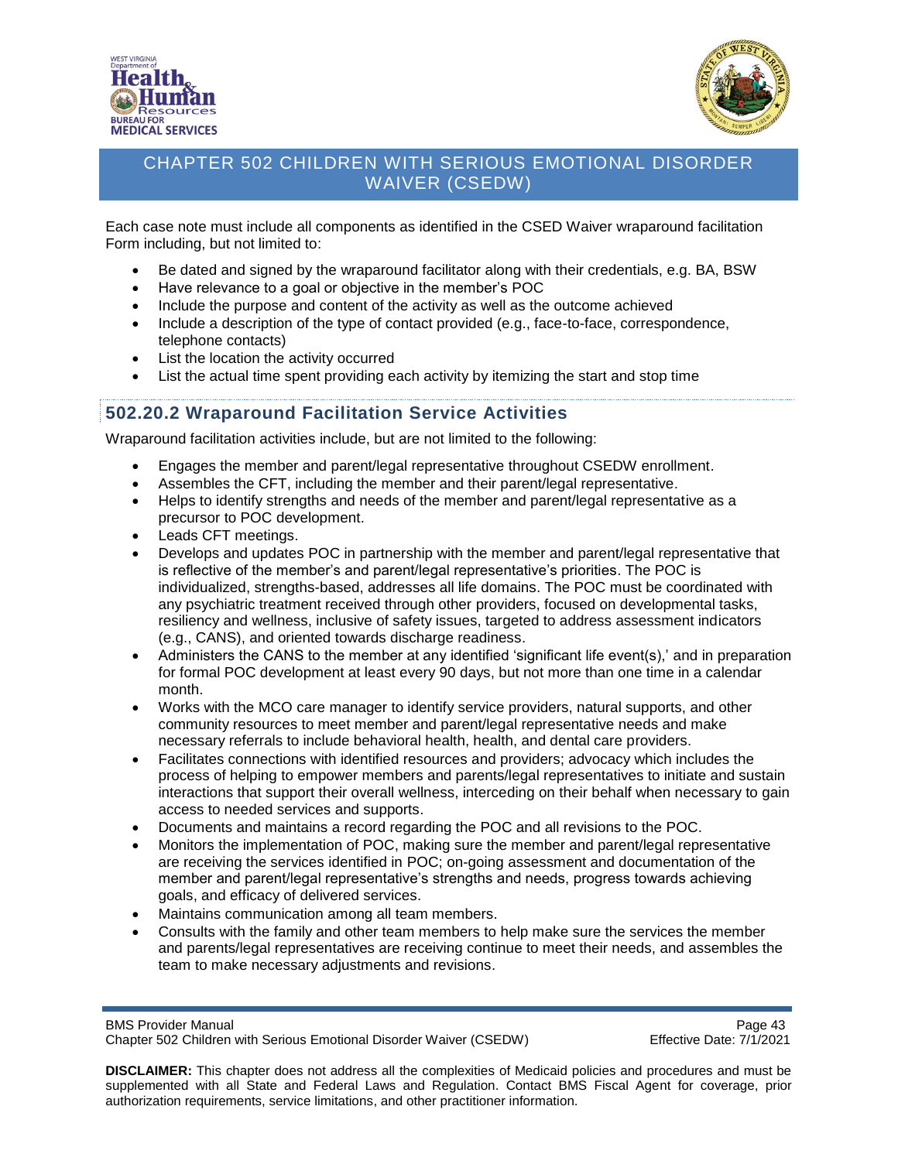



Each case note must include all components as identified in the CSED Waiver wraparound facilitation Form including, but not limited to:

- Be dated and signed by the wraparound facilitator along with their credentials, e.g. BA, BSW
- Have relevance to a goal or objective in the member's POC
- Include the purpose and content of the activity as well as the outcome achieved
- Include a description of the type of contact provided (e.g., face-to-face, correspondence, telephone contacts)
- List the location the activity occurred
- List the actual time spent providing each activity by itemizing the start and stop time

# **502.20.2 Wraparound Facilitation Service Activities**

Wraparound facilitation activities include, but are not limited to the following:

- Engages the member and parent/legal representative throughout CSEDW enrollment.
- Assembles the CFT, including the member and their parent/legal representative.
- Helps to identify strengths and needs of the member and parent/legal representative as a precursor to POC development.
- Leads CFT meetings.
- Develops and updates POC in partnership with the member and parent/legal representative that is reflective of the member's and parent/legal representative's priorities. The POC is individualized, strengths-based, addresses all life domains. The POC must be coordinated with any psychiatric treatment received through other providers, focused on developmental tasks, resiliency and wellness, inclusive of safety issues, targeted to address assessment indicators (e.g., CANS), and oriented towards discharge readiness.
- Administers the CANS to the member at any identified 'significant life event(s),' and in preparation for formal POC development at least every 90 days, but not more than one time in a calendar month.
- Works with the MCO care manager to identify service providers, natural supports, and other community resources to meet member and parent/legal representative needs and make necessary referrals to include behavioral health, health, and dental care providers.
- Facilitates connections with identified resources and providers; advocacy which includes the process of helping to empower members and parents/legal representatives to initiate and sustain interactions that support their overall wellness, interceding on their behalf when necessary to gain access to needed services and supports.
- Documents and maintains a record regarding the POC and all revisions to the POC.
- Monitors the implementation of POC, making sure the member and parent/legal representative are receiving the services identified in POC; on-going assessment and documentation of the member and parent/legal representative's strengths and needs, progress towards achieving goals, and efficacy of delivered services.
- Maintains communication among all team members.
- Consults with the family and other team members to help make sure the services the member and parents/legal representatives are receiving continue to meet their needs, and assembles the team to make necessary adjustments and revisions.

BMS Provider Manual **Page 43** Chapter 502 Children with Serious Emotional Disorder Waiver (CSEDW) Effective Date: 7/1/2021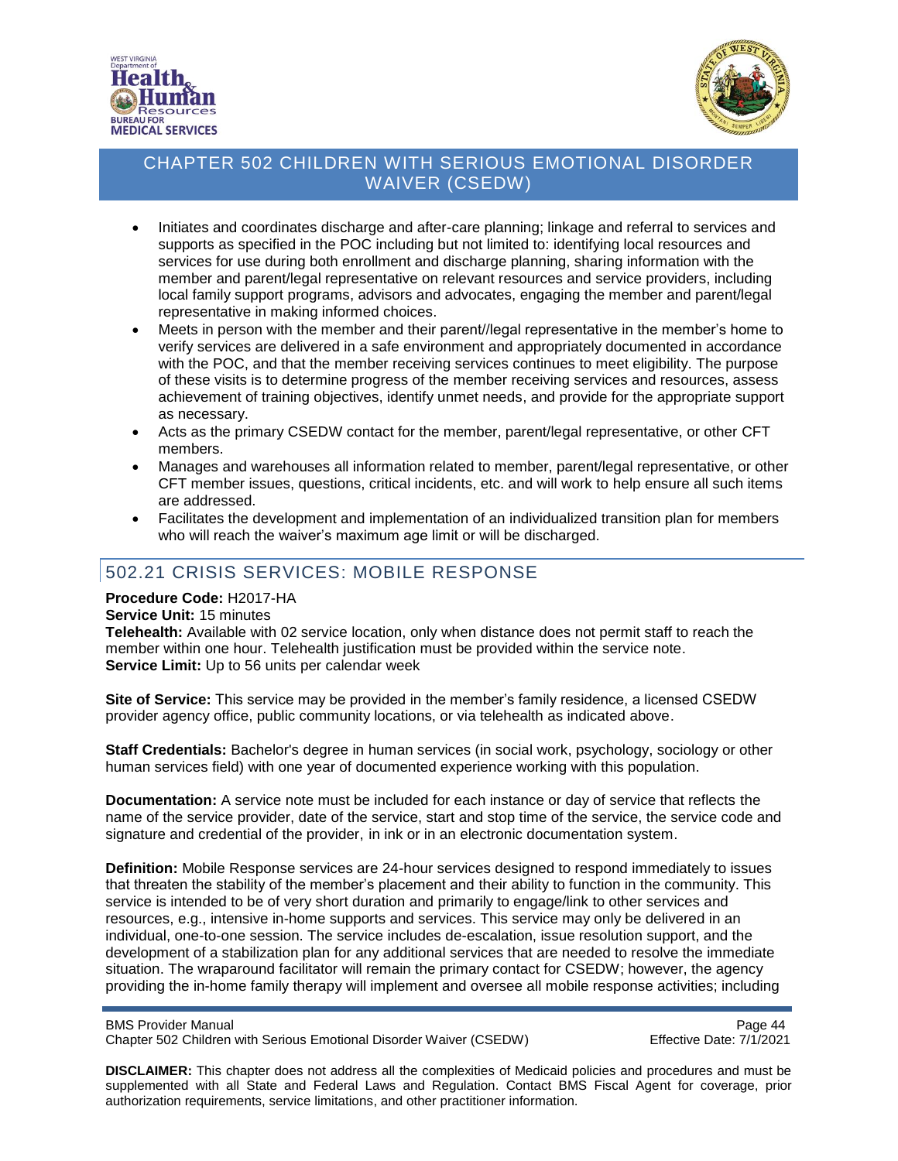



- Initiates and coordinates discharge and after-care planning; linkage and referral to services and supports as specified in the POC including but not limited to: identifying local resources and services for use during both enrollment and discharge planning, sharing information with the member and parent/legal representative on relevant resources and service providers, including local family support programs, advisors and advocates, engaging the member and parent/legal representative in making informed choices.
- Meets in person with the member and their parent//legal representative in the member's home to verify services are delivered in a safe environment and appropriately documented in accordance with the POC, and that the member receiving services continues to meet eligibility. The purpose of these visits is to determine progress of the member receiving services and resources, assess achievement of training objectives, identify unmet needs, and provide for the appropriate support as necessary.
- Acts as the primary CSEDW contact for the member, parent/legal representative, or other CFT members.
- Manages and warehouses all information related to member, parent/legal representative, or other CFT member issues, questions, critical incidents, etc. and will work to help ensure all such items are addressed.
- Facilitates the development and implementation of an individualized transition plan for members who will reach the waiver's maximum age limit or will be discharged.

# 502.21 CRISIS SERVICES: MOBILE RESPONSE

#### **Procedure Code:** H2017-HA

#### **Service Unit:** 15 minutes

**Telehealth:** Available with 02 service location, only when distance does not permit staff to reach the member within one hour. Telehealth justification must be provided within the service note. **Service Limit:** Up to 56 units per calendar week

**Site of Service:** This service may be provided in the member's family residence, a licensed CSEDW provider agency office, public community locations, or via telehealth as indicated above.

**Staff Credentials:** Bachelor's degree in human services (in social work, psychology, sociology or other human services field) with one year of documented experience working with this population.

**Documentation:** A service note must be included for each instance or day of service that reflects the name of the service provider, date of the service, start and stop time of the service, the service code and signature and credential of the provider, in ink or in an electronic documentation system.

**Definition:** Mobile Response services are 24-hour services designed to respond immediately to issues that threaten the stability of the member's placement and their ability to function in the community. This service is intended to be of very short duration and primarily to engage/link to other services and resources, e.g., intensive in-home supports and services. This service may only be delivered in an individual, one-to-one session. The service includes de-escalation, issue resolution support, and the development of a stabilization plan for any additional services that are needed to resolve the immediate situation. The wraparound facilitator will remain the primary contact for CSEDW; however, the agency providing the in-home family therapy will implement and oversee all mobile response activities; including

BMS Provider Manual<br>Chapter 502 Children with Serious Emotional Disorder Waiver (CSEDW) Page 44 Chapter 502 Children with Serious Emotional Disorder Waiver (CSEDW)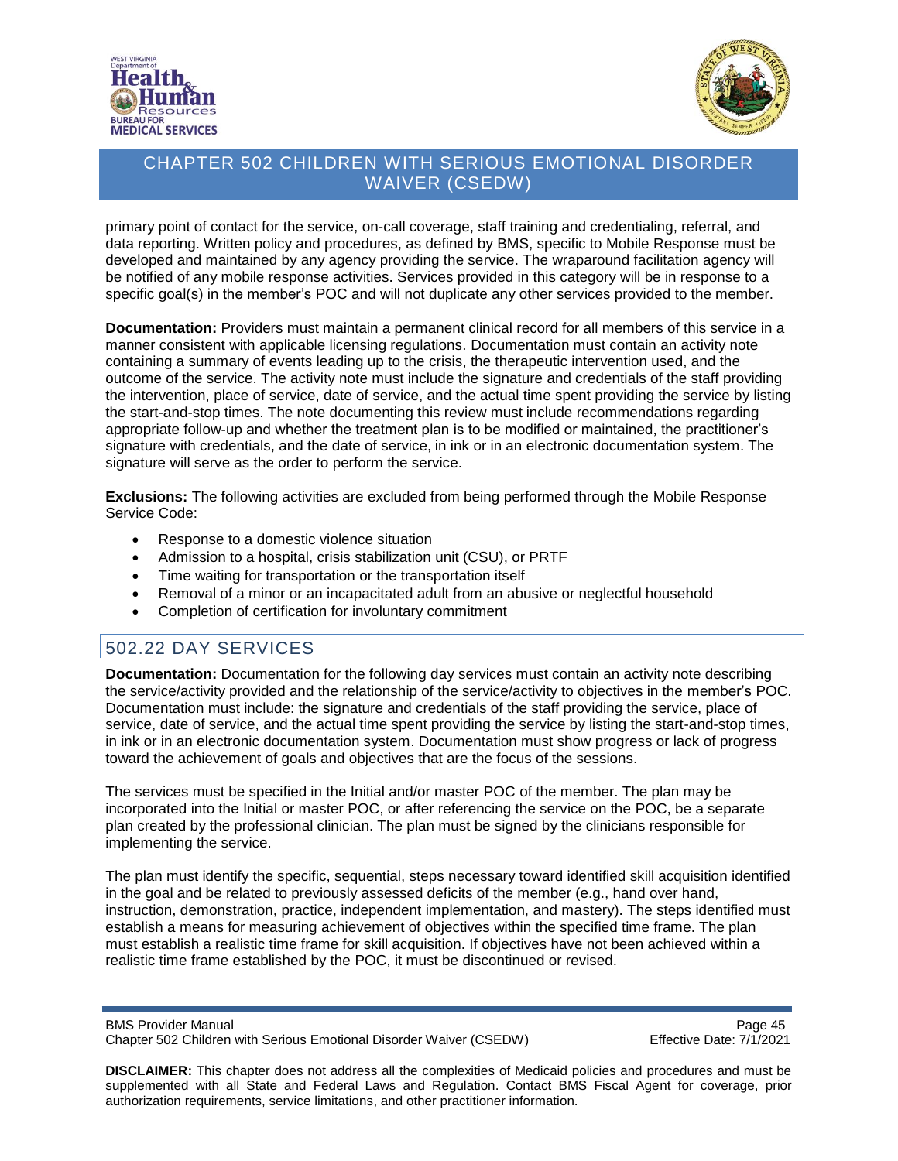



primary point of contact for the service, on-call coverage, staff training and credentialing, referral, and data reporting. Written policy and procedures, as defined by BMS, specific to Mobile Response must be developed and maintained by any agency providing the service. The wraparound facilitation agency will be notified of any mobile response activities. Services provided in this category will be in response to a specific goal(s) in the member's POC and will not duplicate any other services provided to the member.

**Documentation:** Providers must maintain a permanent clinical record for all members of this service in a manner consistent with applicable licensing regulations. Documentation must contain an activity note containing a summary of events leading up to the crisis, the therapeutic intervention used, and the outcome of the service. The activity note must include the signature and credentials of the staff providing the intervention, place of service, date of service, and the actual time spent providing the service by listing the start-and-stop times. The note documenting this review must include recommendations regarding appropriate follow-up and whether the treatment plan is to be modified or maintained, the practitioner's signature with credentials, and the date of service, in ink or in an electronic documentation system. The signature will serve as the order to perform the service.

**Exclusions:** The following activities are excluded from being performed through the Mobile Response Service Code:

- Response to a domestic violence situation
- Admission to a hospital, crisis stabilization unit (CSU), or PRTF
- Time waiting for transportation or the transportation itself
- Removal of a minor or an incapacitated adult from an abusive or neglectful household
- Completion of certification for involuntary commitment

# 502.22 DAY SERVICES

**Documentation:** Documentation for the following day services must contain an activity note describing the service/activity provided and the relationship of the service/activity to objectives in the member's POC. Documentation must include: the signature and credentials of the staff providing the service, place of service, date of service, and the actual time spent providing the service by listing the start-and-stop times, in ink or in an electronic documentation system. Documentation must show progress or lack of progress toward the achievement of goals and objectives that are the focus of the sessions.

The services must be specified in the Initial and/or master POC of the member. The plan may be incorporated into the Initial or master POC, or after referencing the service on the POC, be a separate plan created by the professional clinician. The plan must be signed by the clinicians responsible for implementing the service.

The plan must identify the specific, sequential, steps necessary toward identified skill acquisition identified in the goal and be related to previously assessed deficits of the member (e.g., hand over hand, instruction, demonstration, practice, independent implementation, and mastery). The steps identified must establish a means for measuring achievement of objectives within the specified time frame. The plan must establish a realistic time frame for skill acquisition. If objectives have not been achieved within a realistic time frame established by the POC, it must be discontinued or revised.

BMS Provider Manual<br>Chapter 502 Children with Serious Emotional Disorder Waiver (CSEDW) Page 45 Chapter 502 Children with Serious Emotional Disorder Waiver (CSEDW)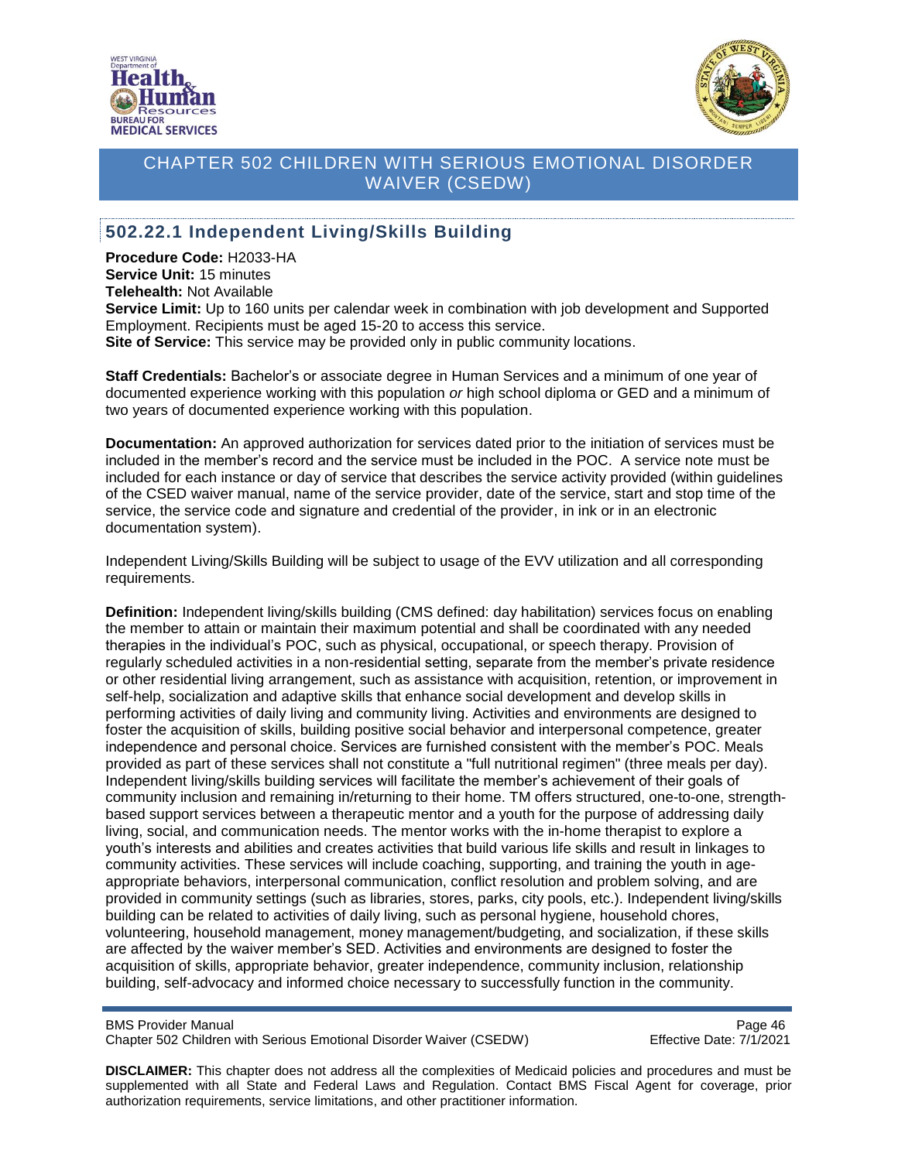



#### **502.22.1 Independent Living/Skills Building**

**Procedure Code:** H2033-HA **Service Unit:** 15 minutes **Telehealth:** Not Available **Service Limit:** Up to 160 units per calendar week in combination with job development and Supported Employment. Recipients must be aged 15-20 to access this service. **Site of Service:** This service may be provided only in public community locations.

**Staff Credentials:** Bachelor's or associate degree in Human Services and a minimum of one year of documented experience working with this population *or* high school diploma or GED and a minimum of two years of documented experience working with this population.

**Documentation:** An approved authorization for services dated prior to the initiation of services must be included in the member's record and the service must be included in the POC. A service note must be included for each instance or day of service that describes the service activity provided (within guidelines of the CSED waiver manual, name of the service provider, date of the service, start and stop time of the service, the service code and signature and credential of the provider, in ink or in an electronic documentation system).

Independent Living/Skills Building will be subject to usage of the EVV utilization and all corresponding requirements.

**Definition:** Independent living/skills building (CMS defined: day habilitation) services focus on enabling the member to attain or maintain their maximum potential and shall be coordinated with any needed therapies in the individual's POC, such as physical, occupational, or speech therapy. Provision of regularly scheduled activities in a non-residential setting, separate from the member's private residence or other residential living arrangement, such as assistance with acquisition, retention, or improvement in self-help, socialization and adaptive skills that enhance social development and develop skills in performing activities of daily living and community living. Activities and environments are designed to foster the acquisition of skills, building positive social behavior and interpersonal competence, greater independence and personal choice. Services are furnished consistent with the member's POC. Meals provided as part of these services shall not constitute a "full nutritional regimen" (three meals per day). Independent living/skills building services will facilitate the member's achievement of their goals of community inclusion and remaining in/returning to their home. TM offers structured, one-to-one, strengthbased support services between a therapeutic mentor and a youth for the purpose of addressing daily living, social, and communication needs. The mentor works with the in-home therapist to explore a youth's interests and abilities and creates activities that build various life skills and result in linkages to community activities. These services will include coaching, supporting, and training the youth in ageappropriate behaviors, interpersonal communication, conflict resolution and problem solving, and are provided in community settings (such as libraries, stores, parks, city pools, etc.). Independent living/skills building can be related to activities of daily living, such as personal hygiene, household chores, volunteering, household management, money management/budgeting, and socialization, if these skills are affected by the waiver member's SED. Activities and environments are designed to foster the acquisition of skills, appropriate behavior, greater independence, community inclusion, relationship building, self-advocacy and informed choice necessary to successfully function in the community.

BMS Provider Manual<br>Chapter 502 Children with Serious Emotional Disorder Waiver (CSEDW) Page 46 Chapter 502 Children with Serious Emotional Disorder Waiver (CSEDW)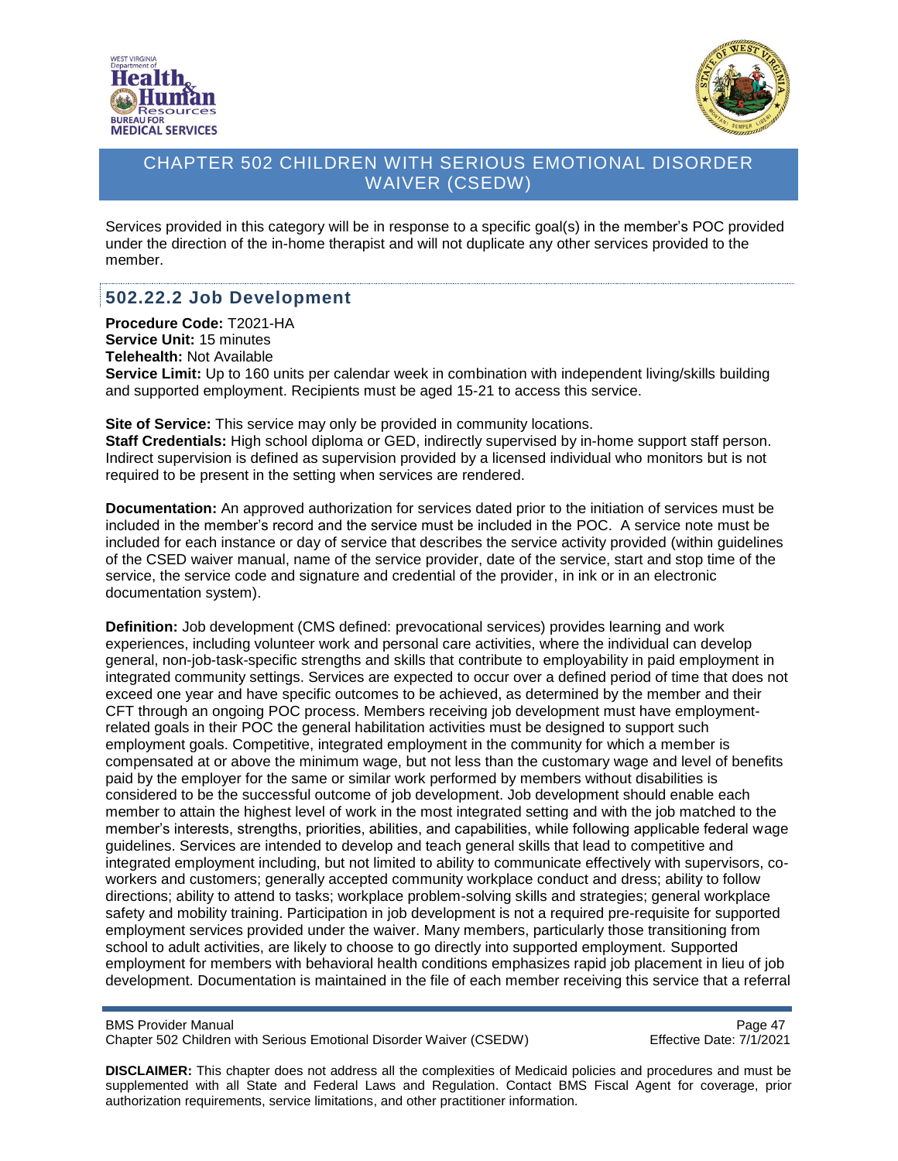



Services provided in this category will be in response to a specific goal(s) in the member's POC provided under the direction of the in-home therapist and will not duplicate any other services provided to the member.

#### **502.22.2 Job Development**

**Procedure Code:** T2021-HA **Service Unit:** 15 minutes **Telehealth:** Not Available **Service Limit:** Up to 160 units per calendar week in combination with independent living/skills building and supported employment. Recipients must be aged 15-21 to access this service.

**Site of Service:** This service may only be provided in community locations.

**Staff Credentials:** High school diploma or GED, indirectly supervised by in-home support staff person. Indirect supervision is defined as supervision provided by a licensed individual who monitors but is not required to be present in the setting when services are rendered.

**Documentation:** An approved authorization for services dated prior to the initiation of services must be included in the member's record and the service must be included in the POC. A service note must be included for each instance or day of service that describes the service activity provided (within guidelines of the CSED waiver manual, name of the service provider, date of the service, start and stop time of the service, the service code and signature and credential of the provider, in ink or in an electronic documentation system).

**Definition:** Job development (CMS defined: prevocational services) provides learning and work experiences, including volunteer work and personal care activities, where the individual can develop general, non-job-task-specific strengths and skills that contribute to employability in paid employment in integrated community settings. Services are expected to occur over a defined period of time that does not exceed one year and have specific outcomes to be achieved, as determined by the member and their CFT through an ongoing POC process. Members receiving job development must have employmentrelated goals in their POC the general habilitation activities must be designed to support such employment goals. Competitive, integrated employment in the community for which a member is compensated at or above the minimum wage, but not less than the customary wage and level of benefits paid by the employer for the same or similar work performed by members without disabilities is considered to be the successful outcome of job development. Job development should enable each member to attain the highest level of work in the most integrated setting and with the job matched to the member's interests, strengths, priorities, abilities, and capabilities, while following applicable federal wage guidelines. Services are intended to develop and teach general skills that lead to competitive and integrated employment including, but not limited to ability to communicate effectively with supervisors, coworkers and customers; generally accepted community workplace conduct and dress; ability to follow directions; ability to attend to tasks; workplace problem-solving skills and strategies; general workplace safety and mobility training. Participation in job development is not a required pre-requisite for supported employment services provided under the waiver. Many members, particularly those transitioning from school to adult activities, are likely to choose to go directly into supported employment. Supported employment for members with behavioral health conditions emphasizes rapid job placement in lieu of job development. Documentation is maintained in the file of each member receiving this service that a referral

Page 47<br>Chapter 502 Children with Serious Emotional Disorder Waiver (CSEDW) Frace 17th effective Date: 7/1/2021 Chapter 502 Children with Serious Emotional Disorder Waiver (CSEDW)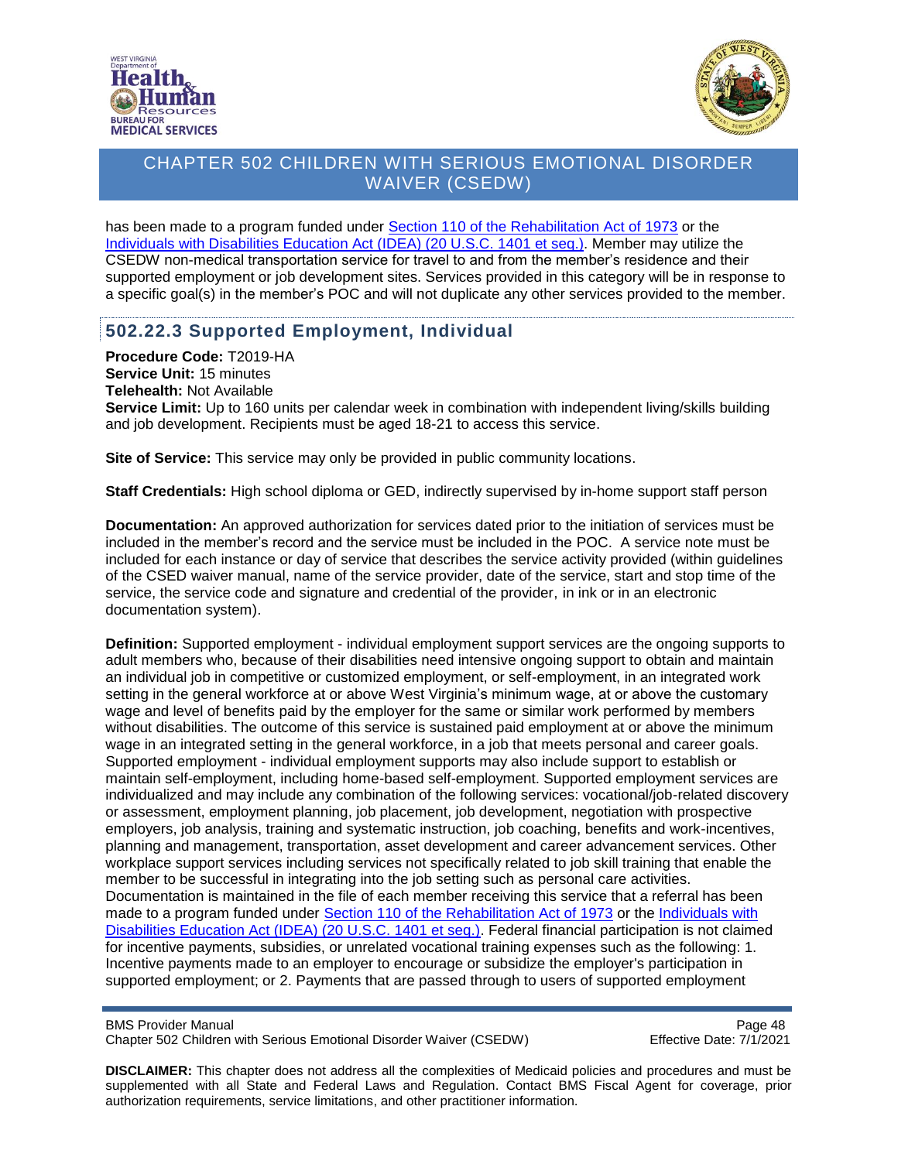



has been made to a program funded under [Section 110 of the Rehabilitation Act of 1973](https://www2.ed.gov/policy/speced/leg/rehab/rehabilitation-act-of-1973-amended-by-wioa.pdf) or the [Individuals with Disabilities Education Act \(IDEA\) \(20 U.S.C. 1401 et seq.\).](https://sites.ed.gov/idea/statute-chapter-33/subchapter-i/1401/9) Member may utilize the CSEDW non-medical transportation service for travel to and from the member's residence and their supported employment or job development sites. Services provided in this category will be in response to a specific goal(s) in the member's POC and will not duplicate any other services provided to the member.

#### **502.22.3 Supported Employment, Individual**

**Procedure Code:** T2019-HA **Service Unit:** 15 minutes **Telehealth:** Not Available **Service Limit:** Up to 160 units per calendar week in combination with independent living/skills building and job development. Recipients must be aged 18-21 to access this service.

**Site of Service:** This service may only be provided in public community locations.

**Staff Credentials:** High school diploma or GED, indirectly supervised by in-home support staff person

**Documentation:** An approved authorization for services dated prior to the initiation of services must be included in the member's record and the service must be included in the POC. A service note must be included for each instance or day of service that describes the service activity provided (within guidelines of the CSED waiver manual, name of the service provider, date of the service, start and stop time of the service, the service code and signature and credential of the provider, in ink or in an electronic documentation system).

**Definition:** Supported employment - individual employment support services are the ongoing supports to adult members who, because of their disabilities need intensive ongoing support to obtain and maintain an individual job in competitive or customized employment, or self-employment, in an integrated work setting in the general workforce at or above West Virginia's minimum wage, at or above the customary wage and level of benefits paid by the employer for the same or similar work performed by members without disabilities. The outcome of this service is sustained paid employment at or above the minimum wage in an integrated setting in the general workforce, in a job that meets personal and career goals. Supported employment - individual employment supports may also include support to establish or maintain self-employment, including home-based self-employment. Supported employment services are individualized and may include any combination of the following services: vocational/job-related discovery or assessment, employment planning, job placement, job development, negotiation with prospective employers, job analysis, training and systematic instruction, job coaching, benefits and work-incentives, planning and management, transportation, asset development and career advancement services. Other workplace support services including services not specifically related to job skill training that enable the member to be successful in integrating into the job setting such as personal care activities. Documentation is maintained in the file of each member receiving this service that a referral has been made to a program funded under [Section 110 of the Rehabilitation Act of 1973](https://www2.ed.gov/policy/speced/leg/rehab/rehabilitation-act-of-1973-amended-by-wioa.pdf) or the [Individuals with](https://sites.ed.gov/idea/statute-chapter-33/subchapter-i/1401/9)  [Disabilities Education Act \(IDEA\) \(20 U.S.C. 1401 et seq.\).](https://sites.ed.gov/idea/statute-chapter-33/subchapter-i/1401/9) Federal financial participation is not claimed for incentive payments, subsidies, or unrelated vocational training expenses such as the following: 1. Incentive payments made to an employer to encourage or subsidize the employer's participation in supported employment; or 2. Payments that are passed through to users of supported employment

BMS Provider Manual<br>Chapter 502 Children with Serious Emotional Disorder Waiver (CSEDW) Page 48 Chapter 502 Children with Serious Emotional Disorder Waiver (CSEDW)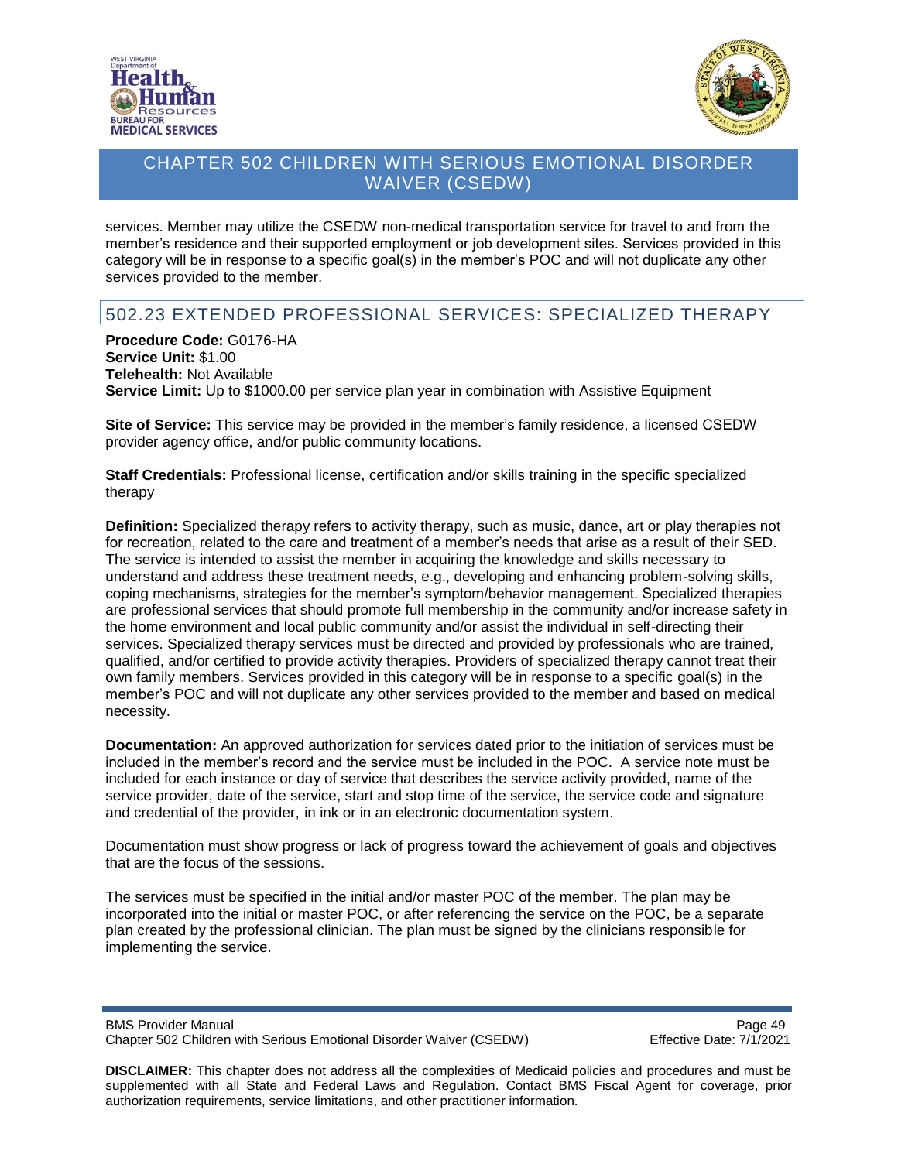



services. Member may utilize the CSEDW non-medical transportation service for travel to and from the member's residence and their supported employment or job development sites. Services provided in this category will be in response to a specific goal(s) in the member's POC and will not duplicate any other services provided to the member.

# 502.23 EXTENDED PROFESSIONAL SERVICES: SPECIALIZED THERAPY

**Procedure Code:** G0176-HA **Service Unit:** \$1.00 **Telehealth:** Not Available **Service Limit:** Up to \$1000.00 per service plan year in combination with Assistive Equipment

**Site of Service:** This service may be provided in the member's family residence, a licensed CSEDW provider agency office, and/or public community locations.

**Staff Credentials:** Professional license, certification and/or skills training in the specific specialized therapy

**Definition:** Specialized therapy refers to activity therapy, such as music, dance, art or play therapies not for recreation, related to the care and treatment of a member's needs that arise as a result of their SED. The service is intended to assist the member in acquiring the knowledge and skills necessary to understand and address these treatment needs, e.g., developing and enhancing problem-solving skills, coping mechanisms, strategies for the member's symptom/behavior management. Specialized therapies are professional services that should promote full membership in the community and/or increase safety in the home environment and local public community and/or assist the individual in self-directing their services. Specialized therapy services must be directed and provided by professionals who are trained, qualified, and/or certified to provide activity therapies. Providers of specialized therapy cannot treat their own family members. Services provided in this category will be in response to a specific goal(s) in the member's POC and will not duplicate any other services provided to the member and based on medical necessity.

**Documentation:** An approved authorization for services dated prior to the initiation of services must be included in the member's record and the service must be included in the POC. A service note must be included for each instance or day of service that describes the service activity provided, name of the service provider, date of the service, start and stop time of the service, the service code and signature and credential of the provider, in ink or in an electronic documentation system.

Documentation must show progress or lack of progress toward the achievement of goals and objectives that are the focus of the sessions.

The services must be specified in the initial and/or master POC of the member. The plan may be incorporated into the initial or master POC, or after referencing the service on the POC, be a separate plan created by the professional clinician. The plan must be signed by the clinicians responsible for implementing the service.

BMS Provider Manual **Page 49** Chapter 502 Children with Serious Emotional Disorder Waiver (CSEDW) Effective Date: 7/1/2021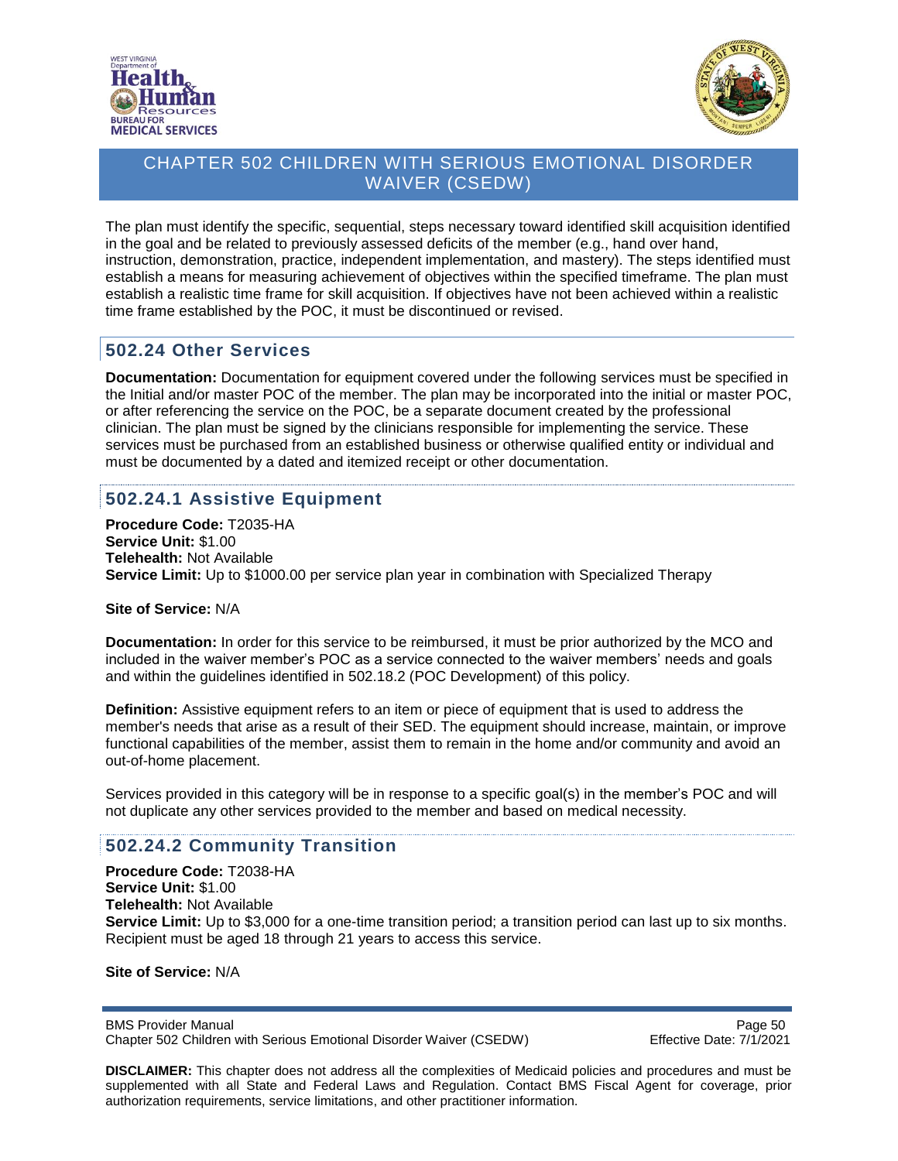



The plan must identify the specific, sequential, steps necessary toward identified skill acquisition identified in the goal and be related to previously assessed deficits of the member (e.g., hand over hand, instruction, demonstration, practice, independent implementation, and mastery). The steps identified must establish a means for measuring achievement of objectives within the specified timeframe. The plan must establish a realistic time frame for skill acquisition. If objectives have not been achieved within a realistic time frame established by the POC, it must be discontinued or revised.

#### **502.24 Other Services**

**Documentation:** Documentation for equipment covered under the following services must be specified in the Initial and/or master POC of the member. The plan may be incorporated into the initial or master POC, or after referencing the service on the POC, be a separate document created by the professional clinician. The plan must be signed by the clinicians responsible for implementing the service. These services must be purchased from an established business or otherwise qualified entity or individual and must be documented by a dated and itemized receipt or other documentation.

# **502.24.1 Assistive Equipment**

**Procedure Code:** T2035-HA **Service Unit:** \$1.00 **Telehealth:** Not Available **Service Limit:** Up to \$1000.00 per service plan year in combination with Specialized Therapy

**Site of Service:** N/A

**Documentation:** In order for this service to be reimbursed, it must be prior authorized by the MCO and included in the waiver member's POC as a service connected to the waiver members' needs and goals and within the guidelines identified in 502.18.2 (POC Development) of this policy.

**Definition:** Assistive equipment refers to an item or piece of equipment that is used to address the member's needs that arise as a result of their SED. The equipment should increase, maintain, or improve functional capabilities of the member, assist them to remain in the home and/or community and avoid an out-of-home placement.

Services provided in this category will be in response to a specific goal(s) in the member's POC and will not duplicate any other services provided to the member and based on medical necessity.

#### **502.24.2 Community Transition**

**Procedure Code:** T2038-HA **Service Unit:** \$1.00 **Telehealth:** Not Available **Service Limit:** Up to \$3,000 for a one-time transition period; a transition period can last up to six months. Recipient must be aged 18 through 21 years to access this service.

**Site of Service:** N/A

BMS Provider Manual **Page 50** Chapter 502 Children with Serious Emotional Disorder Waiver (CSEDW) Effective Date: 7/1/2021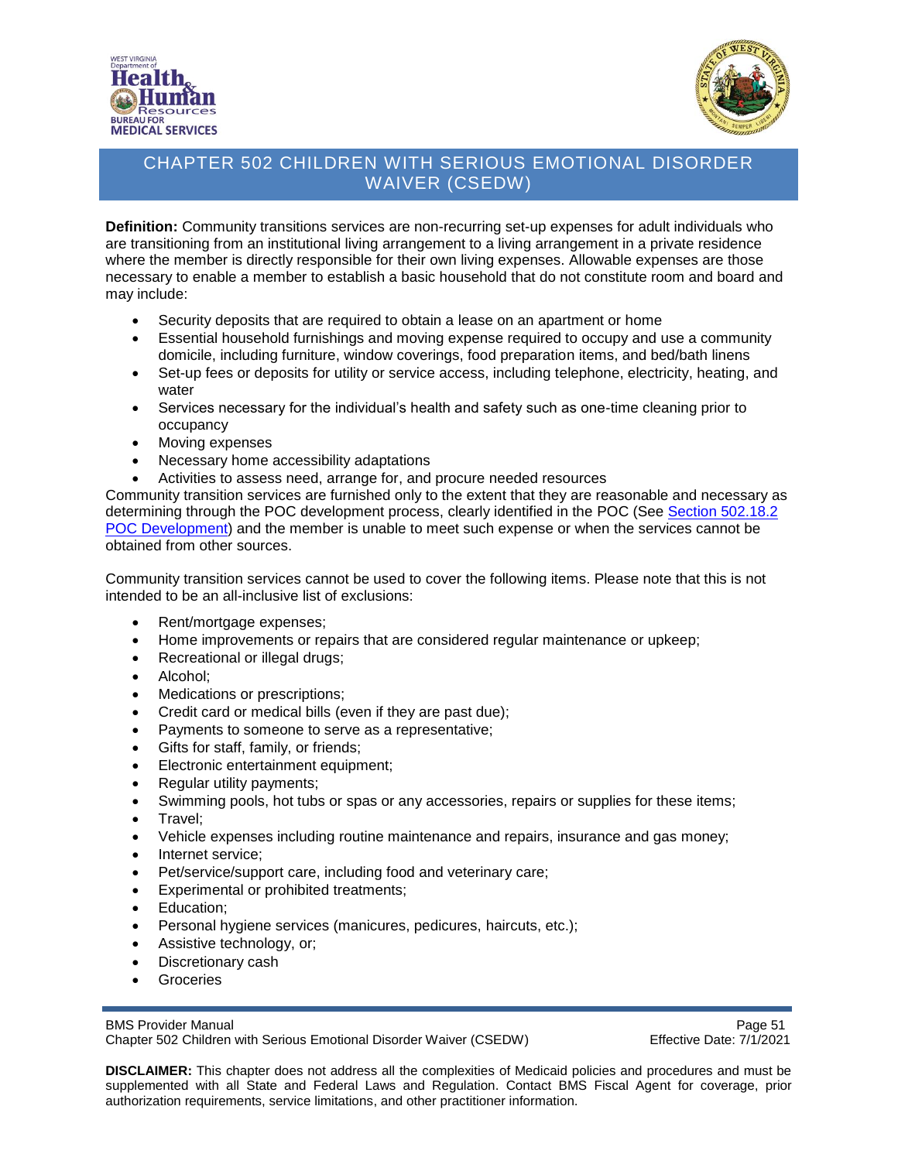



**Definition:** Community transitions services are non-recurring set-up expenses for adult individuals who are transitioning from an institutional living arrangement to a living arrangement in a private residence where the member is directly responsible for their own living expenses. Allowable expenses are those necessary to enable a member to establish a basic household that do not constitute room and board and may include:

- Security deposits that are required to obtain a lease on an apartment or home
- Essential household furnishings and moving expense required to occupy and use a community domicile, including furniture, window coverings, food preparation items, and bed/bath linens
- Set-up fees or deposits for utility or service access, including telephone, electricity, heating, and water
- Services necessary for the individual's health and safety such as one-time cleaning prior to occupancy
- Moving expenses
- Necessary home accessibility adaptations
- Activities to assess need, arrange for, and procure needed resources

Community transition services are furnished only to the extent that they are reasonable and necessary as determining through the POC development process, clearly identified in the POC (See Section 502.18.2 POC [Development\)](#page-31-0) and the member is unable to meet such expense or when the services cannot be obtained from other sources.

Community transition services cannot be used to cover the following items. Please note that this is not intended to be an all-inclusive list of exclusions:

- Rent/mortgage expenses;
- Home improvements or repairs that are considered regular maintenance or upkeep;
- Recreational or illegal drugs;
- Alcohol;
- Medications or prescriptions;
- Credit card or medical bills (even if they are past due);
- Payments to someone to serve as a representative;
- Gifts for staff, family, or friends;
- Electronic entertainment equipment;
- Regular utility payments;
- Swimming pools, hot tubs or spas or any accessories, repairs or supplies for these items;
- Travel;
- Vehicle expenses including routine maintenance and repairs, insurance and gas money;
- Internet service;
- Pet/service/support care, including food and veterinary care;
- Experimental or prohibited treatments;
- Education;
- Personal hygiene services (manicures, pedicures, haircuts, etc.);
- Assistive technology, or;
- Discretionary cash
- Groceries

BMS Provider Manual Page 51<br>Chapter 502 Children with Serious Emotional Disorder Waiver (CSEDW) Fffective Date: 7/1/2021 Chapter 502 Children with Serious Emotional Disorder Waiver (CSEDW)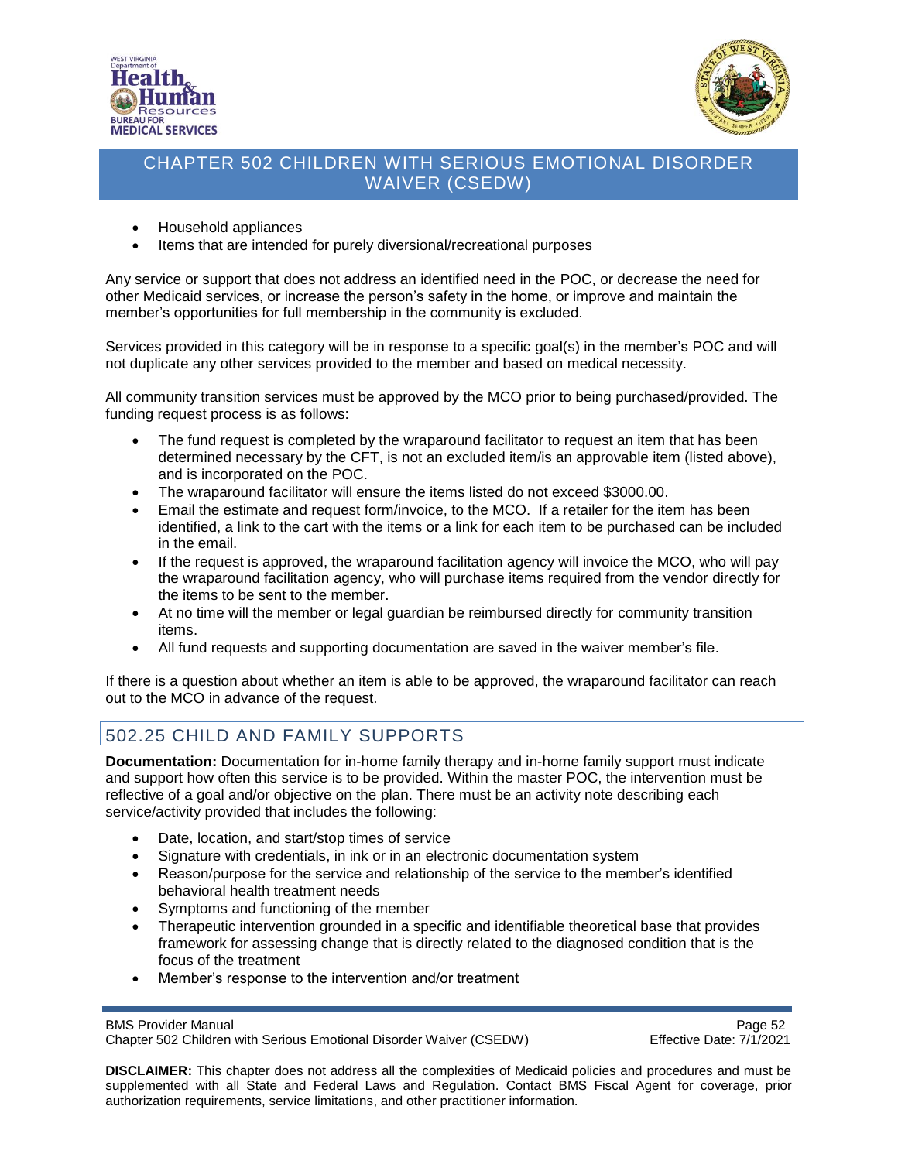



- Household appliances
- Items that are intended for purely diversional/recreational purposes

Any service or support that does not address an identified need in the POC, or decrease the need for other Medicaid services, or increase the person's safety in the home, or improve and maintain the member's opportunities for full membership in the community is excluded.

Services provided in this category will be in response to a specific goal(s) in the member's POC and will not duplicate any other services provided to the member and based on medical necessity.

All community transition services must be approved by the MCO prior to being purchased/provided. The funding request process is as follows:

- The fund request is completed by the wraparound facilitator to request an item that has been determined necessary by the CFT, is not an excluded item/is an approvable item (listed above), and is incorporated on the POC.
- The wraparound facilitator will ensure the items listed do not exceed \$3000.00.
- Email the estimate and request form/invoice, to the MCO. If a retailer for the item has been identified, a link to the cart with the items or a link for each item to be purchased can be included in the email.
- If the request is approved, the wraparound facilitation agency will invoice the MCO, who will pay the wraparound facilitation agency, who will purchase items required from the vendor directly for the items to be sent to the member.
- At no time will the member or legal guardian be reimbursed directly for community transition items.
- All fund requests and supporting documentation are saved in the waiver member's file.

If there is a question about whether an item is able to be approved, the wraparound facilitator can reach out to the MCO in advance of the request.

# 502.25 CHILD AND FAMILY SUPPORTS

**Documentation:** Documentation for in-home family therapy and in-home family support must indicate and support how often this service is to be provided. Within the master POC, the intervention must be reflective of a goal and/or objective on the plan. There must be an activity note describing each service/activity provided that includes the following:

- Date, location, and start/stop times of service
- Signature with credentials, in ink or in an electronic documentation system
- Reason/purpose for the service and relationship of the service to the member's identified behavioral health treatment needs
- Symptoms and functioning of the member
- Therapeutic intervention grounded in a specific and identifiable theoretical base that provides framework for assessing change that is directly related to the diagnosed condition that is the focus of the treatment
- Member's response to the intervention and/or treatment

BMS Provider Manual<br>Chapter 502 Children with Serious Emotional Disorder Waiver (CSEDW) Page 52 Chapter 502 Children with Serious Emotional Disorder Waiver (CSEDW)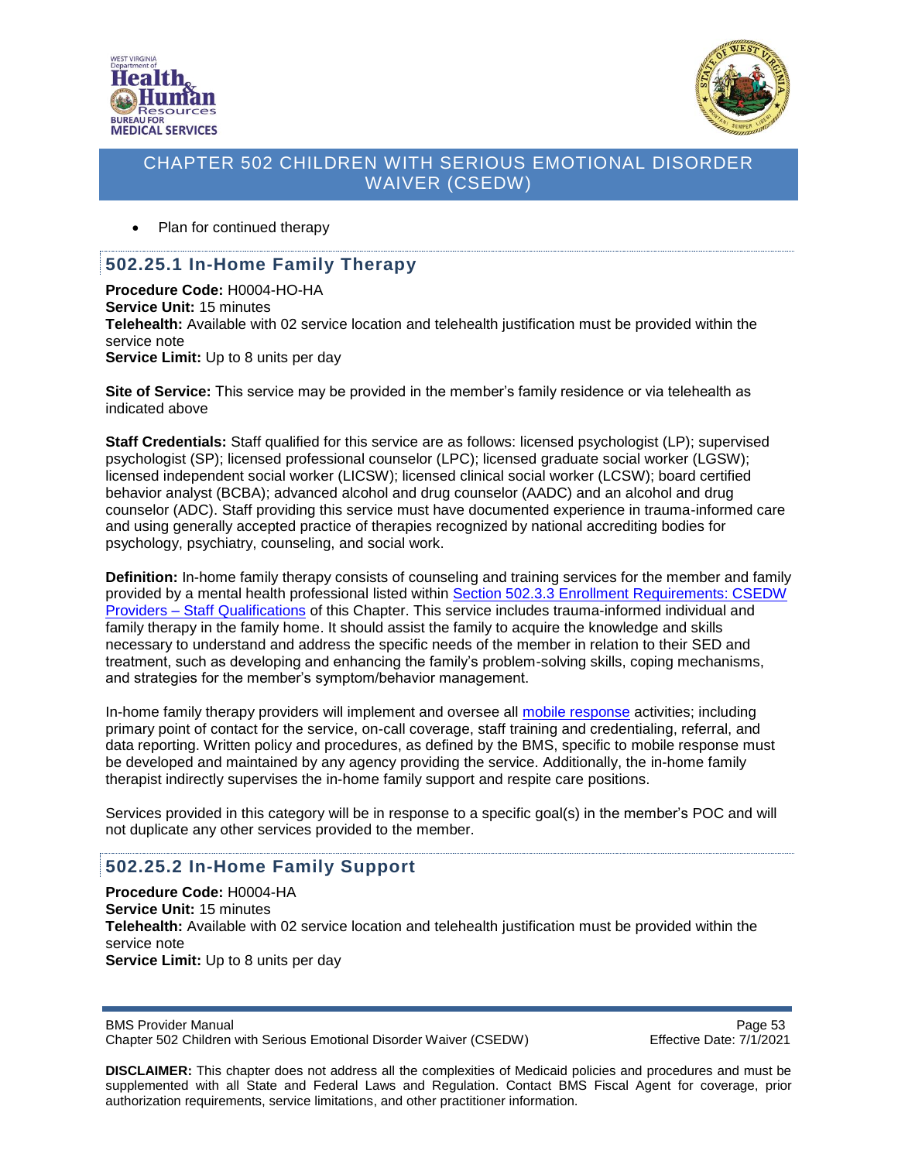



Plan for continued therapy

#### **502.25.1 In-Home Family Therapy**

**Procedure Code:** H0004-HO-HA **Service Unit:** 15 minutes **Telehealth:** Available with 02 service location and telehealth justification must be provided within the service note **Service Limit:** Up to 8 units per day

**Site of Service:** This service may be provided in the member's family residence or via telehealth as indicated above

**Staff Credentials:** Staff qualified for this service are as follows: licensed psychologist (LP); supervised psychologist (SP); licensed professional counselor (LPC); licensed graduate social worker (LGSW); licensed independent social worker (LICSW); licensed clinical social worker (LCSW); board certified behavior analyst (BCBA); advanced alcohol and drug counselor (AADC) and an alcohol and drug counselor (ADC). Staff providing this service must have documented experience in trauma-informed care and using generally accepted practice of therapies recognized by national accrediting bodies for psychology, psychiatry, counseling, and social work.

**Definition:** In-home family therapy consists of counseling and training services for the member and family provided by a mental health professional listed within [Section 502.3.3 Enrollment Requirements: CSEDW](#page-8-0)  Providers – [Staff Qualifications](#page-8-0) of this Chapter. This service includes trauma-informed individual and family therapy in the family home. It should assist the family to acquire the knowledge and skills necessary to understand and address the specific needs of the member in relation to their SED and treatment, such as developing and enhancing the family's problem-solving skills, coping mechanisms, and strategies for the member's symptom/behavior management.

In-home family therapy providers will implement and oversee all [mobile response](#page-40-0) activities; including primary point of contact for the service, on-call coverage, staff training and credentialing, referral, and data reporting. Written policy and procedures, as defined by the BMS, specific to mobile response must be developed and maintained by any agency providing the service. Additionally, the in-home family therapist indirectly supervises the in-home family support and respite care positions.

Services provided in this category will be in response to a specific goal(s) in the member's POC and will not duplicate any other services provided to the member.

# **502.25.2 In-Home Family Support**

**Procedure Code:** H0004-HA **Service Unit:** 15 minutes **Telehealth:** Available with 02 service location and telehealth justification must be provided within the service note **Service Limit:** Up to 8 units per day

BMS Provider Manual **Page 53** Chapter 502 Children with Serious Emotional Disorder Waiver (CSEDW) Effective Date: 7/1/2021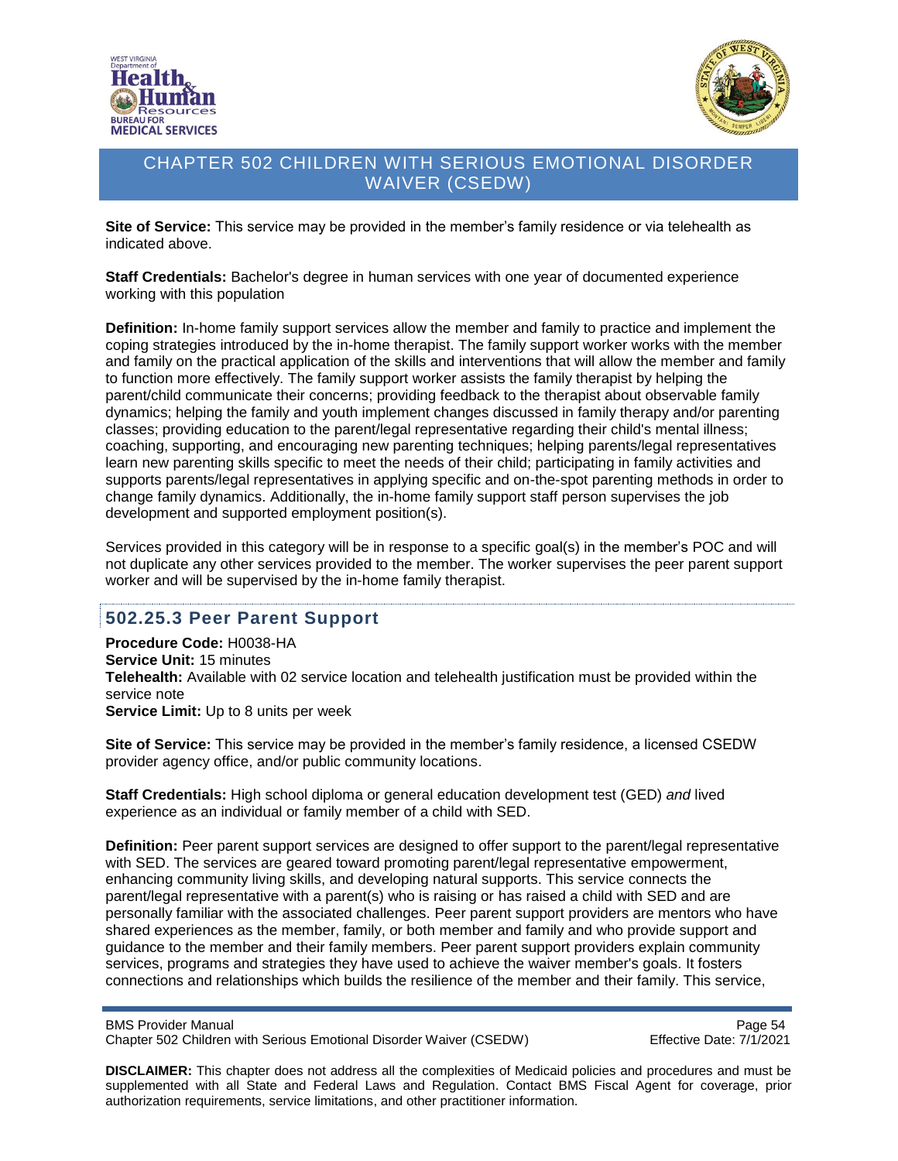



**Site of Service:** This service may be provided in the member's family residence or via telehealth as indicated above.

**Staff Credentials:** Bachelor's degree in human services with one year of documented experience working with this population

**Definition:** In-home family support services allow the member and family to practice and implement the coping strategies introduced by the in-home therapist. The family support worker works with the member and family on the practical application of the skills and interventions that will allow the member and family to function more effectively. The family support worker assists the family therapist by helping the parent/child communicate their concerns; providing feedback to the therapist about observable family dynamics; helping the family and youth implement changes discussed in family therapy and/or parenting classes; providing education to the parent/legal representative regarding their child's mental illness; coaching, supporting, and encouraging new parenting techniques; helping parents/legal representatives learn new parenting skills specific to meet the needs of their child; participating in family activities and supports parents/legal representatives in applying specific and on-the-spot parenting methods in order to change family dynamics. Additionally, the in-home family support staff person supervises the job development and supported employment position(s).

Services provided in this category will be in response to a specific goal(s) in the member's POC and will not duplicate any other services provided to the member. The worker supervises the peer parent support worker and will be supervised by the in-home family therapist.

# **502.25.3 Peer Parent Support**

**Procedure Code:** H0038-HA **Service Unit:** 15 minutes **Telehealth:** Available with 02 service location and telehealth justification must be provided within the service note **Service Limit:** Up to 8 units per week

**Site of Service:** This service may be provided in the member's family residence, a licensed CSEDW provider agency office, and/or public community locations.

**Staff Credentials:** High school diploma or general education development test (GED) *and* lived experience as an individual or family member of a child with SED.

**Definition:** Peer parent support services are designed to offer support to the parent/legal representative with SED. The services are geared toward promoting parent/legal representative empowerment, enhancing community living skills, and developing natural supports. This service connects the parent/legal representative with a parent(s) who is raising or has raised a child with SED and are personally familiar with the associated challenges. Peer parent support providers are mentors who have shared experiences as the member, family, or both member and family and who provide support and guidance to the member and their family members. Peer parent support providers explain community services, programs and strategies they have used to achieve the waiver member's goals. It fosters connections and relationships which builds the resilience of the member and their family. This service,

BMS Provider Manual<br>Chapter 502 Children with Serious Emotional Disorder Waiver (CSEDW) Chapter 502 Children with Serious Emotional Disorder Waiver (CSEDW) Chapter 502 Children with Serious Emotional Disorder Waiver (CSEDW)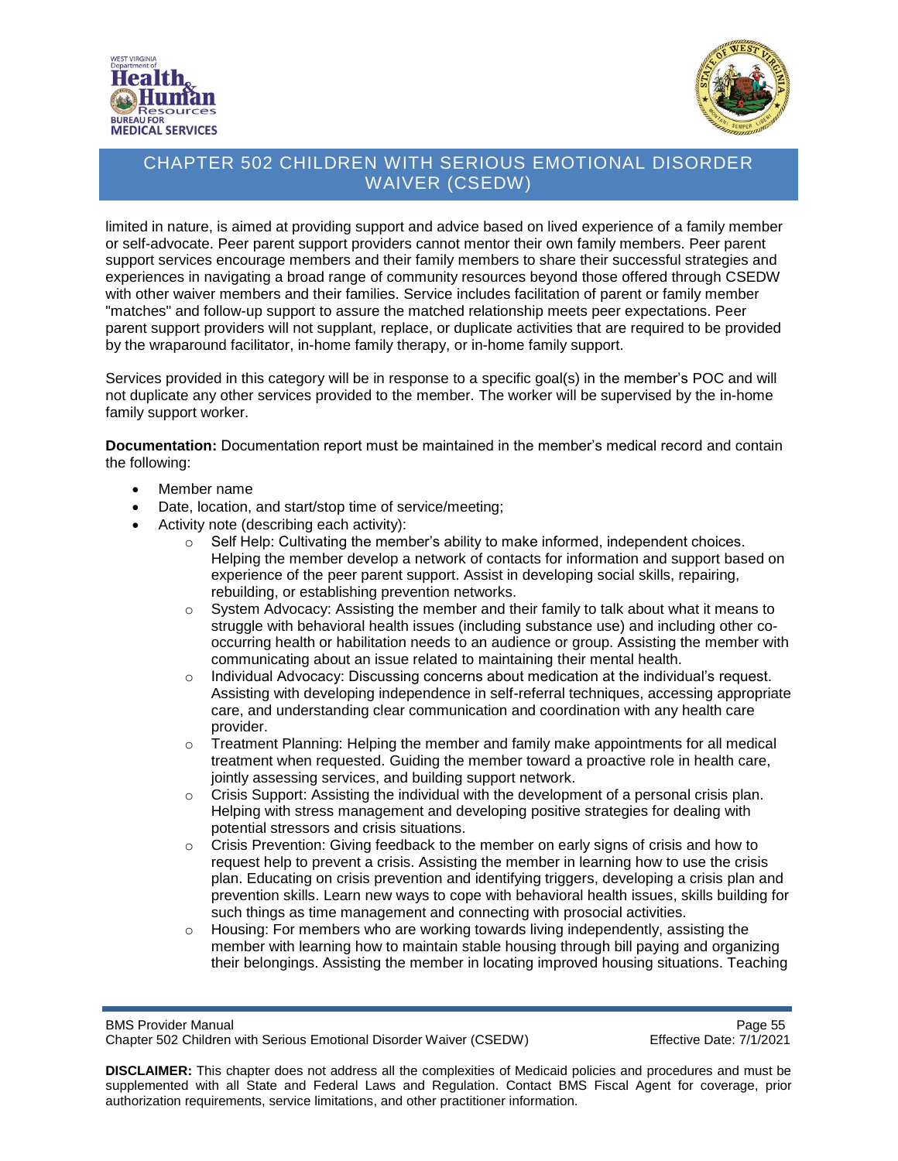



limited in nature, is aimed at providing support and advice based on lived experience of a family member or self-advocate. Peer parent support providers cannot mentor their own family members. Peer parent support services encourage members and their family members to share their successful strategies and experiences in navigating a broad range of community resources beyond those offered through CSEDW with other waiver members and their families. Service includes facilitation of parent or family member "matches" and follow-up support to assure the matched relationship meets peer expectations. Peer parent support providers will not supplant, replace, or duplicate activities that are required to be provided by the wraparound facilitator, in-home family therapy, or in-home family support.

Services provided in this category will be in response to a specific goal(s) in the member's POC and will not duplicate any other services provided to the member. The worker will be supervised by the in-home family support worker.

**Documentation:** Documentation report must be maintained in the member's medical record and contain the following:

- Member name
- Date, location, and start/stop time of service/meeting;
- Activity note (describing each activity):
	- $\circ$  Self Help: Cultivating the member's ability to make informed, independent choices. Helping the member develop a network of contacts for information and support based on experience of the peer parent support. Assist in developing social skills, repairing, rebuilding, or establishing prevention networks.
	- $\circ$  System Advocacy: Assisting the member and their family to talk about what it means to struggle with behavioral health issues (including substance use) and including other cooccurring health or habilitation needs to an audience or group. Assisting the member with communicating about an issue related to maintaining their mental health.
	- $\circ$  Individual Advocacy: Discussing concerns about medication at the individual's request. Assisting with developing independence in self-referral techniques, accessing appropriate care, and understanding clear communication and coordination with any health care provider.
	- $\circ$  Treatment Planning: Helping the member and family make appointments for all medical treatment when requested. Guiding the member toward a proactive role in health care, jointly assessing services, and building support network.
	- $\circ$  Crisis Support: Assisting the individual with the development of a personal crisis plan. Helping with stress management and developing positive strategies for dealing with potential stressors and crisis situations.
	- $\circ$  Crisis Prevention: Giving feedback to the member on early signs of crisis and how to request help to prevent a crisis. Assisting the member in learning how to use the crisis plan. Educating on crisis prevention and identifying triggers, developing a crisis plan and prevention skills. Learn new ways to cope with behavioral health issues, skills building for such things as time management and connecting with prosocial activities.
	- $\circ$  Housing: For members who are working towards living independently, assisting the member with learning how to maintain stable housing through bill paying and organizing their belongings. Assisting the member in locating improved housing situations. Teaching

BMS Provider Manual<br>Chapter 502 Children with Serious Emotional Disorder Waiver (CSEDW) Firective Date: 7/1/2021 Chapter 502 Children with Serious Emotional Disorder Waiver (CSEDW)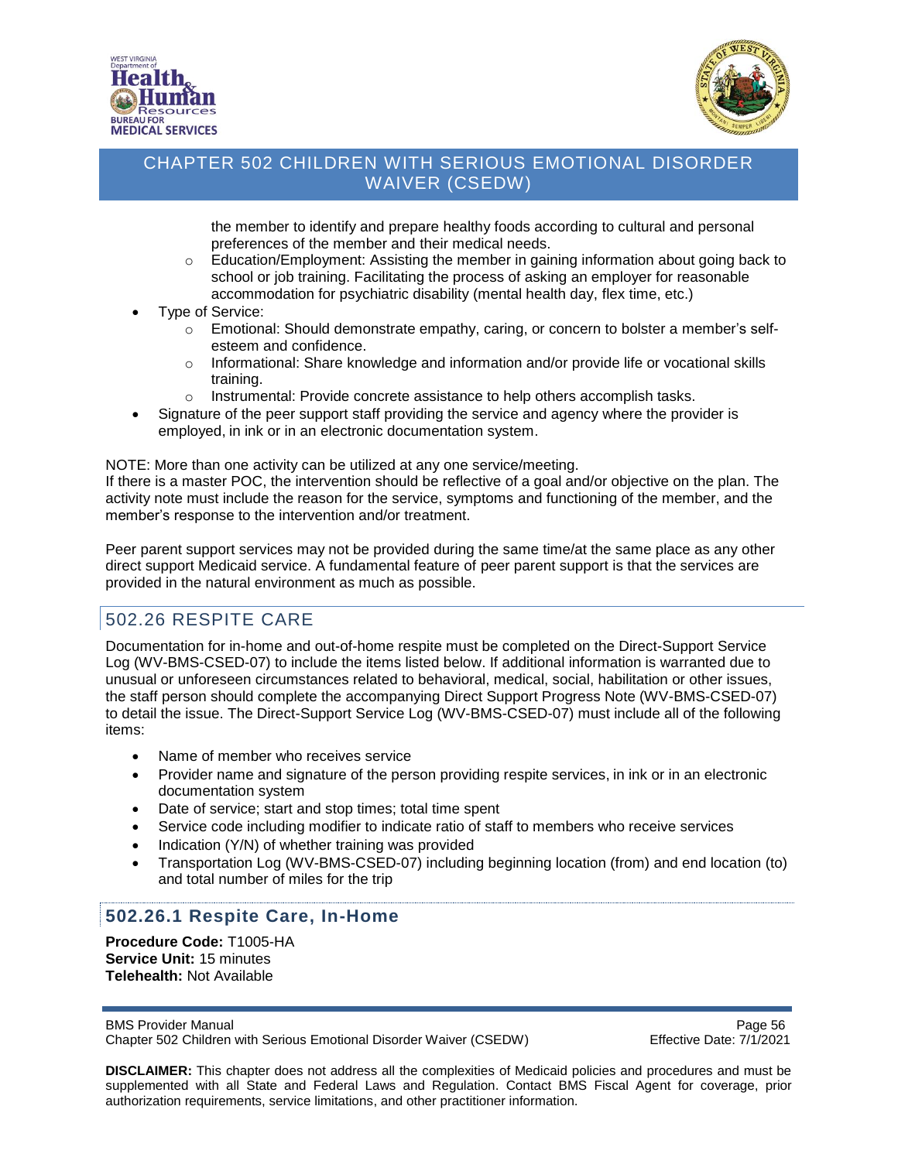



the member to identify and prepare healthy foods according to cultural and personal preferences of the member and their medical needs.

- $\circ$  Education/Employment: Assisting the member in gaining information about going back to school or job training. Facilitating the process of asking an employer for reasonable accommodation for psychiatric disability (mental health day, flex time, etc.)
- Type of Service:
	- o Emotional: Should demonstrate empathy, caring, or concern to bolster a member's selfesteem and confidence.
	- o Informational: Share knowledge and information and/or provide life or vocational skills training.
	- o Instrumental: Provide concrete assistance to help others accomplish tasks.
- Signature of the peer support staff providing the service and agency where the provider is employed, in ink or in an electronic documentation system.

NOTE: More than one activity can be utilized at any one service/meeting.

If there is a master POC, the intervention should be reflective of a goal and/or objective on the plan. The activity note must include the reason for the service, symptoms and functioning of the member, and the member's response to the intervention and/or treatment.

Peer parent support services may not be provided during the same time/at the same place as any other direct support Medicaid service. A fundamental feature of peer parent support is that the services are provided in the natural environment as much as possible.

# 502.26 RESPITE CARE

Documentation for in-home and out-of-home respite must be completed on the Direct-Support Service Log (WV-BMS-CSED-07) to include the items listed below. If additional information is warranted due to unusual or unforeseen circumstances related to behavioral, medical, social, habilitation or other issues, the staff person should complete the accompanying Direct Support Progress Note (WV-BMS-CSED-07) to detail the issue. The Direct-Support Service Log (WV-BMS-CSED-07) must include all of the following items:

- Name of member who receives service
- Provider name and signature of the person providing respite services, in ink or in an electronic documentation system
- Date of service; start and stop times; total time spent
- Service code including modifier to indicate ratio of staff to members who receive services
- Indication (Y/N) of whether training was provided
- Transportation Log (WV-BMS-CSED-07) including beginning location (from) and end location (to) and total number of miles for the trip

# **502.26.1 Respite Care, In-Home**

**Procedure Code:** T1005-HA **Service Unit:** 15 minutes **Telehealth:** Not Available

BMS Provider Manual **Page 56** Page 56 Chapter 502 Children with Serious Emotional Disorder Waiver (CSEDW) Effective Date: 7/1/2021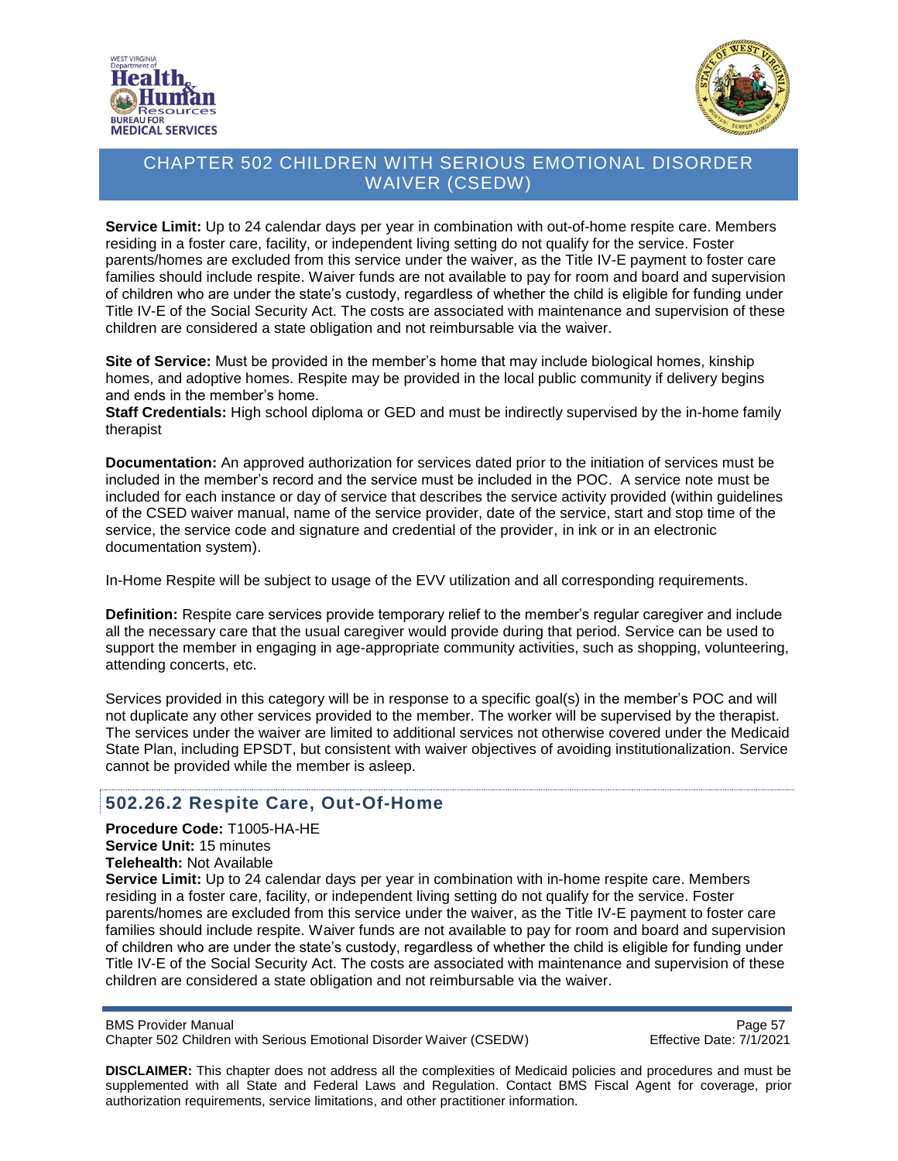



**Service Limit:** Up to 24 calendar days per year in combination with out-of-home respite care. Members residing in a foster care, facility, or independent living setting do not qualify for the service. Foster parents/homes are excluded from this service under the waiver, as the Title IV-E payment to foster care families should include respite. Waiver funds are not available to pay for room and board and supervision of children who are under the state's custody, regardless of whether the child is eligible for funding under Title IV-E of the Social Security Act. The costs are associated with maintenance and supervision of these children are considered a state obligation and not reimbursable via the waiver.

**Site of Service:** Must be provided in the member's home that may include biological homes, kinship homes, and adoptive homes. Respite may be provided in the local public community if delivery begins and ends in the member's home.

**Staff Credentials:** High school diploma or GED and must be indirectly supervised by the in-home family therapist

**Documentation:** An approved authorization for services dated prior to the initiation of services must be included in the member's record and the service must be included in the POC. A service note must be included for each instance or day of service that describes the service activity provided (within guidelines of the CSED waiver manual, name of the service provider, date of the service, start and stop time of the service, the service code and signature and credential of the provider, in ink or in an electronic documentation system).

In-Home Respite will be subject to usage of the EVV utilization and all corresponding requirements.

**Definition:** Respite care services provide temporary relief to the member's regular caregiver and include all the necessary care that the usual caregiver would provide during that period. Service can be used to support the member in engaging in age-appropriate community activities, such as shopping, volunteering, attending concerts, etc.

Services provided in this category will be in response to a specific goal(s) in the member's POC and will not duplicate any other services provided to the member. The worker will be supervised by the therapist. The services under the waiver are limited to additional services not otherwise covered under the Medicaid State Plan, including EPSDT, but consistent with waiver objectives of avoiding institutionalization. Service cannot be provided while the member is asleep.

# **502.26.2 Respite Care, Out-Of-Home**

**Procedure Code:** T1005-HA-HE **Service Unit:** 15 minutes **Telehealth:** Not Available

**Service Limit:** Up to 24 calendar days per year in combination with in-home respite care. Members residing in a foster care, facility, or independent living setting do not qualify for the service. Foster parents/homes are excluded from this service under the waiver, as the Title IV-E payment to foster care families should include respite. Waiver funds are not available to pay for room and board and supervision of children who are under the state's custody, regardless of whether the child is eligible for funding under Title IV-E of the Social Security Act. The costs are associated with maintenance and supervision of these children are considered a state obligation and not reimbursable via the waiver.

BMS Provider Manual **Page 57** 

Chapter 502 Children with Serious Emotional Disorder Waiver (CSEDW) Effective Date: 7/1/2021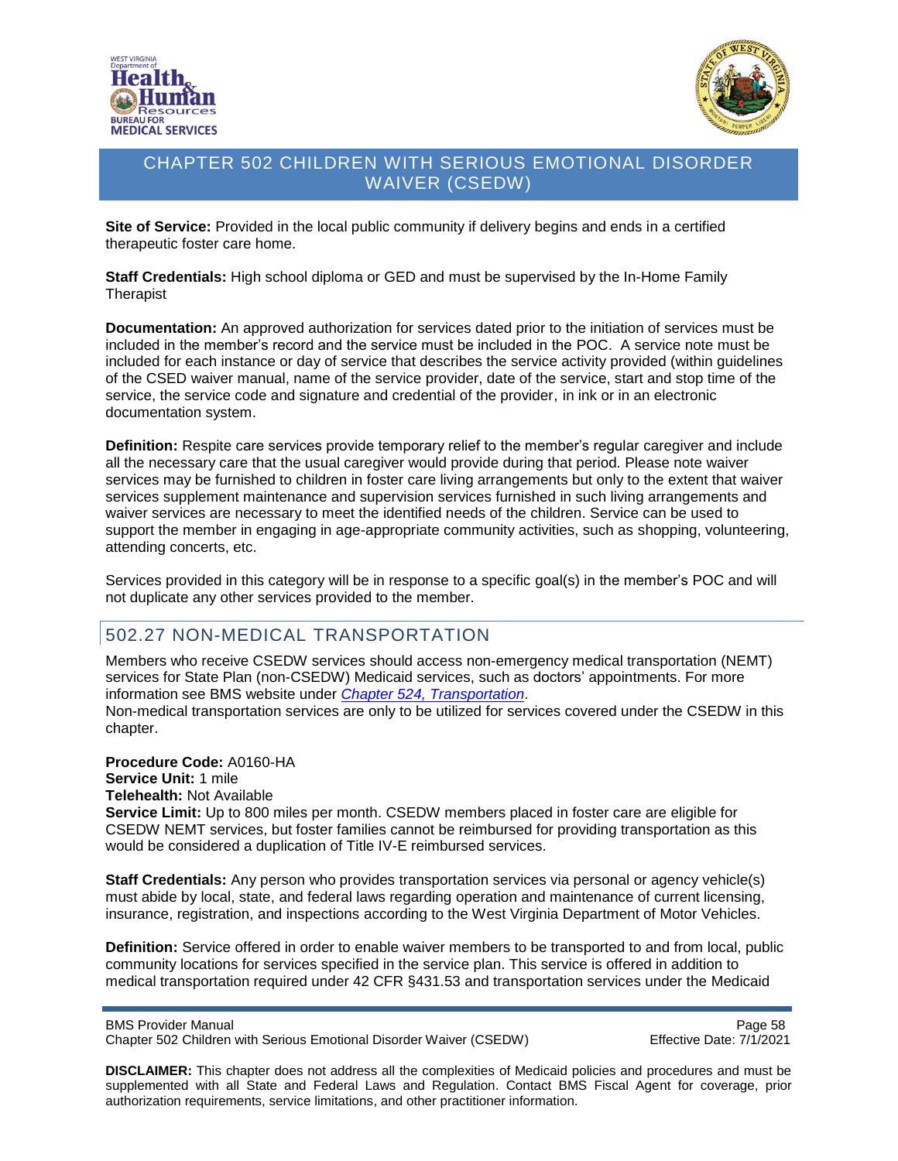



**Site of Service:** Provided in the local public community if delivery begins and ends in a certified therapeutic foster care home.

**Staff Credentials:** High school diploma or GED and must be supervised by the In-Home Family **Therapist** 

**Documentation:** An approved authorization for services dated prior to the initiation of services must be included in the member's record and the service must be included in the POC. A service note must be included for each instance or day of service that describes the service activity provided (within guidelines of the CSED waiver manual, name of the service provider, date of the service, start and stop time of the service, the service code and signature and credential of the provider, in ink or in an electronic documentation system.

**Definition:** Respite care services provide temporary relief to the member's regular caregiver and include all the necessary care that the usual caregiver would provide during that period. Please note waiver services may be furnished to children in foster care living arrangements but only to the extent that waiver services supplement maintenance and supervision services furnished in such living arrangements and waiver services are necessary to meet the identified needs of the children. Service can be used to support the member in engaging in age-appropriate community activities, such as shopping, volunteering, attending concerts, etc.

Services provided in this category will be in response to a specific goal(s) in the member's POC and will not duplicate any other services provided to the member.

# 502.27 NON-MEDICAL TRANSPORTATION

Members who receive CSEDW services should access non-emergency medical transportation (NEMT) services for State Plan (non-CSEDW) Medicaid services, such as doctors' appointments. For more information see BMS website under *Chapter 524, [Transportation](http://www.dhhr.wv.gov/bms/Pages/Manuals.aspx)*. Non-medical transportation services are only to be utilized for services covered under the CSEDW in this chapter.

**Procedure Code:** A0160-HA **Service Unit:** 1 mile **Telehealth:** Not Available **Service Limit:** Up to 800 miles per month. CSEDW members placed in foster care are eligible for CSEDW NEMT services, but foster families cannot be reimbursed for providing transportation as this would be considered a duplication of Title IV-E reimbursed services.

**Staff Credentials:** Any person who provides transportation services via personal or agency vehicle(s) must abide by local, state, and federal laws regarding operation and maintenance of current licensing, insurance, registration, and inspections according to the West Virginia Department of Motor Vehicles.

**Definition:** Service offered in order to enable waiver members to be transported to and from local, public community locations for services specified in the service plan. This service is offered in addition to medical transportation required under 42 CFR §431.53 and transportation services under the Medicaid

BMS Provider Manual **Page 58** Chapter 502 Children with Serious Emotional Disorder Waiver (CSEDW) Effective Date: 7/1/2021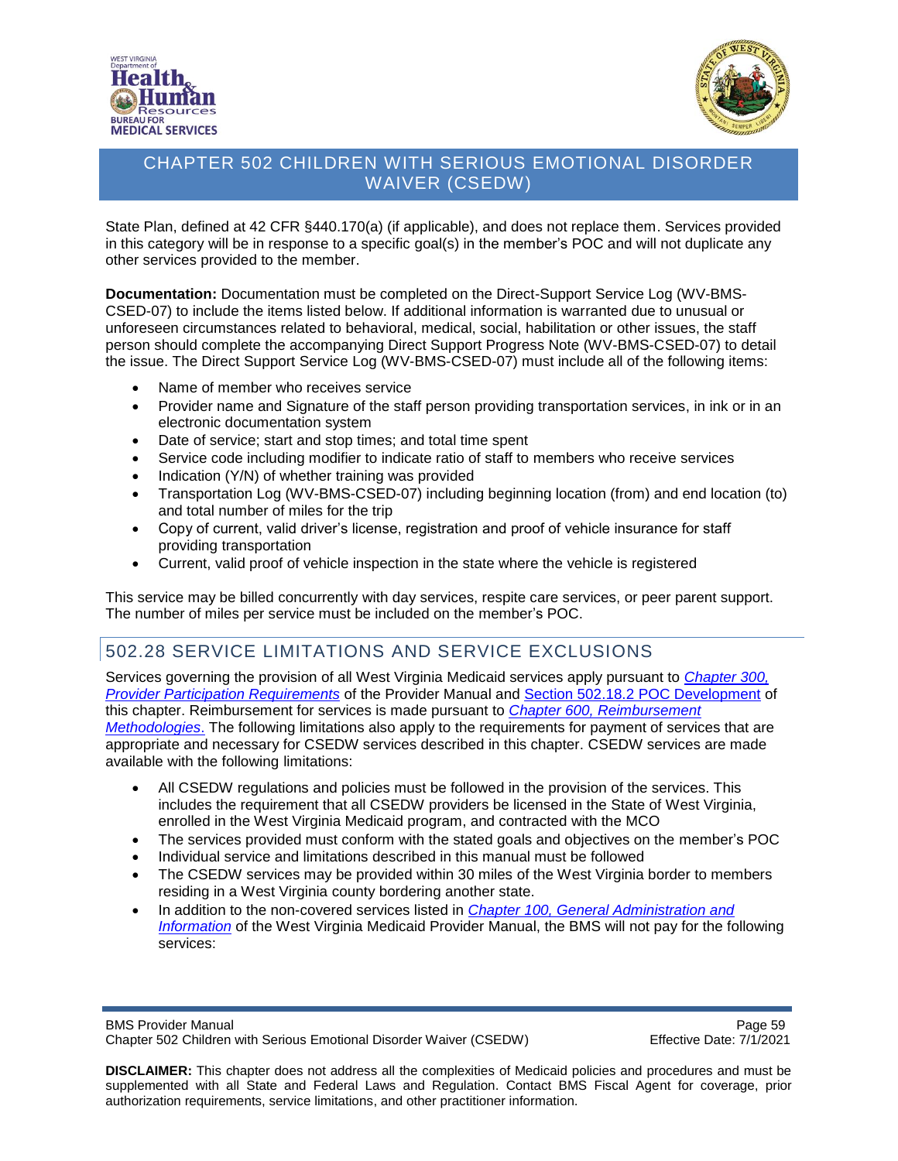



State Plan, defined at 42 CFR §440.170(a) (if applicable), and does not replace them. Services provided in this category will be in response to a specific goal(s) in the member's POC and will not duplicate any other services provided to the member.

**Documentation:** Documentation must be completed on the Direct-Support Service Log (WV-BMS-CSED-07) to include the items listed below. If additional information is warranted due to unusual or unforeseen circumstances related to behavioral, medical, social, habilitation or other issues, the staff person should complete the accompanying Direct Support Progress Note (WV-BMS-CSED-07) to detail the issue. The Direct Support Service Log (WV-BMS-CSED-07) must include all of the following items:

- Name of member who receives service
- Provider name and Signature of the staff person providing transportation services, in ink or in an electronic documentation system
- Date of service; start and stop times; and total time spent
- Service code including modifier to indicate ratio of staff to members who receive services
- Indication (Y/N) of whether training was provided
- Transportation Log (WV-BMS-CSED-07) including beginning location (from) and end location (to) and total number of miles for the trip
- Copy of current, valid driver's license, registration and proof of vehicle insurance for staff providing transportation
- Current, valid proof of vehicle inspection in the state where the vehicle is registered

This service may be billed concurrently with day services, respite care services, or peer parent support. The number of miles per service must be included on the member's POC.

# 502.28 SERVICE LIMITATIONS AND SERVICE EXCLUSIONS

Services governing the provision of all West Virginia Medicaid services apply pursuant to *[Chapter 300,](http://www.dhhr.wv.gov/bms/Pages/Manuals.aspx) [Provider Participation Requirements](http://www.dhhr.wv.gov/bms/Pages/Manuals.aspx)* of the Provider Manual and [Section 502.18.2 POC Development](#page-31-0) of this chapter. Reimbursement for services is made pursuant to *[Chapter 600, Reimbursement](http://www.dhhr.wv.gov/bms/Pages/Manuals.aspx) [Methodologies](http://www.dhhr.wv.gov/bms/Pages/Manuals.aspx)*. The following limitations also apply to the requirements for payment of services that are appropriate and necessary for CSEDW services described in this chapter. CSEDW services are made available with the following limitations:

- All CSEDW regulations and policies must be followed in the provision of the services. This includes the requirement that all CSEDW providers be licensed in the State of West Virginia, enrolled in the West Virginia Medicaid program, and contracted with the MCO
- The services provided must conform with the stated goals and objectives on the member's POC
- Individual service and limitations described in this manual must be followed
- The CSEDW services may be provided within 30 miles of the West Virginia border to members residing in a West Virginia county bordering another state.
- In addition to the non-covered services listed in *[Chapter 100, General Administration and](http://www.dhhr.wv.gov/bms/Pages/Manuals.aspx) [Information](http://www.dhhr.wv.gov/bms/Pages/Manuals.aspx)* of the West Virginia Medicaid Provider Manual, the BMS will not pay for the following services:

BMS Provider Manual **Page 59** Chapter 502 Children with Serious Emotional Disorder Waiver (CSEDW) Effective Date: 7/1/2021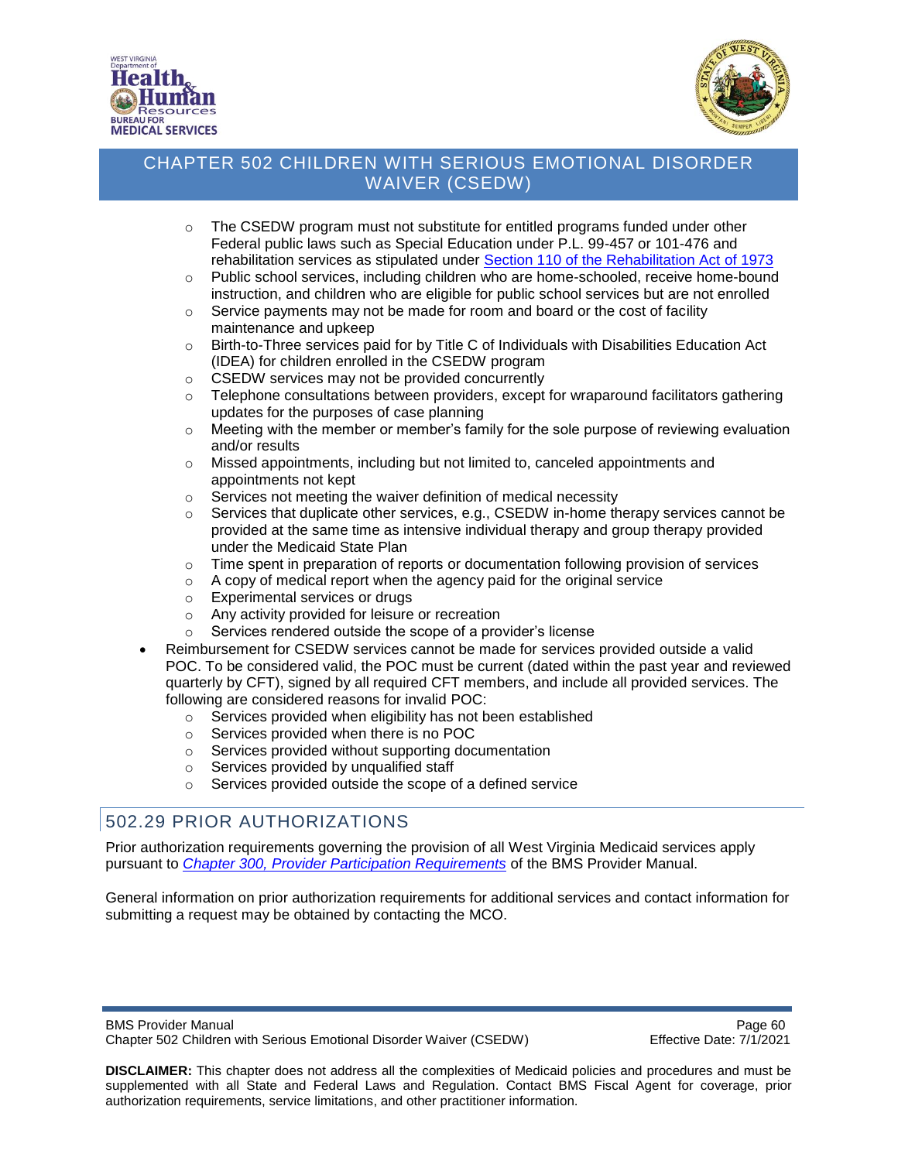



- $\circ$  The CSEDW program must not substitute for entitled programs funded under other Federal public laws such as Special Education under P.L. 99-457 or 101-476 and rehabilitation services as stipulated under [Section 110 of the Rehabilitation Act](https://www2.ed.gov/policy/speced/leg/rehab/rehabilitation-act-of-1973-amended-by-wioa.pdf) of 1973
- o Public school services, including children who are home-schooled, receive home-bound instruction, and children who are eligible for public school services but are not enrolled
- $\circ$  Service payments may not be made for room and board or the cost of facility maintenance and upkeep
- $\circ$  Birth-to-Three services paid for by Title C of Individuals with Disabilities Education Act (IDEA) for children enrolled in the CSEDW program
- o CSEDW services may not be provided concurrently
- $\circ$  Telephone consultations between providers, except for wraparound facilitators gathering updates for the purposes of case planning
- $\circ$  Meeting with the member or member's family for the sole purpose of reviewing evaluation and/or results
- $\circ$  Missed appointments, including but not limited to, canceled appointments and appointments not kept
- o Services not meeting the waiver definition of medical necessity
- $\circ$  Services that duplicate other services, e.g., CSEDW in-home therapy services cannot be provided at the same time as intensive individual therapy and group therapy provided under the Medicaid State Plan
- $\circ$  Time spent in preparation of reports or documentation following provision of services
- o A copy of medical report when the agency paid for the original service
- o Experimental services or drugs
- o Any activity provided for leisure or recreation
- o Services rendered outside the scope of a provider's license
- Reimbursement for CSEDW services cannot be made for services provided outside a valid POC. To be considered valid, the POC must be current (dated within the past year and reviewed quarterly by CFT), signed by all required CFT members, and include all provided services. The following are considered reasons for invalid POC:
	- o Services provided when eligibility has not been established
	- o Services provided when there is no POC
	- o Services provided without supporting documentation
	- o Services provided by unqualified staff
	- o Services provided outside the scope of a defined service

# 502.29 PRIOR AUTHORIZATIONS

Prior authorization requirements governing the provision of all West Virginia Medicaid services apply pursuant to *[Chapter 300, Provider Participation Requirements](https://dhhr.wv.gov/bms/Pages/Manuals.aspx)* of the BMS Provider Manual.

General information on prior authorization requirements for additional services and contact information for submitting a request may be obtained by contacting the MCO.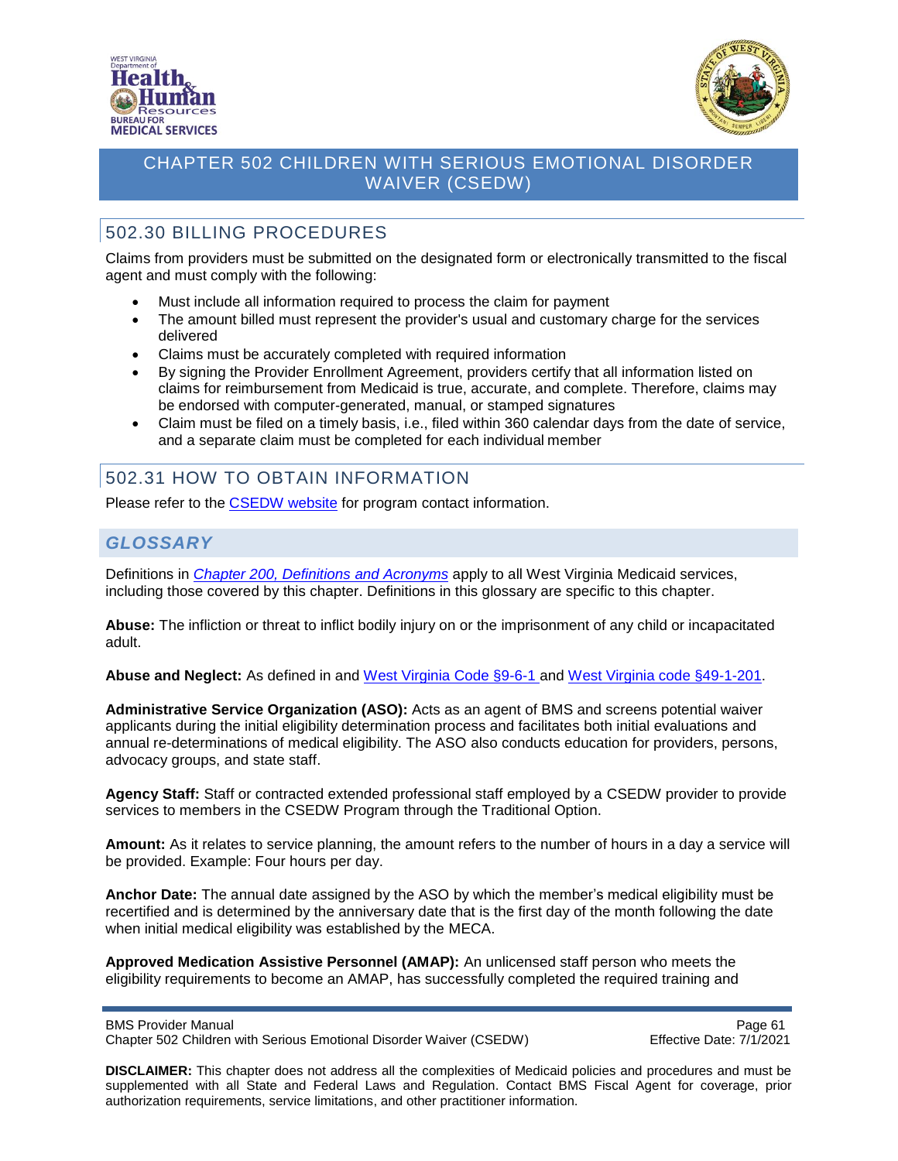



# 502.30 BILLING PROCEDURES

Claims from providers must be submitted on the designated form or electronically transmitted to the fiscal agent and must comply with the following:

- Must include all information required to process the claim for payment
- The amount billed must represent the provider's usual and customary charge for the services delivered
- Claims must be accurately completed with required information
- By signing the Provider Enrollment Agreement, providers certify that all information listed on claims for reimbursement from Medicaid is true, accurate, and complete. Therefore, claims may be endorsed with computer-generated, manual, or stamped signatures
- Claim must be filed on a timely basis, i.e., filed within 360 calendar days from the date of service, and a separate claim must be completed for each individual member

# 502.31 HOW TO OBTAIN INFORMATION

Please refer to the [CSEDW](https://dhhr.wv.gov/bms/Programs/WaiverPrograms/CSEDW/Pages/SED.aspx) website for program contact information.

# *GLOSSARY*

Definitions in *[Chapter 200, Definitions and](http://www.dhhr.wv.gov/bms/Pages/Manuals.aspx) Acronyms* apply to all West Virginia Medicaid services, including those covered by this chapter. Definitions in this glossary are specific to this chapter.

**Abuse:** The infliction or threat to inflict bodily injury on or the imprisonment of any child or incapacitated adult.

**Abuse and Neglect:** As defined in and [West Virginia Code §9-6-1 a](http://www.wvlegislature.gov/wvcode/ChapterEntire.cfm?chap=9&art=6§ion=1)nd [West Virginia code §49-1-201.](http://www.wvlegislature.gov/wvcode/code.cfm?chap=49&art=1)

**Administrative Service Organization (ASO):** Acts as an agent of BMS and screens potential waiver applicants during the initial eligibility determination process and facilitates both initial evaluations and annual re-determinations of medical eligibility. The ASO also conducts education for providers, persons, advocacy groups, and state staff.

**Agency Staff:** Staff or contracted extended professional staff employed by a CSEDW provider to provide services to members in the CSEDW Program through the Traditional Option.

**Amount:** As it relates to service planning, the amount refers to the number of hours in a day a service will be provided. Example: Four hours per day.

**Anchor Date:** The annual date assigned by the ASO by which the member's medical eligibility must be recertified and is determined by the anniversary date that is the first day of the month following the date when initial medical eligibility was established by the MECA.

**Approved Medication Assistive Personnel (AMAP):** An unlicensed staff person who meets the eligibility requirements to become an AMAP, has successfully completed the required training and

BMS Provider Manual<br>Chapter 502 Children with Serious Emotional Disorder Waiver (CSEDW) Chapter 502 Children with Serious Emotional Disorder Waiver (CSEDW) Chapter 502 Children with Serious Emotional Disorder Waiver (CSEDW)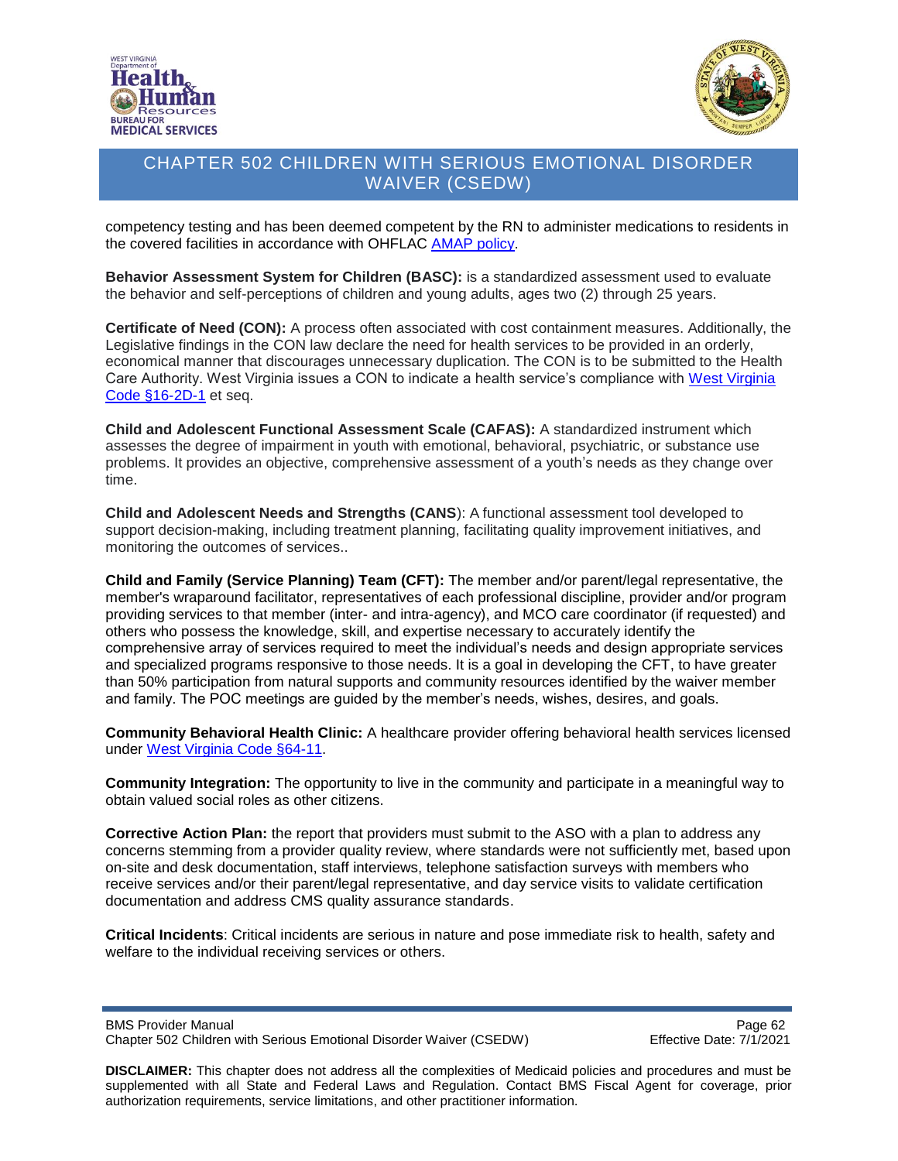



competency testing and has been deemed competent by the RN to administer medications to residents in the covered facilities in accordance with OHFLAC [AMAP policy.](http://ohflac.wvdhhr.org/Programs/AM.html)

**Behavior Assessment System for Children (BASC):** is a standardized assessment used to evaluate the behavior and self-perceptions of children and young adults, ages two (2) through 25 years.

**Certificate of Need (CON):** A process often associated with cost containment measures. Additionally, the Legislative findings in the CON law declare the need for health services to be provided in an orderly, economical manner that discourages unnecessary duplication. The CON is to be submitted to the Health Care Authority. West Virginia issues a CON to indicate a health service's compliance with [West Virginia](https://www.wvlegislature.gov/wvcode/ChapterEntire.cfm?chap=16&art=2D§ion=2) [Code §16-2D-1](https://www.wvlegislature.gov/wvcode/ChapterEntire.cfm?chap=16&art=2D§ion=2) et seq.

**Child and Adolescent Functional Assessment Scale (CAFAS):** A standardized instrument which assesses the degree of impairment in youth with emotional, behavioral, psychiatric, or substance use problems. It provides an objective, comprehensive assessment of a youth's needs as they change over time.

**Child and Adolescent Needs and Strengths (CANS**): A functional assessment tool developed to support decision-making, including treatment planning, facilitating quality improvement initiatives, and monitoring the outcomes of services..

**Child and Family (Service Planning) Team (CFT):** The member and/or parent/legal representative, the member's wraparound facilitator, representatives of each professional discipline, provider and/or program providing services to that member (inter- and intra-agency), and MCO care coordinator (if requested) and others who possess the knowledge, skill, and expertise necessary to accurately identify the comprehensive array of services required to meet the individual's needs and design appropriate services and specialized programs responsive to those needs. It is a goal in developing the CFT, to have greater than 50% participation from natural supports and community resources identified by the waiver member and family. The POC meetings are guided by the member's needs, wishes, desires, and goals.

**Community Behavioral Health Clinic:** A healthcare provider offering behavioral health services licensed under [West Virginia Code §64-11.](http://apps.sos.wv.gov/adlaw/csr/readfile.aspx?DocId=51134&Format=PDF)

**Community Integration:** The opportunity to live in the community and participate in a meaningful way to obtain valued social roles as other citizens.

**Corrective Action Plan:** the report that providers must submit to the ASO with a plan to address any concerns stemming from a provider quality review, where standards were not sufficiently met, based upon on-site and desk documentation, staff interviews, telephone satisfaction surveys with members who receive services and/or their parent/legal representative, and day service visits to validate certification documentation and address CMS quality assurance standards.

**Critical Incidents**: Critical incidents are serious in nature and pose immediate risk to health, safety and welfare to the individual receiving services or others.

BMS Provider Manual<br>Chapter 502 Children with Serious Emotional Disorder Waiver (CSEDW) Page 62<br>Effective Date: 7/1/2021 Chapter 502 Children with Serious Emotional Disorder Waiver (CSEDW)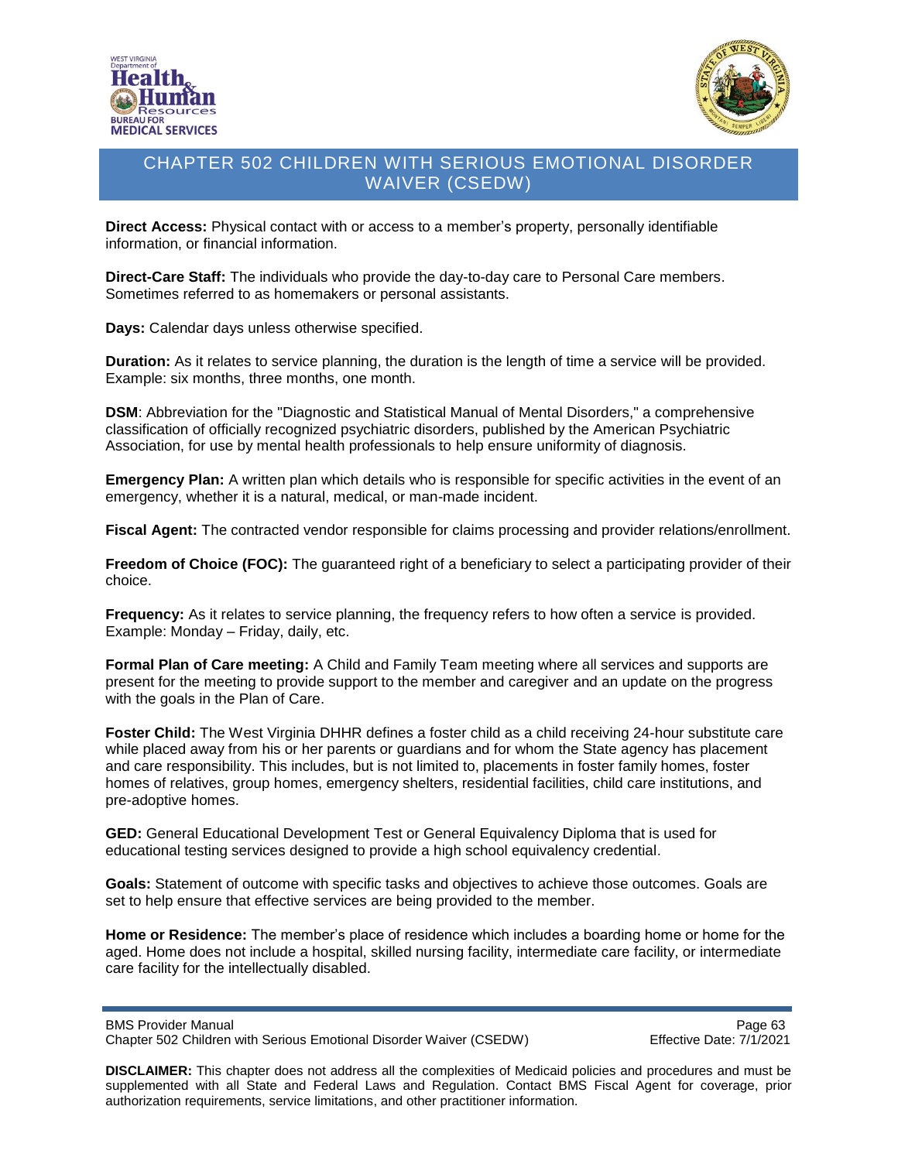



**Direct Access:** Physical contact with or access to a member's property, personally identifiable information, or financial information.

**Direct-Care Staff:** The individuals who provide the day-to-day care to Personal Care members. Sometimes referred to as homemakers or personal assistants.

**Days:** Calendar days unless otherwise specified.

**Duration:** As it relates to service planning, the duration is the length of time a service will be provided. Example: six months, three months, one month.

**DSM**: Abbreviation for the "Diagnostic and Statistical Manual of Mental Disorders," a comprehensive classification of officially recognized psychiatric disorders, published by the American Psychiatric Association, for use by mental health professionals to help ensure uniformity of diagnosis.

**Emergency Plan:** A written plan which details who is responsible for specific activities in the event of an emergency, whether it is a natural, medical, or man-made incident.

**Fiscal Agent:** The contracted vendor responsible for claims processing and provider relations/enrollment.

**Freedom of Choice (FOC):** The guaranteed right of a beneficiary to select a participating provider of their choice.

**Frequency:** As it relates to service planning, the frequency refers to how often a service is provided. Example: Monday – Friday, daily, etc.

**Formal Plan of Care meeting:** A Child and Family Team meeting where all services and supports are present for the meeting to provide support to the member and caregiver and an update on the progress with the goals in the Plan of Care.

**Foster Child:** The West Virginia DHHR defines a foster child as a child receiving 24-hour substitute care while placed away from his or her parents or guardians and for whom the State agency has placement and care responsibility. This includes, but is not limited to, placements in foster family homes, foster homes of relatives, group homes, emergency shelters, residential facilities, child care institutions, and pre-adoptive homes.

**GED:** General Educational Development Test or General Equivalency Diploma that is used for educational testing services designed to provide a high school equivalency credential.

**Goals:** Statement of outcome with specific tasks and objectives to achieve those outcomes. Goals are set to help ensure that effective services are being provided to the member.

**Home or Residence:** The member's place of residence which includes a boarding home or home for the aged. Home does not include a hospital, skilled nursing facility, intermediate care facility, or intermediate care facility for the intellectually disabled.

BMS Provider Manual **Page 63** Page 63 Chapter 502 Children with Serious Emotional Disorder Waiver (CSEDW) Effective Date: 7/1/2021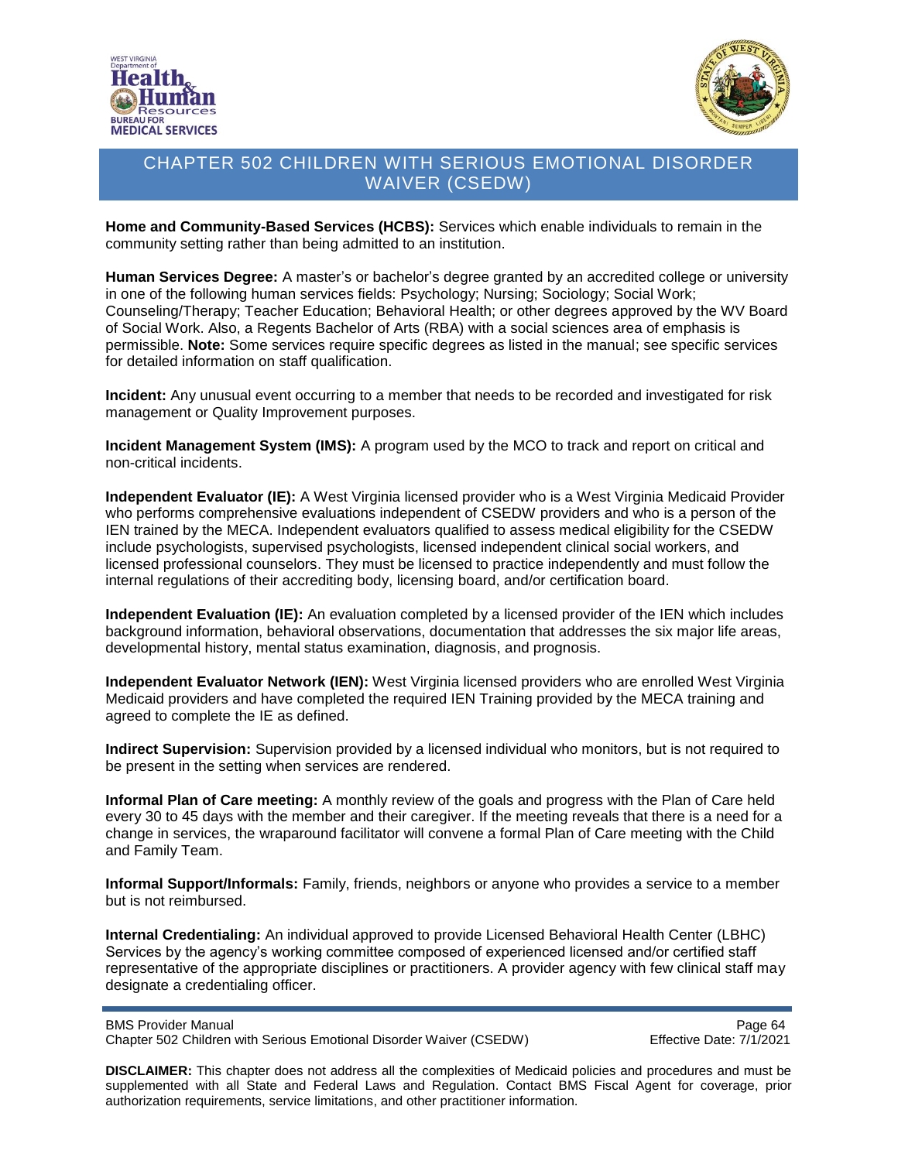



**Home and Community-Based Services (HCBS):** Services which enable individuals to remain in the community setting rather than being admitted to an institution.

**Human Services Degree:** A master's or bachelor's degree granted by an accredited college or university in one of the following human services fields: Psychology; Nursing; Sociology; Social Work; Counseling/Therapy; Teacher Education; Behavioral Health; or other degrees approved by the WV Board of Social Work. Also, a Regents Bachelor of Arts (RBA) with a social sciences area of emphasis is permissible. **Note:** Some services require specific degrees as listed in the manual; see specific services for detailed information on staff qualification.

**Incident:** Any unusual event occurring to a member that needs to be recorded and investigated for risk management or Quality Improvement purposes.

**Incident Management System (IMS):** A program used by the MCO to track and report on critical and non-critical incidents.

**Independent Evaluator (IE):** A West Virginia licensed provider who is a West Virginia Medicaid Provider who performs comprehensive evaluations independent of CSEDW providers and who is a person of the IEN trained by the MECA. Independent evaluators qualified to assess medical eligibility for the CSEDW include psychologists, supervised psychologists, licensed independent clinical social workers, and licensed professional counselors. They must be licensed to practice independently and must follow the internal regulations of their accrediting body, licensing board, and/or certification board.

**Independent Evaluation (IE):** An evaluation completed by a licensed provider of the IEN which includes background information, behavioral observations, documentation that addresses the six major life areas, developmental history, mental status examination, diagnosis, and prognosis.

**Independent Evaluator Network (IEN):** West Virginia licensed providers who are enrolled West Virginia Medicaid providers and have completed the required IEN Training provided by the MECA training and agreed to complete the IE as defined.

**Indirect Supervision:** Supervision provided by a licensed individual who monitors, but is not required to be present in the setting when services are rendered.

**Informal Plan of Care meeting:** A monthly review of the goals and progress with the Plan of Care held every 30 to 45 days with the member and their caregiver. If the meeting reveals that there is a need for a change in services, the wraparound facilitator will convene a formal Plan of Care meeting with the Child and Family Team.

**Informal Support/Informals:** Family, friends, neighbors or anyone who provides a service to a member but is not reimbursed.

**Internal Credentialing:** An individual approved to provide Licensed Behavioral Health Center (LBHC) Services by the agency's working committee composed of experienced licensed and/or certified staff representative of the appropriate disciplines or practitioners. A provider agency with few clinical staff may designate a credentialing officer.

BMS Provider Manual<br>Chapter 502 Children with Serious Emotional Disorder Waiver (CSEDW) Page 64 Chapter 502 Children with Serious Emotional Disorder Waiver (CSEDW)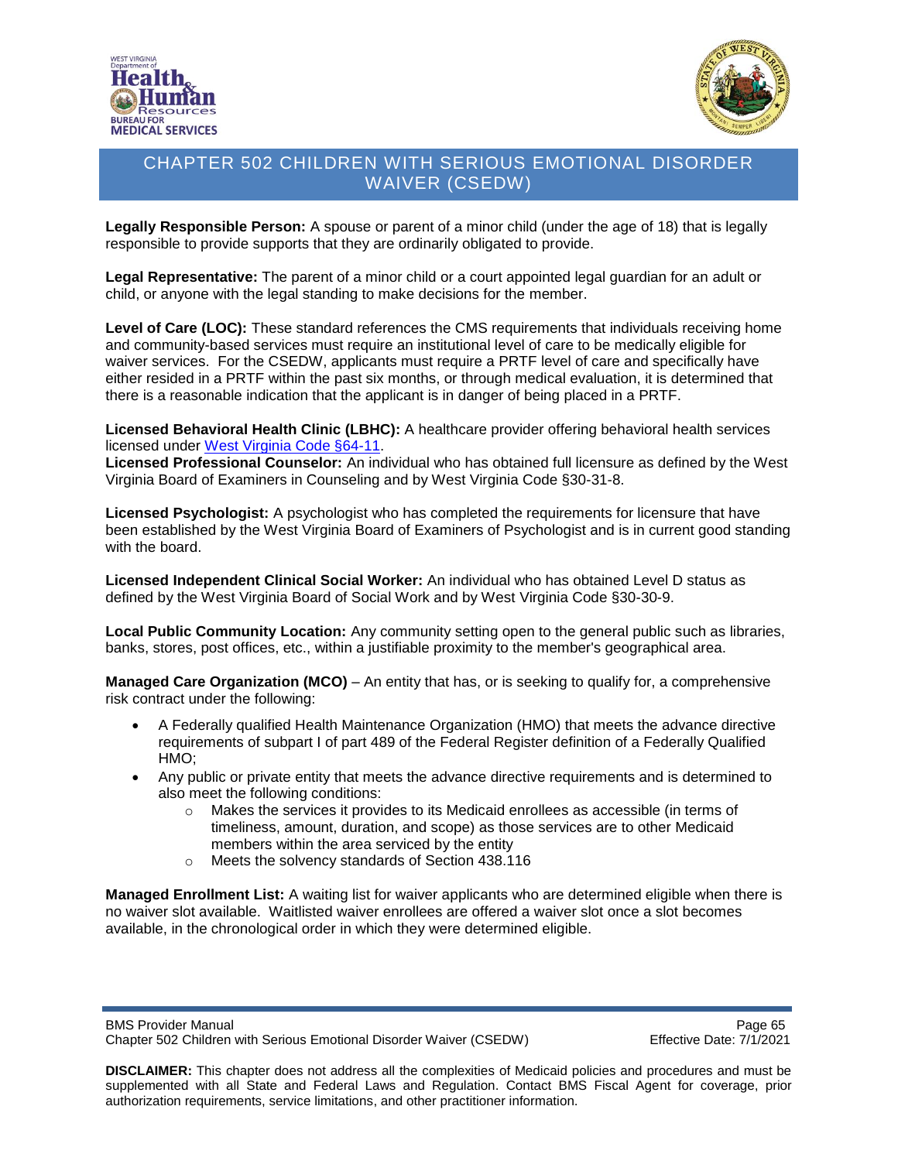



**Legally Responsible Person:** A spouse or parent of a minor child (under the age of 18) that is legally responsible to provide supports that they are ordinarily obligated to provide.

**Legal Representative:** The parent of a minor child or a court appointed legal guardian for an adult or child, or anyone with the legal standing to make decisions for the member.

**Level of Care (LOC):** These standard references the CMS requirements that individuals receiving home and community-based services must require an institutional level of care to be medically eligible for waiver services. For the CSEDW, applicants must require a PRTF level of care and specifically have either resided in a PRTF within the past six months, or through medical evaluation, it is determined that there is a reasonable indication that the applicant is in danger of being placed in a PRTF.

**Licensed Behavioral Health Clinic (LBHC):** A healthcare provider offering behavioral health services licensed under [West Virginia Code §64-11.](http://apps.sos.wv.gov/adlaw/csr/readfile.aspx?DocId=51134&Format=PDF)

**Licensed Professional Counselor:** An individual who has obtained full licensure as defined by the West Virginia Board of Examiners in Counseling and by West Virginia Code §30-31-8.

**Licensed Psychologist:** A psychologist who has completed the requirements for licensure that have been established by the West Virginia Board of Examiners of Psychologist and is in current good standing with the board.

**Licensed Independent Clinical Social Worker:** An individual who has obtained Level D status as defined by the West Virginia Board of Social Work and by West Virginia Code §30-30-9.

**Local Public Community Location:** Any community setting open to the general public such as libraries, banks, stores, post offices, etc., within a justifiable proximity to the member's geographical area.

**Managed Care Organization (MCO)** – An entity that has, or is seeking to qualify for, a comprehensive risk contract under the following:

- A Federally qualified Health Maintenance Organization (HMO) that meets the advance directive requirements of subpart I of part 489 of the Federal Register definition of a Federally Qualified HMO;
- Any public or private entity that meets the advance directive requirements and is determined to also meet the following conditions:
	- o Makes the services it provides to its Medicaid enrollees as accessible (in terms of timeliness, amount, duration, and scope) as those services are to other Medicaid members within the area serviced by the entity
	- o Meets the solvency standards of Section 438.116

**Managed Enrollment List:** A waiting list for waiver applicants who are determined eligible when there is no waiver slot available. Waitlisted waiver enrollees are offered a waiver slot once a slot becomes available, in the chronological order in which they were determined eligible.

BMS Provider Manual<br>Chapter 502 Children with Serious Emotional Disorder Waiver (CSEDW) Page 65 Chapter 502 Children with Serious Emotional Disorder Waiver (CSEDW)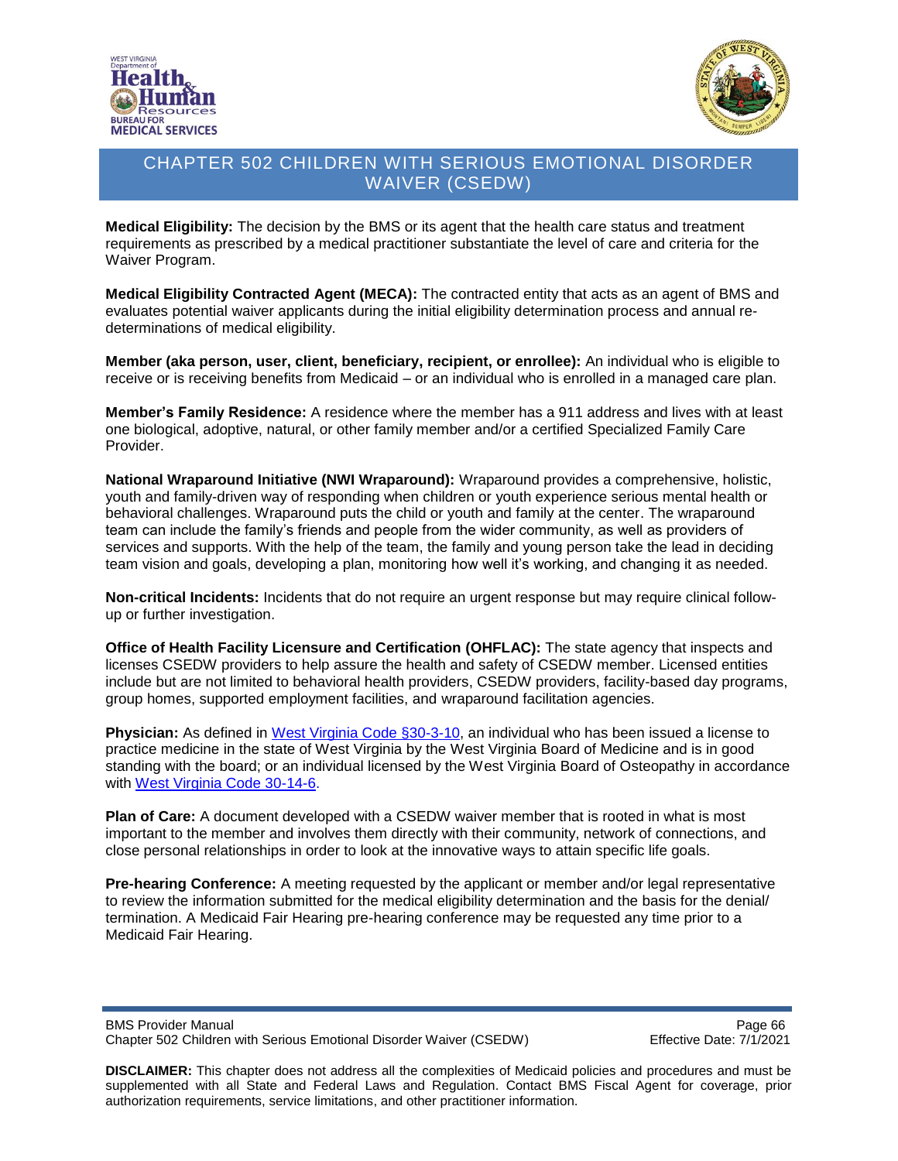



**Medical Eligibility:** The decision by the BMS or its agent that the health care status and treatment requirements as prescribed by a medical practitioner substantiate the level of care and criteria for the Waiver Program.

**Medical Eligibility Contracted Agent (MECA):** The contracted entity that acts as an agent of BMS and evaluates potential waiver applicants during the initial eligibility determination process and annual redeterminations of medical eligibility.

**Member (aka person, user, client, beneficiary, recipient, or enrollee):** An individual who is eligible to receive or is receiving benefits from Medicaid – or an individual who is enrolled in a managed care plan.

**Member's Family Residence:** A residence where the member has a 911 address and lives with at least one biological, adoptive, natural, or other family member and/or a certified Specialized Family Care Provider.

**National Wraparound Initiative (NWI Wraparound):** Wraparound provides a comprehensive, holistic, youth and family-driven way of responding when children or youth experience serious mental health or behavioral challenges. Wraparound puts the child or youth and family at the center. The wraparound team can include the family's friends and people from the wider community, as well as providers of services and supports. With the help of the team, the family and young person take the lead in deciding team vision and goals, developing a plan, monitoring how well it's working, and changing it as needed.

**Non-critical Incidents:** Incidents that do not require an urgent response but may require clinical followup or further investigation.

**Office of Health Facility Licensure and Certification (OHFLAC):** The state agency that inspects and licenses CSEDW providers to help assure the health and safety of CSEDW member. Licensed entities include but are not limited to behavioral health providers, CSEDW providers, facility-based day programs, group homes, supported employment facilities, and wraparound facilitation agencies.

**Physician:** As defined in [West Virginia Code §30-3-10,](http://www.wvlegislature.gov/wvcode/chapterentire.cfm?chap=30&art=3§ion=10) an individual who has been issued a license to practice medicine in the state of West Virginia by the West Virginia Board of Medicine and is in good standing with the board; or an individual licensed by the West Virginia Board of Osteopathy in accordance with [West Virginia Code 30-14-6.](http://www.wvlegislature.gov/wvcode/chapterentire.cfm?chap=30&art=14§ion=6)

**Plan of Care:** A document developed with a CSEDW waiver member that is rooted in what is most important to the member and involves them directly with their community, network of connections, and close personal relationships in order to look at the innovative ways to attain specific life goals.

**Pre-hearing Conference:** A meeting requested by the applicant or member and/or legal representative to review the information submitted for the medical eligibility determination and the basis for the denial/ termination. A Medicaid Fair Hearing pre-hearing conference may be requested any time prior to a Medicaid Fair Hearing.

BMS Provider Manual<br>Chapter 502 Children with Serious Emotional Disorder Waiver (CSEDW) Page 66 Chapter 502 Children with Serious Emotional Disorder Waiver (CSEDW)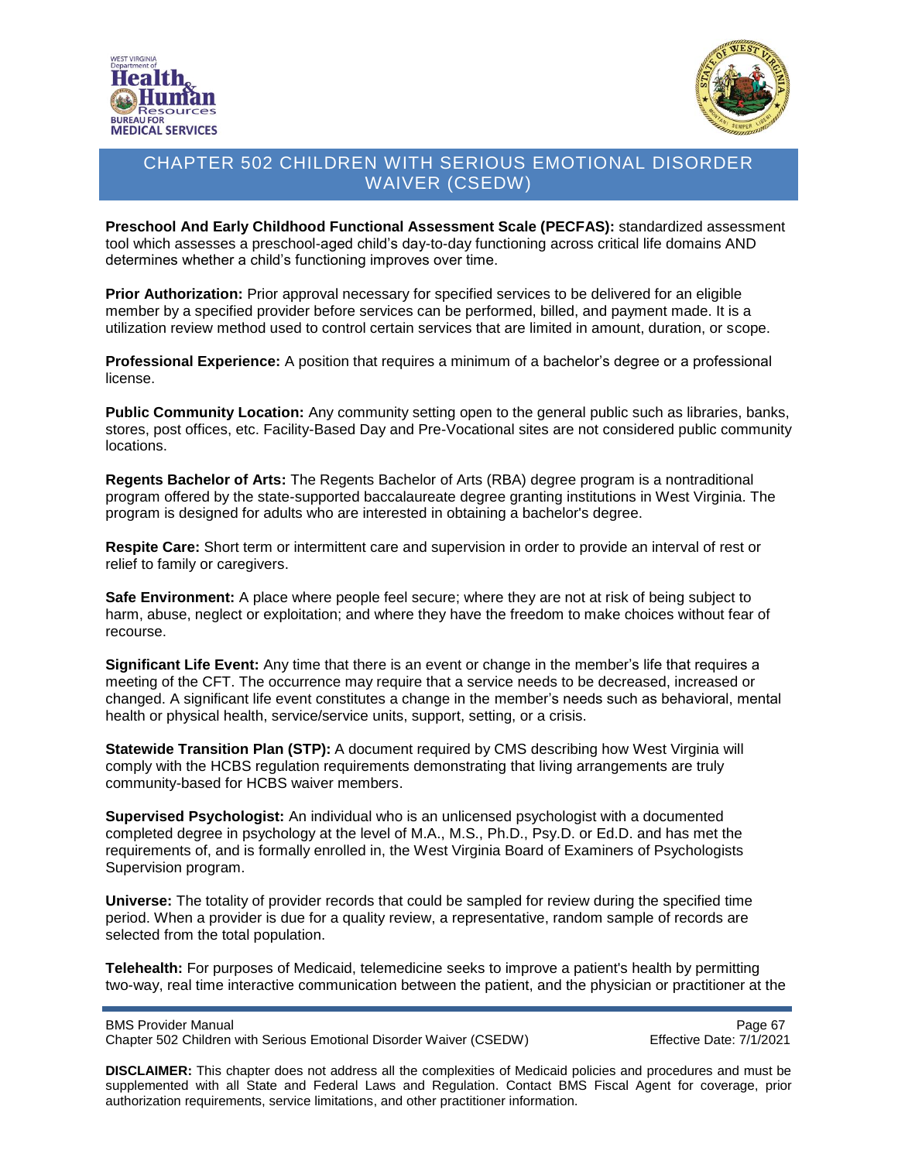



**Preschool And Early Childhood Functional Assessment Scale (PECFAS):** standardized assessment tool which assesses a preschool-aged child's day-to-day functioning across critical life domains AND determines whether a child's functioning improves over time.

**Prior Authorization:** Prior approval necessary for specified services to be delivered for an eligible member by a specified provider before services can be performed, billed, and payment made. It is a utilization review method used to control certain services that are limited in amount, duration, or scope.

**Professional Experience:** A position that requires a minimum of a bachelor's degree or a professional license.

**Public Community Location:** Any community setting open to the general public such as libraries, banks, stores, post offices, etc. Facility-Based Day and Pre-Vocational sites are not considered public community locations.

**Regents Bachelor of Arts:** The Regents Bachelor of Arts (RBA) degree program is a nontraditional program offered by the state-supported baccalaureate degree granting institutions in West Virginia. The program is designed for adults who are interested in obtaining a bachelor's degree.

**Respite Care:** Short term or intermittent care and supervision in order to provide an interval of rest or relief to family or caregivers.

**Safe Environment:** A place where people feel secure; where they are not at risk of being subject to harm, abuse, neglect or exploitation; and where they have the freedom to make choices without fear of recourse.

**Significant Life Event:** Any time that there is an event or change in the member's life that requires a meeting of the CFT. The occurrence may require that a service needs to be decreased, increased or changed. A significant life event constitutes a change in the member's needs such as behavioral, mental health or physical health, service/service units, support, setting, or a crisis.

**Statewide Transition Plan (STP):** A document required by CMS describing how West Virginia will comply with the HCBS regulation requirements demonstrating that living arrangements are truly community-based for HCBS waiver members.

**Supervised Psychologist:** An individual who is an unlicensed psychologist with a documented completed degree in psychology at the level of M.A., M.S., Ph.D., Psy.D. or Ed.D. and has met the requirements of, and is formally enrolled in, the West Virginia Board of Examiners of Psychologists Supervision program.

**Universe:** The totality of provider records that could be sampled for review during the specified time period. When a provider is due for a quality review, a representative, random sample of records are selected from the total population.

**Telehealth:** For purposes of Medicaid, telemedicine seeks to improve a patient's health by permitting two-way, real time interactive communication between the patient, and the physician or practitioner at the

BMS Provider Manual<br>Chapter 502 Children with Serious Emotional Disorder Waiver (CSEDW) Firective Date: 7/1/2021 Chapter 502 Children with Serious Emotional Disorder Waiver (CSEDW)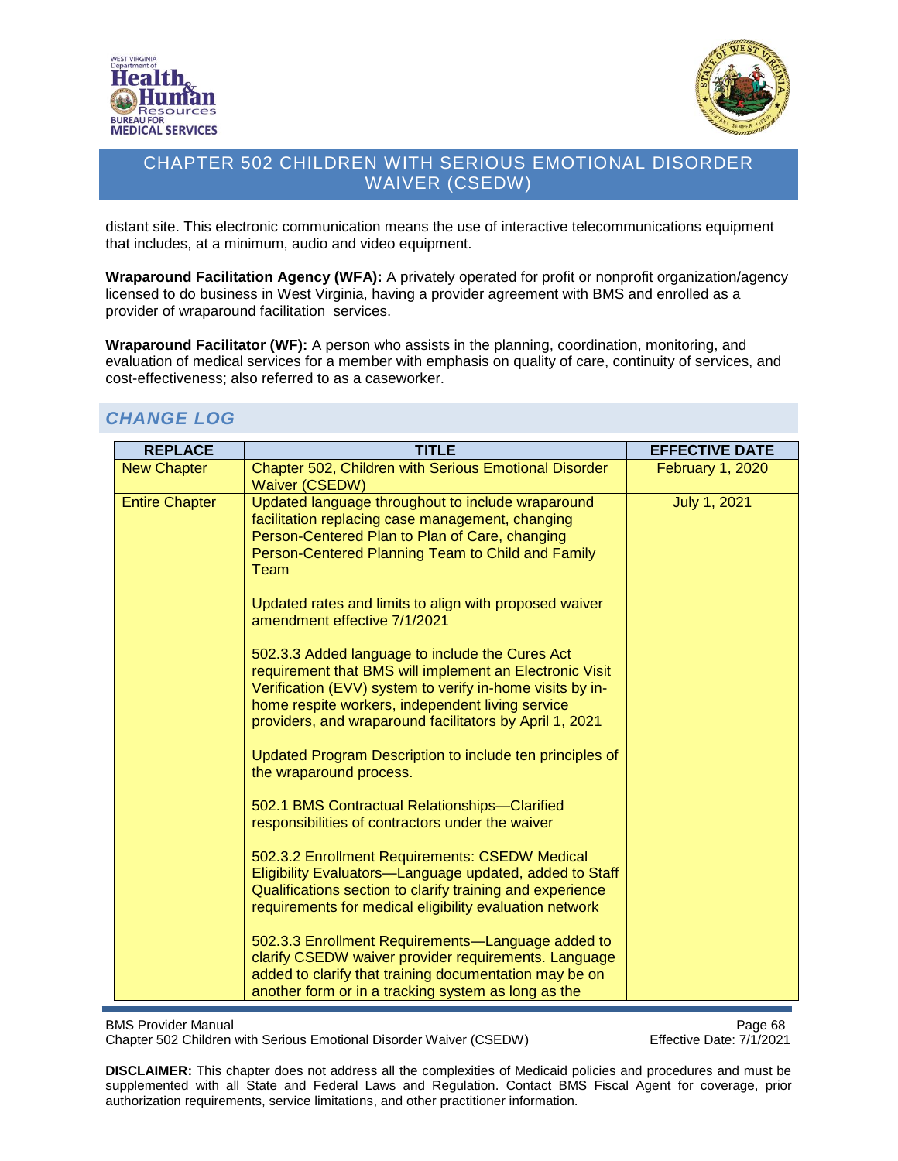



distant site. This electronic communication means the use of interactive telecommunications equipment that includes, at a minimum, audio and video equipment.

**Wraparound Facilitation Agency (WFA):** A privately operated for profit or nonprofit organization/agency licensed to do business in West Virginia, having a provider agreement with BMS and enrolled as a provider of wraparound facilitation services.

**Wraparound Facilitator (WF):** A person who assists in the planning, coordination, monitoring, and evaluation of medical services for a member with emphasis on quality of care, continuity of services, and cost-effectiveness; also referred to as a caseworker.

# *CHANGE LOG*

| <b>REPLACE</b>        | <b>TITLE</b>                                                                                                                                                                                                                                                                           | <b>EFFECTIVE DATE</b> |
|-----------------------|----------------------------------------------------------------------------------------------------------------------------------------------------------------------------------------------------------------------------------------------------------------------------------------|-----------------------|
| <b>New Chapter</b>    | Chapter 502, Children with Serious Emotional Disorder<br><b>Waiver (CSEDW)</b>                                                                                                                                                                                                         | February 1, 2020      |
| <b>Entire Chapter</b> | Updated language throughout to include wraparound<br>facilitation replacing case management, changing<br>Person-Centered Plan to Plan of Care, changing<br>Person-Centered Planning Team to Child and Family<br>Team<br>Updated rates and limits to align with proposed waiver         | <b>July 1, 2021</b>   |
|                       | amendment effective 7/1/2021                                                                                                                                                                                                                                                           |                       |
|                       | 502.3.3 Added language to include the Cures Act<br>requirement that BMS will implement an Electronic Visit<br>Verification (EVV) system to verify in-home visits by in-<br>home respite workers, independent living service<br>providers, and wraparound facilitators by April 1, 2021 |                       |
|                       | Updated Program Description to include ten principles of<br>the wraparound process.                                                                                                                                                                                                    |                       |
|                       | 502.1 BMS Contractual Relationships-Clarified<br>responsibilities of contractors under the waiver                                                                                                                                                                                      |                       |
|                       | 502.3.2 Enrollment Requirements: CSEDW Medical<br>Eligibility Evaluators-Language updated, added to Staff<br>Qualifications section to clarify training and experience<br>requirements for medical eligibility evaluation network                                                      |                       |
|                       | 502.3.3 Enrollment Requirements—Language added to<br>clarify CSEDW waiver provider requirements. Language<br>added to clarify that training documentation may be on<br>another form or in a tracking system as long as the                                                             |                       |

BMS Provider Manual<br>Chapter 502 Children with Serious Emotional Disorder Waiver (CSEDW) Chapter 502 Children with Serious Emotional Disorder Waiver (CSEDW) Chapter 502 Children with Serious Emotional Disorder Waiver (CSEDW)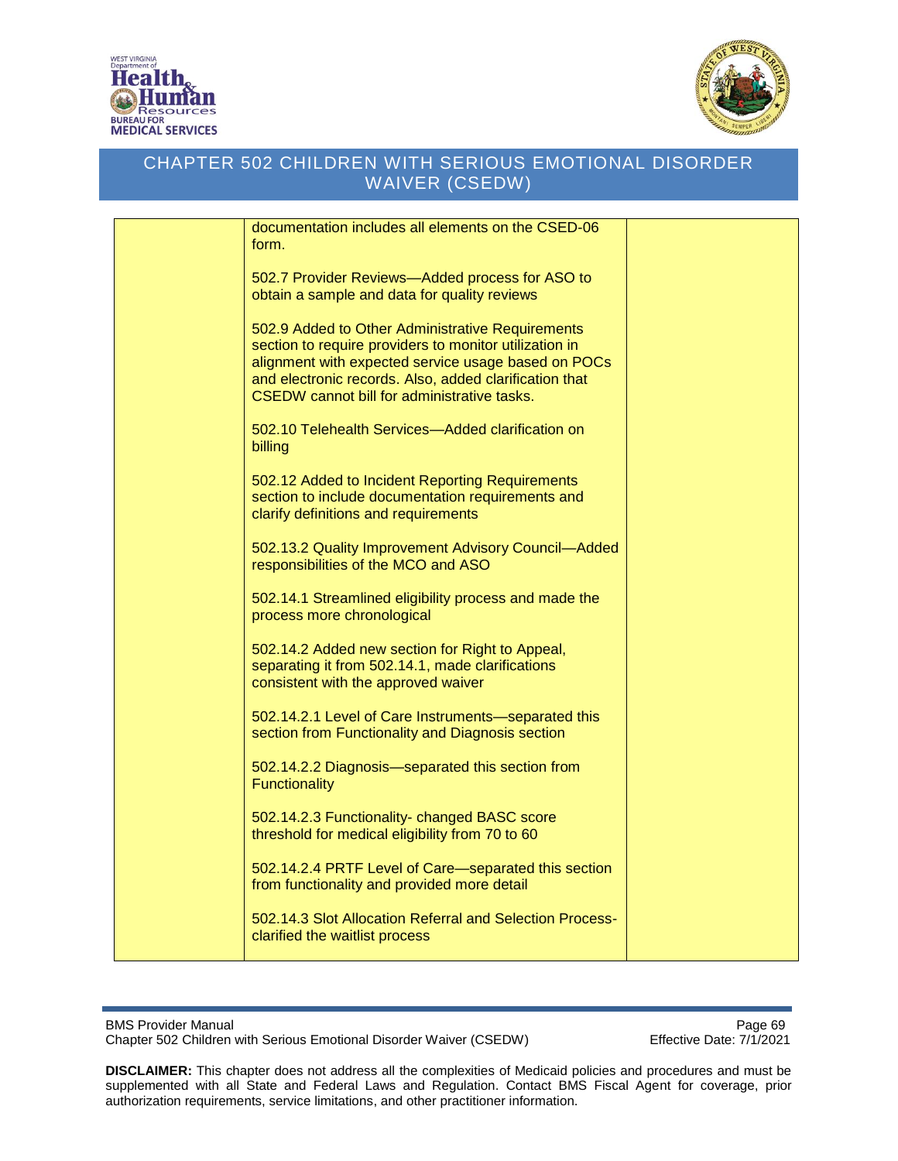



| documentation includes all elements on the CSED-06       |  |
|----------------------------------------------------------|--|
| form.                                                    |  |
|                                                          |  |
| 502.7 Provider Reviews-Added process for ASO to          |  |
| obtain a sample and data for quality reviews             |  |
|                                                          |  |
|                                                          |  |
| 502.9 Added to Other Administrative Requirements         |  |
| section to require providers to monitor utilization in   |  |
| alignment with expected service usage based on POCs      |  |
| and electronic records. Also, added clarification that   |  |
| CSEDW cannot bill for administrative tasks.              |  |
|                                                          |  |
| 502.10 Telehealth Services—Added clarification on        |  |
| billing                                                  |  |
|                                                          |  |
| 502.12 Added to Incident Reporting Requirements          |  |
| section to include documentation requirements and        |  |
| clarify definitions and requirements                     |  |
|                                                          |  |
| 502.13.2 Quality Improvement Advisory Council-Added      |  |
| responsibilities of the MCO and ASO                      |  |
|                                                          |  |
| 502.14.1 Streamlined eligibility process and made the    |  |
| process more chronological                               |  |
|                                                          |  |
| 502.14.2 Added new section for Right to Appeal,          |  |
| separating it from 502.14.1, made clarifications         |  |
| consistent with the approved waiver                      |  |
|                                                          |  |
| 502.14.2.1 Level of Care Instruments-separated this      |  |
| section from Functionality and Diagnosis section         |  |
|                                                          |  |
| 502.14.2.2 Diagnosis-separated this section from         |  |
| <b>Functionality</b>                                     |  |
|                                                          |  |
| 502.14.2.3 Functionality- changed BASC score             |  |
| threshold for medical eligibility from 70 to 60          |  |
|                                                          |  |
| 502.14.2.4 PRTF Level of Care-separated this section     |  |
| from functionality and provided more detail              |  |
|                                                          |  |
| 502.14.3 Slot Allocation Referral and Selection Process- |  |
| clarified the waitlist process                           |  |
|                                                          |  |
|                                                          |  |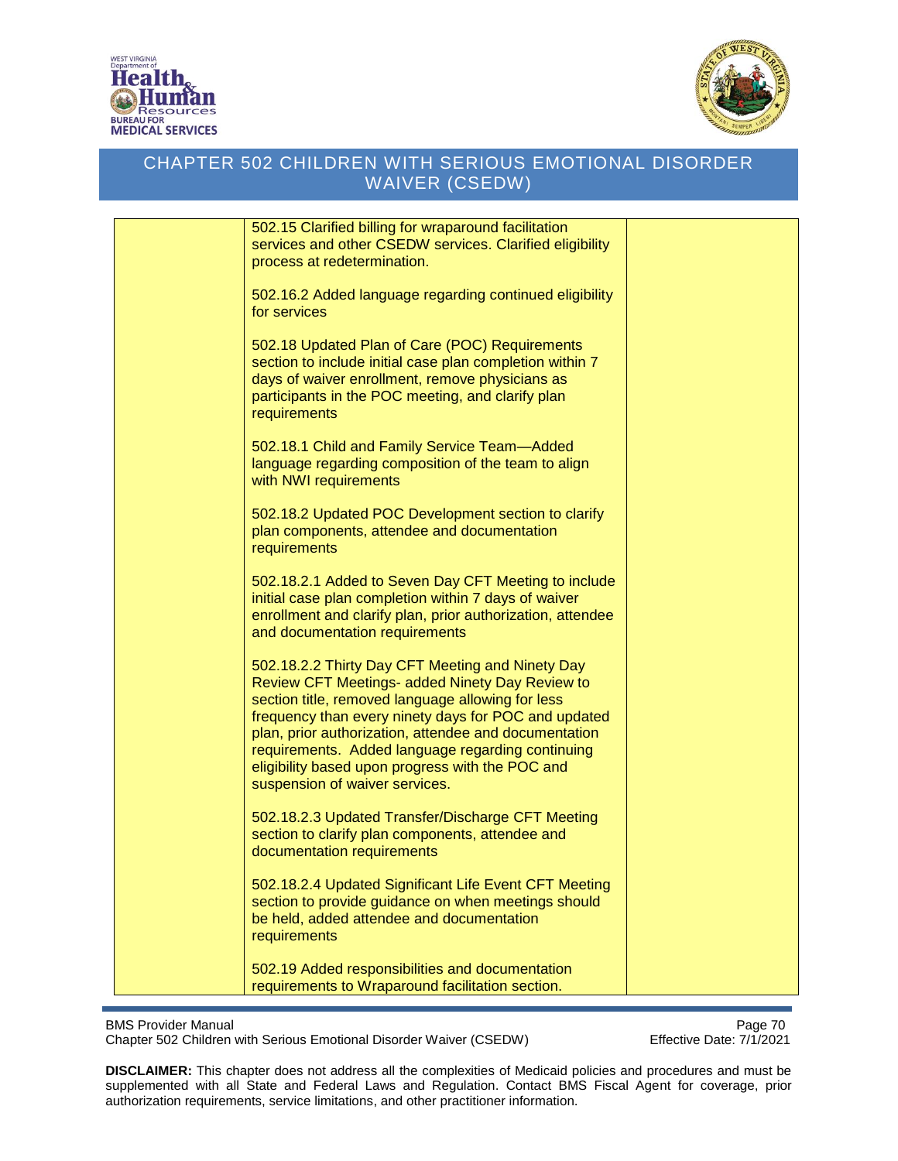



| 502.15 Clarified billing for wraparound facilitation<br>services and other CSEDW services. Clarified eligibility<br>process at redetermination.                                                                                                                                                                                                                                                                      |  |
|----------------------------------------------------------------------------------------------------------------------------------------------------------------------------------------------------------------------------------------------------------------------------------------------------------------------------------------------------------------------------------------------------------------------|--|
| 502.16.2 Added language regarding continued eligibility<br>for services                                                                                                                                                                                                                                                                                                                                              |  |
| 502.18 Updated Plan of Care (POC) Requirements<br>section to include initial case plan completion within 7<br>days of waiver enrollment, remove physicians as<br>participants in the POC meeting, and clarify plan<br>requirements                                                                                                                                                                                   |  |
| 502.18.1 Child and Family Service Team-Added<br>language regarding composition of the team to align<br>with NWI requirements                                                                                                                                                                                                                                                                                         |  |
| 502.18.2 Updated POC Development section to clarify<br>plan components, attendee and documentation<br>requirements                                                                                                                                                                                                                                                                                                   |  |
| 502.18.2.1 Added to Seven Day CFT Meeting to include<br>initial case plan completion within 7 days of waiver<br>enrollment and clarify plan, prior authorization, attendee<br>and documentation requirements                                                                                                                                                                                                         |  |
| 502.18.2.2 Thirty Day CFT Meeting and Ninety Day<br>Review CFT Meetings- added Ninety Day Review to<br>section title, removed language allowing for less<br>frequency than every ninety days for POC and updated<br>plan, prior authorization, attendee and documentation<br>requirements. Added language regarding continuing<br>eligibility based upon progress with the POC and<br>suspension of waiver services. |  |
| 502.18.2.3 Updated Transfer/Discharge CFT Meeting<br>section to clarify plan components, attendee and<br>documentation requirements                                                                                                                                                                                                                                                                                  |  |
| 502.18.2.4 Updated Significant Life Event CFT Meeting<br>section to provide guidance on when meetings should<br>be held, added attendee and documentation<br>requirements                                                                                                                                                                                                                                            |  |
| 502.19 Added responsibilities and documentation<br>requirements to Wraparound facilitation section.                                                                                                                                                                                                                                                                                                                  |  |

BMS Provider Manual<br>Chapter 502 Children with Serious Emotional Disorder Waiver (CSEDW) Fffective Date: 7/1/2021 Chapter 502 Children with Serious Emotional Disorder Waiver (CSEDW)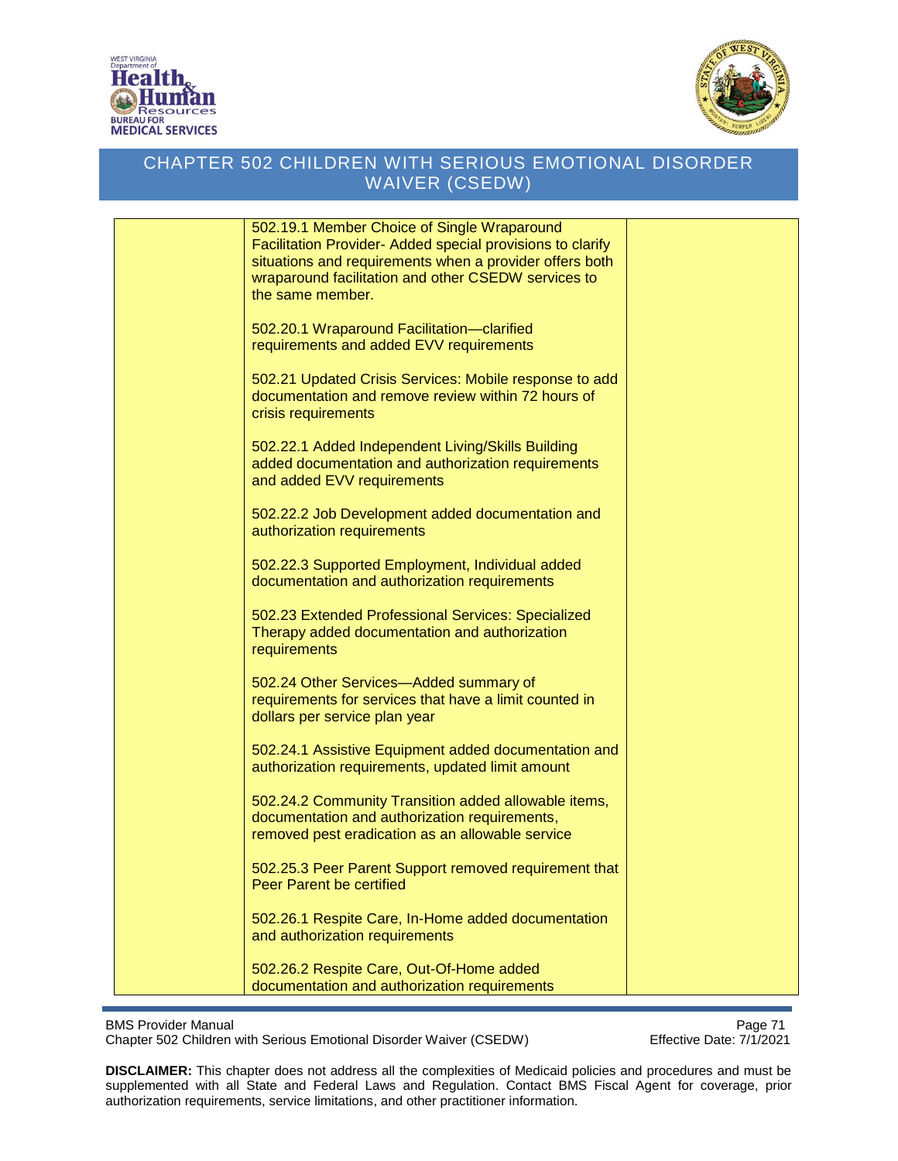



| 502.19.1 Member Choice of Single Wraparound                |  |
|------------------------------------------------------------|--|
| Facilitation Provider- Added special provisions to clarify |  |
| situations and requirements when a provider offers both    |  |
| wraparound facilitation and other CSEDW services to        |  |
| the same member.                                           |  |
|                                                            |  |
|                                                            |  |
| 502.20.1 Wraparound Facilitation-clarified                 |  |
| requirements and added EVV requirements                    |  |
|                                                            |  |
| 502.21 Updated Crisis Services: Mobile response to add     |  |
| documentation and remove review within 72 hours of         |  |
| crisis requirements                                        |  |
|                                                            |  |
|                                                            |  |
| 502.22.1 Added Independent Living/Skills Building          |  |
| added documentation and authorization requirements         |  |
| and added EVV requirements                                 |  |
|                                                            |  |
| 502.22.2 Job Development added documentation and           |  |
| authorization requirements                                 |  |
|                                                            |  |
|                                                            |  |
| 502.22.3 Supported Employment, Individual added            |  |
| documentation and authorization requirements               |  |
|                                                            |  |
| 502.23 Extended Professional Services: Specialized         |  |
| Therapy added documentation and authorization              |  |
| requirements                                               |  |
|                                                            |  |
|                                                            |  |
| 502.24 Other Services-Added summary of                     |  |
| requirements for services that have a limit counted in     |  |
| dollars per service plan year                              |  |
|                                                            |  |
| 502.24.1 Assistive Equipment added documentation and       |  |
| authorization requirements, updated limit amount           |  |
|                                                            |  |
| 502.24.2 Community Transition added allowable items,       |  |
|                                                            |  |
| documentation and authorization requirements,              |  |
| removed pest eradication as an allowable service           |  |
|                                                            |  |
| 502.25.3 Peer Parent Support removed requirement that      |  |
| <b>Peer Parent be certified</b>                            |  |
|                                                            |  |
| 502.26.1 Respite Care, In-Home added documentation         |  |
|                                                            |  |
| and authorization requirements                             |  |
|                                                            |  |
| 502.26.2 Respite Care, Out-Of-Home added                   |  |
| documentation and authorization requirements               |  |

BMS Provider Manual<br>Chapter 502 Children with Serious Emotional Disorder Waiver (CSEDW) Fffective Date: 7/1/2021 Chapter 502 Children with Serious Emotional Disorder Waiver (CSEDW)